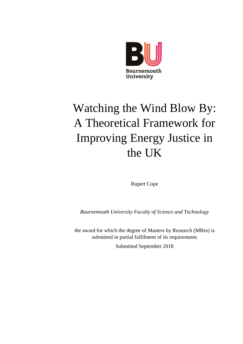

# <span id="page-0-0"></span>Watching the Wind Blow By: A Theoretical Framework for Improving Energy Justice in the UK

Rupert Cope

*Bournemouth University Faculty of Science and Technology*

the award for which the degree of Masters by Research (MRes) is submitted in partial fulfilment of its requirements

Submitted September 2018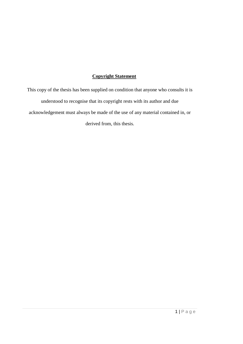## **Copyright Statement**

This copy of the thesis has been supplied on condition that anyone who consults it is understood to recognise that its copyright rests with its author and due acknowledgement must always be made of the use of any material contained in, or derived from, this thesis.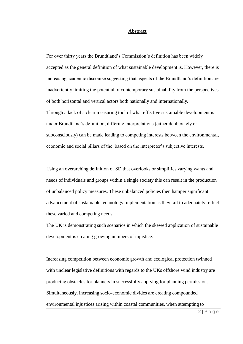#### **Abstract**

For over thirty years the Brundtland's Commission's definition has been widely accepted as the general definition of what sustainable development is. However, there is increasing academic discourse suggesting that aspects of the Brundtland's definition are inadvertently limiting the potential of contemporary sustainability from the perspectives of both horizontal and vertical actors both nationally and internationally. Through a lack of a clear measuring tool of what effective sustainable development is under Brundtland's definition, differing interpretations (either deliberately or subconsciously) can be made leading to competing interests between the environmental, economic and social pillars of the based on the interpreter's subjective interests.

Using an overarching definition of SD that overlooks or simplifies varying wants and needs of individuals and groups within a single society this can result in the production of unbalanced policy measures. These unbalanced policies then hamper significant advancement of sustainable technology implementation as they fail to adequately reflect these varied and competing needs.

The UK is demonstrating such scenarios in which the skewed application of sustainable development is creating growing numbers of injustice.

Increasing competition between economic growth and ecological protection twinned with unclear legislative definitions with regards to the UKs offshore wind industry are producing obstacles for planners in successfully applying for planning permission. Simultaneously, increasing socio-economic divides are creating compounded environmental injustices arising within coastal communities, when attempting to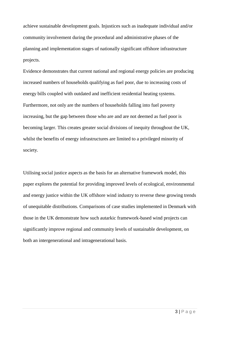achieve sustainable development goals. Injustices such as inadequate individual and/or community involvement during the procedural and administrative phases of the planning and implementation stages of nationally significant offshore infrastructure projects.

Evidence demonstrates that current national and regional energy policies are producing increased numbers of households qualifying as fuel poor, due to increasing costs of energy bills coupled with outdated and inefficient residential heating systems. Furthermore, not only are the numbers of households falling into fuel poverty increasing, but the gap between those who are and are not deemed as fuel poor is becoming larger. This creates greater social divisions of inequity throughout the UK, whilst the benefits of energy infrastructures are limited to a privileged minority of society.

Utilising social justice aspects as the basis for an alternative framework model, this paper explores the potential for providing improved levels of ecological, environmental and energy justice within the UK offshore wind industry to reverse these growing trends of unequitable distributions. Comparisons of case studies implemented in Denmark with those in the UK demonstrate how such autarkic framework-based wind projects can significantly improve regional and community levels of sustainable development, on both an intergenerational and intragenerational basis.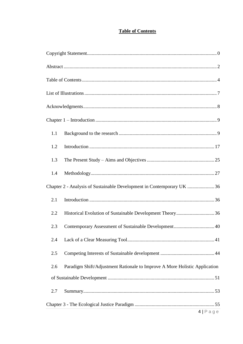# **Table of Contents**

<span id="page-4-0"></span>

| 1.1                                                                    |                                                                            |  |  |
|------------------------------------------------------------------------|----------------------------------------------------------------------------|--|--|
| 1.2                                                                    |                                                                            |  |  |
| 1.3                                                                    |                                                                            |  |  |
| 1.4                                                                    |                                                                            |  |  |
| Chapter 2 - Analysis of Sustainable Development in Contemporary UK  36 |                                                                            |  |  |
| 2.1                                                                    |                                                                            |  |  |
| 2.2                                                                    |                                                                            |  |  |
| 2.3                                                                    | Contemporary Assessment of Sustainable Development 40                      |  |  |
| 2.4                                                                    |                                                                            |  |  |
| 2.5                                                                    |                                                                            |  |  |
| 2.6                                                                    | Paradigm Shift/Adjustment Rationale to Improve A More Holistic Application |  |  |
|                                                                        |                                                                            |  |  |
| 2.7                                                                    |                                                                            |  |  |
|                                                                        |                                                                            |  |  |
|                                                                        | 4 Page                                                                     |  |  |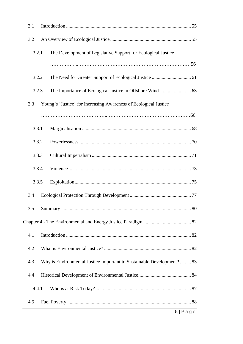| 3.1   |                                                                       |        |
|-------|-----------------------------------------------------------------------|--------|
| 3.2   |                                                                       |        |
| 3.2.1 | The Development of Legislative Support for Ecological Justice         |        |
|       |                                                                       |        |
| 3.2.2 |                                                                       |        |
| 3.2.3 |                                                                       |        |
| 3.3   | Young's 'Justice' for Increasing Awareness of Ecological Justice      |        |
|       |                                                                       |        |
| 3.3.1 |                                                                       |        |
| 3.3.2 |                                                                       |        |
| 3.3.3 |                                                                       |        |
| 3.3.4 |                                                                       |        |
| 3.3.5 |                                                                       |        |
| 3.4   |                                                                       |        |
| 3.5   |                                                                       |        |
|       |                                                                       |        |
| 4.1   |                                                                       |        |
| 4.2   |                                                                       |        |
| 4.3   | Why is Environmental Justice Important to Sustainable Development? 83 |        |
| 4.4   |                                                                       |        |
| 4.4.1 |                                                                       |        |
| 4.5   |                                                                       |        |
|       |                                                                       | 5 Page |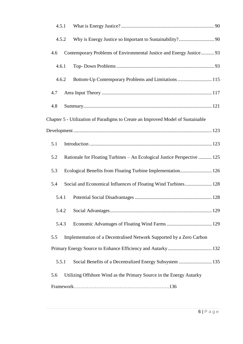| 4.5.1                                                                           |
|---------------------------------------------------------------------------------|
| 4.5.2                                                                           |
| Contemporary Problems of Environmental Justice and Energy Justice 93<br>4.6     |
| 4.6.1                                                                           |
| Bottom-Up Contemporary Problems and Limitations  115<br>4.6.2                   |
| 4.7                                                                             |
| 4.8                                                                             |
| Chapter 5 - Utilization of Paradigms to Create an Improved Model of Sustainable |
|                                                                                 |
| 5.1                                                                             |
| 5.2<br>Rationale for Floating Turbines – An Ecological Justice Perspective  125 |
| Ecological Benefits from Floating Turbine Implementation 126<br>5.3             |
| Social and Economical Influences of Floating Wind Turbines 128<br>5.4           |
| 5.4.1                                                                           |
| 5.4.2                                                                           |
| 5.4.3                                                                           |
| Implementation of a Decentralised Network Supported by a Zero Carbon<br>5.5     |
|                                                                                 |
| Social Benefits of a Decentralized Energy Subsystem  135<br>5.5.1               |
| Utilizing Offshore Wind as the Primary Source in the Energy Autarky<br>5.6      |
|                                                                                 |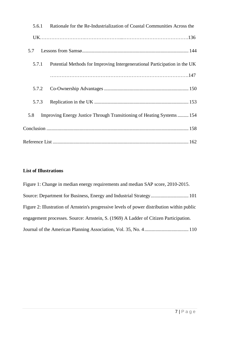| 5.6.1 | Rationale for the Re-Industrialization of Coastal Communities Across the  |  |
|-------|---------------------------------------------------------------------------|--|
|       |                                                                           |  |
|       |                                                                           |  |
| 5.7.1 | Potential Methods for Improving Intergenerational Participation in the UK |  |
|       |                                                                           |  |
| 5.7.2 |                                                                           |  |
| 5.7.3 |                                                                           |  |
| 5.8   | Improving Energy Justice Through Transitioning of Heating Systems 154     |  |
|       |                                                                           |  |
|       |                                                                           |  |

# <span id="page-7-0"></span>**List of Illustrations**

| Figure 1: Change in median energy requirements and median SAP score, 2010-2015.             |
|---------------------------------------------------------------------------------------------|
|                                                                                             |
| Figure 2: Illustration of Arnstein's progressive levels of power distribution within public |
| engagement processes. Source: Arnstein, S. (1969) A Ladder of Citizen Participation.        |
|                                                                                             |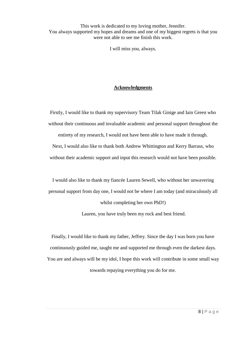This work is dedicated to my loving mother, Jennifer. You always supported my hopes and dreams and one of my biggest regrets is that you were not able to see me finish this work.

I will miss you, always.

## **Acknowledgments**

<span id="page-8-0"></span>Firstly, I would like to thank my supervisory Team Tilak Ginige and Iain Green who without their continuous and invaluable academic and personal support throughout the

entirety of my research, I would not have been able to have made it through.

Next, I would also like to thank both Andrew Whittington and Kerry Barrass, who without their academic support and input this research would not have been possible.

I would also like to thank my fiancée Lauren Sewell, who without her unwavering personal support from day one, I would not be where I am today (and miraculously all whilst completing her own PhD!)

Lauren, you have truly been my rock and best friend.

Finally, I would like to thank my father, Jeffrey. Since the day I was born you have continuously guided me, taught me and supported me through even the darkest days. You are and always will be my idol, I hope this work will contribute in some small way towards repaying everything you do for me.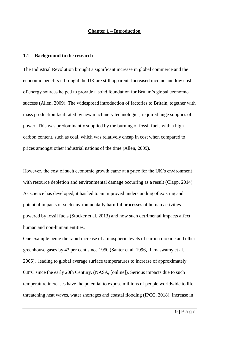#### **Chapter 1 – Introduction**

#### <span id="page-9-1"></span><span id="page-9-0"></span>**1.1 Background to the research**

The Industrial Revolution brought a significant increase in global commerce and the economic benefits it brought the UK are still apparent. Increased income and low cost of energy sources helped to provide a solid foundation for Britain's global economic success (Allen, 2009). The widespread introduction of factories to Britain, together with mass production facilitated by new machinery technologies, required huge supplies of power. This was predominantly supplied by the burning of fossil fuels with a high carbon content, such as coal, which was relatively cheap in cost when compared to prices amongst other industrial nations of the time (Allen, 2009).

However, the cost of such economic growth came at a price for the UK's environment with resource depletion and environmental damage occurring as a result (Clapp, 2014). As science has developed, it has led to an improved understanding of existing and potential impacts of such environmentally harmful processes of human activities powered by fossil fuels (Stocker et al. 2013) and how such detrimental impacts affect human and non-human entities.

One example being the rapid increase of atmospheric levels of carbon dioxide and other greenhouse gases by 43 per cent since 1950 (Santer et al. 1996, Ramaswamy et al. 2006), leading to global average surface temperatures to increase of approximately 0.8°C since the early 20th Century. (NASA, [online]). Serious impacts due to such temperature increases have the potential to expose millions of people worldwide to lifethreatening heat waves, water shortages and coastal flooding (IPCC, 2018). Increase in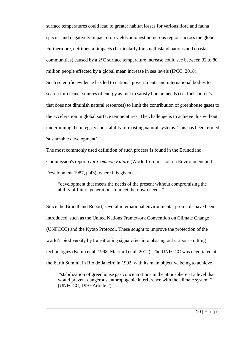surface temperatures could lead to greater habitat losses for various flora and fauna species and negatively impact crop yields amongst numerous regions across the globe. Furthermore, detrimental impacts (Particularly for small island nations and coastal communities) caused by a 2°C surface temperature increase could see between 32 to 80 million people effected by a global mean increase in sea levels (IPCC, 2018). Such scientific evidence has led to national governments and international bodies to search for cleaner sources of energy as fuel to satisfy human needs (i.e. fuel source/s that does not diminish natural resources) to limit the contribution of greenhouse gases to the acceleration in global surface temperatures. The challenge is to achieve this without undermining the integrity and stability of existing natural systems. This has been termed 'sustainable development'.

The most commonly used definition of such process is found in the Brundtland Commission's report *Our Common Future* (World Commission on Environment and Development 1987, p.43), where it is given as:

"development that meets the needs of the present without compromising the ability of future generations to meet their own needs."

Since the Brundtland Report, several international environmental protocols have been introduced, such as the United Nations Framework Convention on Climate Change (UNFCCC) and the Kyoto Protocol. These sought to improve the protection of the world's biodiversity by transitioning signatories into phasing out carbon-emitting technologies (Kemp et al, 1998, Markard et al. 2012). The UNFCCC was negotiated at the Earth Summit in Rio de Janeiro in 1992, with its main objective being to achieve

"stabilization of greenhouse gas concentrations in the atmosphere at a level that would prevent dangerous anthropogenic interference with the climate system." (UNFCCC, 1997.Article 2)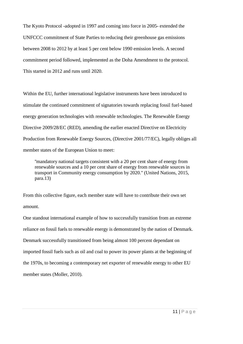The Kyoto Protocol -adopted in 1997 and coming into force in 2005- extended the UNFCCC commitment of State Parties to reducing their greenhouse gas emissions between 2008 to 2012 by at least 5 per cent below 1990 emission levels. A second commitment period followed, implemented as the Doha Amendment to the protocol. This started in 2012 and runs until 2020.

Within the EU, further international legislative instruments have been introduced to stimulate the continued commitment of signatories towards replacing fossil fuel-based energy generation technologies with renewable technologies. The Renewable Energy Directive 2009/28/EC (RED), amending the earlier enacted Directive on Electricity Production from Renewable Energy Sources, (Directive 2001/77/EC), legally obliges all member states of the European Union to meet:

''mandatory national targets consistent with a 20 per cent share of energy from renewable sources and a 10 per cent share of energy from renewable sources in transport in Community energy consumption by 2020.'' (United Nations, 2015, para.13)

From this collective figure, each member state will have to contribute their own set amount.

One standout international example of how to successfully transition from an extreme reliance on fossil fuels to renewable energy is demonstrated by the nation of Denmark. Denmark successfully transitioned from being almost 100 percent dependant on imported fossil fuels such as oil and coal to power its power plants at the beginning of the 1970s, to becoming a contemporary net exporter of renewable energy to other EU member states (Moller, 2010).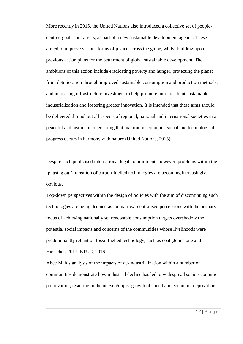More recently in 2015, the United Nations also introduced a collective set of peoplecentred goals and targets, as part of a new sustainable development agenda. These aimed to improve various forms of justice across the globe, whilst building upon previous action plans for the betterment of global sustainable development. The ambitions of this action include eradicating poverty and hunger, protecting the planet from deterioration through improved sustainable consumption and production methods, and increasing infrastructure investment to help promote more resilient sustainable industrialization and fostering greater innovation. It is intended that these aims should be delivered throughout all aspects of regional, national and international societies in a peaceful and just manner, ensuring that maximum economic, social and technological progress occurs in harmony with nature (United Nations, 2015).

Despite such publicised international legal commitments however, problems within the 'phasing out' transition of carbon-fuelled technologies are becoming increasingly obvious.

Top-down perspectives within the design of policies with the aim of discontinuing such technologies are being deemed as too narrow; centralised perceptions with the primary focus of achieving nationally set renewable consumption targets overshadow the potential social impacts and concerns of the communities whose livelihoods were predominantly reliant on fossil fuelled technology, such as coal (Johnstone and Hielscher, 2017; ETUC, 2016).

Alice Mah's analysis of the impacts of de-industrialization within a number of communities demonstrate how industrial decline has led to widespread socio-economic polarization, resulting in the uneven/unjust growth of social and economic deprivation,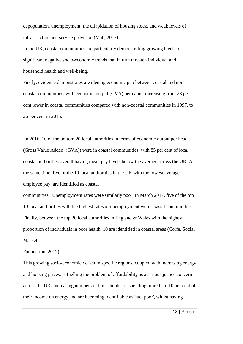depopulation, unemployment, the dilapidation of housing stock, and weak levels of infrastructure and service provision (Mah, 2012).

In the UK, coastal communities are particularly demonstrating growing levels of significant negative socio-economic trends that in turn threaten individual and household health and well-being.

Firstly, evidence demonstrates a widening economic gap between coastal and noncoastal communities, with economic output (GVA) per capita increasing from 23 per cent lower in coastal communities compared with non-coastal communities in 1997, to 26 per cent in 2015.

In 2016, 10 of the bottom 20 local authorities in terms of economic output per head (Gross Value Added (GVA)) were in coastal communities, with 85 per cent of local coastal authorities overall having mean pay levels below the average across the UK. At the same time, five of the 10 local authorities in the UK with the lowest average employee pay, are identified as coastal

communities. Unemployment rates were similarly poor; in March 2017, five of the top 10 local authorities with the highest rates of unemployment were coastal communities. Finally, between the top 20 local authorities in England & Wales with the highest proportion of individuals in poor health, 10 are identified in coastal areas (Corfe, Social Market

Foundation, 2017).

This growing socio-economic deficit in specific regions, coupled with increasing energy and housing prices, is fuelling the problem of affordability as a serious justice concern across the UK. Increasing numbers of households are spending more than 10 per cent of their income on energy and are becoming identifiable as 'fuel poor', whilst having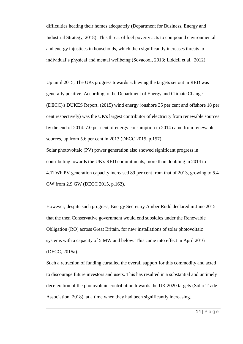difficulties heating their homes adequately (Department for Business, Energy and Industrial Strategy, 2018). This threat of fuel poverty acts to compound environmental and energy injustices in households, which then significantly increases threats to individual's physical and mental wellbeing (Sovacool, 2013; Liddell et al., 2012).

Up until 2015, The UKs progress towards achieving the targets set out in RED was generally positive. According to the Department of Energy and Climate Change (DECC)'s DUKES Report, (2015) wind energy (onshore 35 per cent and offshore 18 per cent respectively) was the UK's largest contributor of electricity from renewable sources by the end of 2014. 7.0 per cent of energy consumption in 2014 came from renewable sources, up from 5.6 per cent in 2013 (DECC 2015, p.157).

Solar photovoltaic (PV) power generation also showed significant progress in contributing towards the UK's RED commitments, more than doubling in 2014 to 4.1TWh.PV generation capacity increased 89 per cent from that of 2013, growing to 5.4 GW from 2.9 GW (DECC 2015, p.162).

However, despite such progress, Energy Secretary Amber Rudd declared in June 2015 that the then Conservative government would end subsidies under the Renewable Obligation (RO) across Great Britain, for new installations of solar photovoltaic systems with a capacity of 5 MW and below. This came into effect in April 2016 (DECC, 2015a).

Such a retraction of funding curtailed the overall support for this commodity and acted to discourage future investors and users. This has resulted in a substantial and untimely deceleration of the photovoltaic contribution towards the UK 2020 targets (Solar Trade Association, 2018), at a time when they had been significantly increasing.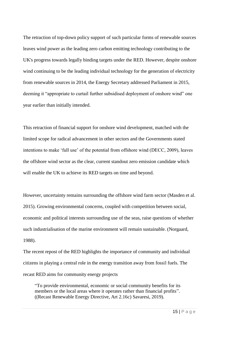The retraction of top-down policy support of such particular forms of renewable sources leaves wind power as the leading zero carbon emitting technology contributing to the UK's progress towards legally binding targets under the RED. However, despite onshore wind continuing to be the leading individual technology for the generation of electricity from renewable sources in 2014, the Energy Secretary addressed Parliament in 2015, deeming it "appropriate to curtail further subsidised deployment of onshore wind" one year earlier than initially intended.

This retraction of financial support for onshore wind development, matched with the limited scope for radical advancement in other sectors and the Governments stated intentions to make 'full use' of the potential from offshore wind (DECC, 2009), leaves the offshore wind sector as the clear, current standout zero emission candidate which will enable the UK to achieve its RED targets on time and beyond.

However, uncertainty remains surrounding the offshore wind farm sector (Masden et al. 2015). Growing environmental concerns, coupled with competition between social, economic and political interests surrounding use of the seas, raise questions of whether such industrialisation of the marine environment will remain sustainable. (Norgaard, 1988).

The recent repost of the RED highlights the importance of community and individual citizens in playing a central role in the energy transition away from fossil fuels. The recast RED aims for community energy projects

"To provide environmental, economic or social community benefits for its members or the local areas where it operates rather than financial profits". ((Recast Renewable Energy Directive, Art 2.16c) Savaresi, 2019).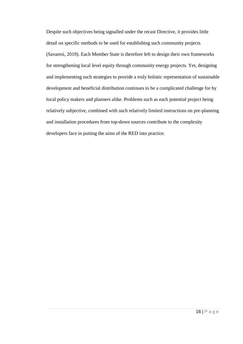Despite such objectives being signalled under the recast Directive, it provides little detail on specific methods to be used for establishing such community projects (Savaresi, 2019). Each Member State is therefore left to design their own frameworks for strengthening local level equity through community energy projects. Yet, designing and implementing such strategies to provide a truly holistic representation of sustainable development and beneficial distribution continues to be a complicated challenge for by local policy makers and planners alike. Problems such as each potential project being relatively subjective, combined with such relatively limited instructions on pre-planning and installation procedures from top-down sources contribute to the complexity developers face in putting the aims of the RED into practice.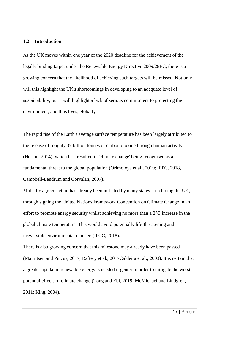#### <span id="page-17-0"></span>**1.2 Introduction**

As the UK moves within one year of the 2020 deadline for the achievement of the legally binding target under the Renewable Energy Directive 2009/28EC, there is a growing concern that the likelihood of achieving such targets will be missed. Not only will this highlight the UK's shortcomings in developing to an adequate level of sustainability, but it will highlight a lack of serious commitment to protecting the environment, and thus lives, globally.

The rapid rise of the Earth's average surface temperature has been largely attributed to the release of roughly 37 billion tonnes of carbon dioxide through human activity (Horton, 2014), which has resulted in 'climate change' being recognised as a fundamental threat to the global population (Orimoloye et al., 2019; IPPC, 2018, Campbell-Lendrum and Corvalán, 2007).

Mutually agreed action has already been initiated by many states – including the UK, through signing the United Nations Framework Convention on Climate Change in an effort to promote energy security whilst achieving no more than a  $2^{\circ}$ C increase in the global climate temperature. This would avoid potentially life-threatening and irreversible environmental damage (IPCC, 2018).

There is also growing concern that this milestone may already have been passed (Mauritsen and Pincus, 2017; Raftery et al., 2017Caldeira et al., 2003). It is certain that a greater uptake in renewable energy is needed urgently in order to mitigate the worst potential effects of climate change (Tong and Ebi, 2019; McMichael and Lindgren, 2011; King, 2004).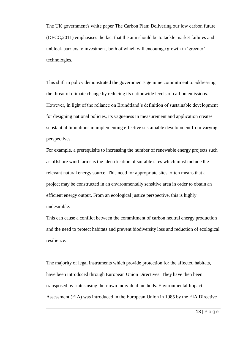The UK government's white paper The Carbon Plan: Delivering our low carbon future (DECC,2011) emphasises the fact that the aim should be to tackle market failures and unblock barriers to investment, both of which will encourage growth in 'greener' technologies.

This shift in policy demonstrated the government's genuine commitment to addressing the threat of climate change by reducing its nationwide levels of carbon emissions. However, in light of the reliance on Brundtland's definition of sustainable development for designing national policies, its vagueness in measurement and application creates substantial limitations in implementing effective sustainable development from varying perspectives.

For example, a prerequisite to increasing the number of renewable energy projects such as offshore wind farms is the identification of suitable sites which must include the relevant natural energy source. This need for appropriate sites, often means that a project may be constructed in an environmentally sensitive area in order to obtain an efficient energy output. From an ecological justice perspective, this is highly undesirable.

This can cause a conflict between the commitment of carbon neutral energy production and the need to protect habitats and prevent biodiversity loss and reduction of ecological resilience.

The majority of legal instruments which provide protection for the affected habitats, have been introduced through European Union Directives. They have then been transposed by states using their own individual methods. Environmental Impact Assessment (EIA) was introduced in the European Union in 1985 by the EIA Directive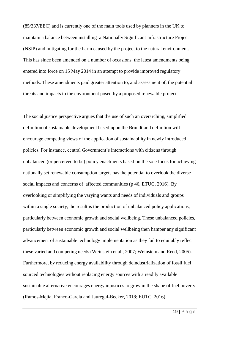(85/337/EEC) and is currently one of the main tools used by planners in the UK to maintain a balance between installing a Nationally Significant Infrastructure Project (NSIP) and mitigating for the harm caused by the project to the natural environment. This has since been amended on a number of occasions, the latest amendments being entered into force on 15 May 2014 in an attempt to provide improved regulatory methods. These amendments paid greater attention to, and assessment of, the potential threats and impacts to the environment posed by a proposed renewable project.

The social justice perspective argues that the use of such an overarching, simplified definition of sustainable development based upon the Brundtland definition will encourage competing views of the application of sustainability in newly introduced policies. For instance, central Government's interactions with citizens through unbalanced (or perceived to be) policy enactments based on the sole focus for achieving nationally set renewable consumption targets has the potential to overlook the diverse social impacts and concerns of affected communities (p 46, ETUC, 2016). By overlooking or simplifying the varying wants and needs of individuals and groups within a single society, the result is the production of unbalanced policy applications, particularly between economic growth and social wellbeing. These unbalanced policies, particularly between economic growth and social wellbeing then hamper any significant advancement of sustainable technology implementation as they fail to equitably reflect these varied and competing needs (Weinstein et al., 2007; Weinstein and Reed, 2005). Furthermore, by reducing energy availability through deindustrialization of fossil fuel sourced technologies without replacing energy sources with a readily available sustainable alternative encourages energy injustices to grow in the shape of fuel poverty (Ramos-Mejía, Franco-Garcia and Jauregui-Becker, 2018; EUTC, 2016).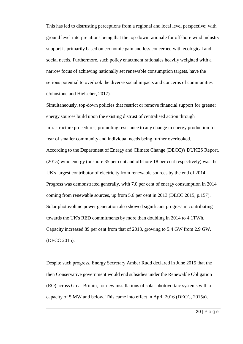This has led to distrusting perceptions from a regional and local level perspective; with ground level interpretations being that the top-down rationale for offshore wind industry support is primarily based on economic gain and less concerned with ecological and social needs. Furthermore, such policy enactment rationales heavily weighted with a narrow focus of achieving nationally set renewable consumption targets, have the serious potential to overlook the diverse social impacts and concerns of communities (Johnstone and Hielscher, 2017).

Simultaneously, top-down policies that restrict or remove financial support for greener energy sources build upon the existing distrust of centralised action through infrastructure procedures, promoting resistance to any change in energy production for fear of smaller community and individual needs being further overlooked. According to the Department of Energy and Climate Change (DECC)'s DUKES Report, (2015) wind energy (onshore 35 per cent and offshore 18 per cent respectively) was the UK's largest contributor of electricity from renewable sources by the end of 2014. Progress was demonstrated generally, with 7.0 per cent of energy consumption in 2014 coming from renewable sources, up from 5.6 per cent in 2013 (DECC 2015, p.157). Solar photovoltaic power generation also showed significant progress in contributing towards the UK's RED commitments by more than doubling in 2014 to 4.1TWh. Capacity increased 89 per cent from that of 2013, growing to 5.4 GW from 2.9 GW. (DECC 2015).

Despite such progress, Energy Secretary Amber Rudd declared in June 2015 that the then Conservative government would end subsidies under the Renewable Obligation (RO) across Great Britain, for new installations of solar photovoltaic systems with a capacity of 5 MW and below. This came into effect in April 2016 (DECC, 2015a).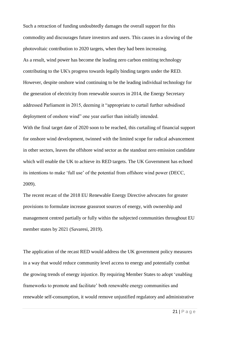Such a retraction of funding undoubtedly damages the overall support for this commodity and discourages future investors and users. This causes in a slowing of the photovoltaic contribution to 2020 targets, when they had been increasing. As a result, wind power has become the leading zero carbon emitting technology contributing to the UK's progress towards legally binding targets under the RED. However, despite onshore wind continuing to be the leading individual technology for the generation of electricity from renewable sources in 2014, the Energy Secretary addressed Parliament in 2015, deeming it "appropriate to curtail further subsidised deployment of onshore wind" one year earlier than initially intended.

With the final target date of 2020 soon to be reached, this curtailing of financial support for onshore wind development, twinned with the limited scope for radical advancement in other sectors, leaves the offshore wind sector as the standout zero emission candidate which will enable the UK to achieve its RED targets. The UK Government has echoed its intentions to make 'full use' of the potential from offshore wind power (DECC, 2009).

The recent recast of the 2018 EU Renewable Energy Directive advocates for greater provisions to formulate increase grassroot sources of energy, with ownership and management centred partially or fully within the subjected communities throughout EU member states by 2021 (Savaresi, 2019).

The application of the recast RED would address the UK government policy measures in a way that would reduce community level access to energy and potentially combat the growing trends of energy injustice. By requiring Member States to adopt 'enabling frameworks to promote and facilitate' both renewable energy communities and renewable self-consumption, it would remove unjustified regulatory and administrative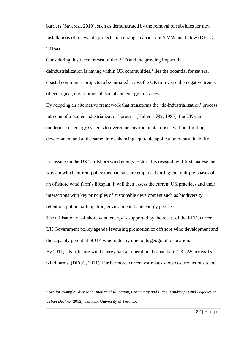barriers (Saveresi, 2019), such as demonstrated by the removal of subsidies for new installations of renewable projects possessing a capacity of 5 MW and below (DECC, 2015a).

Considering this recent recast of the RED and the growing impact that deindustrialization is having within UK communities,<sup>1</sup> lies the potential for several coastal community projects to be initiated across the UK to reverse the negative trends of ecological, environmental, social and energy injustices.

By adopting an alternative framework that transforms the 'de-industrialization' process into one of a 'super-industrialization' process (Huber, 1982, 1985), the UK can modernise its energy systems to overcome environmental crisis, without limiting development and at the same time enhancing equitable application of sustainability.

Focussing on the UK's offshore wind energy sector, this research will first analyse the ways in which current policy mechanisms are employed during the multiple phases of an offshore wind farm's lifespan. It will then assess the current UK practices and their interactions with key principles of sustainable development such as biodiversity retention, public participation, environmental and energy justice.

The utilisation of offshore wind energy is supported by the recast of the RED, current UK Government policy agenda favouring promotion of offshore wind development and the capacity potential of UK wind industry due to its geographic location. By 2011, UK offshore wind energy had an operational capacity of 1.3 GW across 15

wind farms. (DECC, 2011). Furthermore, current estimates show cost reductions to be

<sup>1</sup> See for example Alice Mah; *Industrial Ruination, Community and Place: Landscapes and Legacies of Urban Decline* (2012). Toronto: University of Toronto.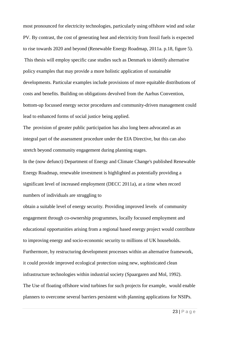most pronounced for electricity technologies, particularly using offshore wind and solar PV. By contrast, the cost of generating heat and electricity from fossil fuels is expected to rise towards 2020 and beyond (Renewable Energy Roadmap, 2011a. p.18, figure 5). This thesis will employ specific case studies such as Denmark to identify alternative policy examples that may provide a more holistic application of sustainable developments. Particular examples include provisions of more equitable distributions of costs and benefits. Building on obligations devolved from the Aarhus Convention, bottom-up focussed energy sector procedures and community-driven management could lead to enhanced forms of social justice being applied.

The provision of greater public participation has also long been advocated as an integral part of the assessment procedure under the EIA Directive, but this can also stretch beyond community engagement during planning stages.

In the (now defunct) Department of Energy and Climate Change's published Renewable Energy Roadmap, renewable investment is highlighted as potentially providing a significant level of increased employment (DECC 2011a), at a time when record numbers of individuals are struggling to

obtain a suitable level of energy security. Providing improved levels of community engagement through co-ownership programmes, locally focussed employment and educational opportunities arising from a regional based energy project would contribute to improving energy and socio-economic security to millions of UK households. Furthermore, by restructuring development processes within an alternative framework, it could provide improved ecological protection using new, sophisticated clean infrastructure technologies within industrial society (Spaargaren and Mol, 1992). The Use of floating offshore wind turbines for such projects for example, would enable planners to overcome several barriers persistent with planning applications for NSIPs.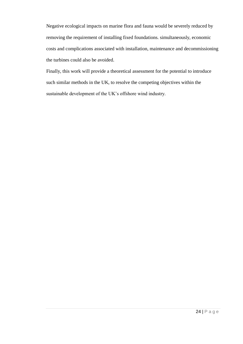Negative ecological impacts on marine flora and fauna would be severely reduced by removing the requirement of installing fixed foundations. simultaneously, economic costs and complications associated with installation, maintenance and decommissioning the turbines could also be avoided.

Finally, this work will provide a theoretical assessment for the potential to introduce such similar methods in the UK, to resolve the competing objectives within the sustainable development of the UK's offshore wind industry.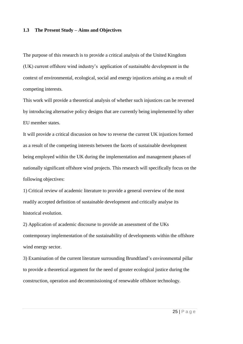### <span id="page-25-0"></span>**1.3 The Present Study – Aims and Objectives**

The purpose of this research is to provide a critical analysis of the United Kingdom (UK) current offshore wind industry's application of sustainable development in the context of environmental, ecological, social and energy injustices arising as a result of competing interests.

This work will provide a theoretical analysis of whether such injustices can be reversed by introducing alternative policy designs that are currently being implemented by other EU member states.

It will provide a critical discussion on how to reverse the current UK injustices formed as a result of the competing interests between the facets of sustainable development being employed within the UK during the implementation and management phases of nationally significant offshore wind projects. This research will specifically focus on the following objectives:

1) Critical review of academic literature to provide a general overview of the most readily accepted definition of sustainable development and critically analyse its historical evolution.

2) Application of academic discourse to provide an assessment of the UKs contemporary implementation of the sustainability of developments within the offshore wind energy sector.

3) Examination of the current literature surrounding Brundtland's environmental pillar to provide a theoretical argument for the need of greater ecological justice during the construction, operation and decommissioning of renewable offshore technology.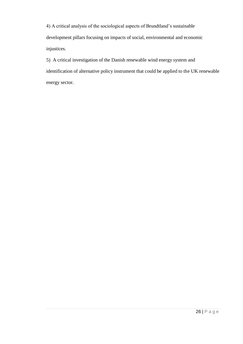4) A critical analysis of the sociological aspects of Brundtland's sustainable development pillars focusing on impacts of social, environmental and economic injustices.

5) A critical investigation of the Danish renewable wind energy system and identification of alternative policy instrument that could be applied to the UK renewable energy sector.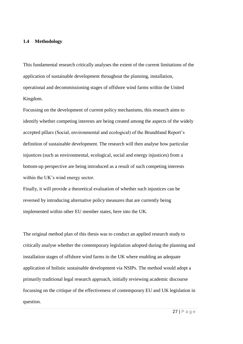#### <span id="page-27-0"></span>**1.4 Methodology**

This fundamental research critically analyses the extent of the current limitations of the application of sustainable development throughout the planning, installation, operational and decommissioning stages of offshore wind farms within the United Kingdom.

Focussing on the development of current policy mechanisms, this research aims to identify whether competing interests are being created among the aspects of the widely accepted pillars (Social, environmental and ecological) of the Brundtland Report's definition of sustainable development. The research will then analyse how particular injustices (such as environmental, ecological, social and energy injustices) from a bottom-up perspective are being introduced as a result of such competing interests within the UK's wind energy sector.

Finally, it will provide a theoretical evaluation of whether such injustices can be reversed by introducing alternative policy measures that are currently being implemented within other EU member states, here into the UK.

The original method plan of this thesis was to conduct an applied research study to critically analyse whether the contemporary legislation adopted during the planning and installation stages of offshore wind farms in the UK where enabling an adequate application of holistic sustainable development via NSIPs. The method would adopt a primarily traditional legal research approach, initially reviewing academic discourse focussing on the critique of the effectiveness of contemporary EU and UK legislation in question.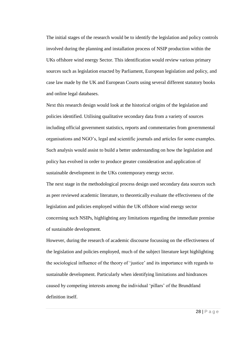The initial stages of the research would be to identify the legislation and policy controls involved during the planning and installation process of NSIP production within the UKs offshore wind energy Sector. This identification would review various primary sources such as legislation enacted by Parliament, European legislation and policy, and case law made by the UK and European Courts using several different statutory books and online legal databases.

Next this research design would look at the historical origins of the legislation and policies identified. Utilising qualitative secondary data from a variety of sources including official government statistics, reports and commentaries from governmental organisations and NGO's, legal and scientific journals and articles for some examples. Such analysis would assist to build a better understanding on how the legislation and policy has evolved in order to produce greater consideration and application of sustainable development in the UKs contemporary energy sector.

The next stage in the methodological process design used secondary data sources such as peer reviewed academic literature, to theoretically evaluate the effectiveness of the legislation and policies employed within the UK offshore wind energy sector concerning such NSIPs, highlighting any limitations regarding the immediate premise of sustainable development.

However, during the research of academic discourse focussing on the effectiveness of the legislation and policies employed, much of the subject literature kept highlighting the sociological influence of the theory of 'justice' and its importance with regards to sustainable development. Particularly when identifying limitations and hindrances caused by competing interests among the individual 'pillars' of the Brundtland definition itself.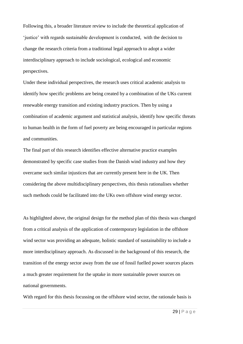Following this, a broader literature review to include the theoretical application of 'justice' with regards sustainable development is conducted, with the decision to change the research criteria from a traditional legal approach to adopt a wider interdisciplinary approach to include sociological, ecological and economic perspectives.

Under these individual perspectives, the research uses critical academic analysis to identify how specific problems are being created by a combination of the UKs current renewable energy transition and existing industry practices. Then by using a combination of academic argument and statistical analysis, identify how specific threats to human health in the form of fuel poverty are being encouraged in particular regions and communities.

The final part of this research identifies effective alternative practice examples demonstrated by specific case studies from the Danish wind industry and how they overcame such similar injustices that are currently present here in the UK. Then considering the above multidisciplinary perspectives, this thesis rationalises whether such methods could be facilitated into the UKs own offshore wind energy sector.

As highlighted above, the original design for the method plan of this thesis was changed from a critical analysis of the application of contemporary legislation in the offshore wind sector was providing an adequate, holistic standard of sustainability to include a more interdisciplinary approach. As discussed in the background of this research, the transition of the energy sector away from the use of fossil fuelled power sources places a much greater requirement for the uptake in more sustainable power sources on national governments.

With regard for this thesis focussing on the offshore wind sector, the rationale basis is

29 | P a g e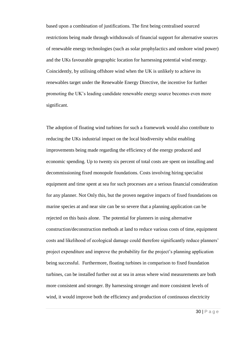based upon a combination of justifications. The first being centralised sourced restrictions being made through withdrawals of financial support for alternative sources of renewable energy technologies (such as solar prophylactics and onshore wind power) and the UKs favourable geographic location for harnessing potential wind energy. Coincidently, by utilising offshore wind when the UK is unlikely to achieve its renewables target under the Renewable Energy Directive, the incentive for further promoting the UK's leading candidate renewable energy source becomes even more significant.

The adoption of floating wind turbines for such a framework would also contribute to reducing the UKs industrial impact on the local biodiversity whilst enabling improvements being made regarding the efficiency of the energy produced and economic spending. Up to twenty six percent of total costs are spent on installing and decommissioning fixed monopole foundations. Costs involving hiring specialist equipment and time spent at sea for such processes are a serious financial consideration for any planner. Not Only this, but the proven negative impacts of fixed foundations on marine species at and near site can be so severe that a planning application can be rejected on this basis alone. The potential for planners in using alternative construction/deconstruction methods at land to reduce various costs of time, equipment costs and likelihood of ecological damage could therefore significantly reduce planners' project expenditure and improve the probability for the project's planning application being successful. Furthermore, floating turbines in comparison to fixed foundation turbines, can be installed further out at sea in areas where wind measurements are both more consistent and stronger. By harnessing stronger and more consistent levels of wind, it would improve both the efficiency and production of continuous electricity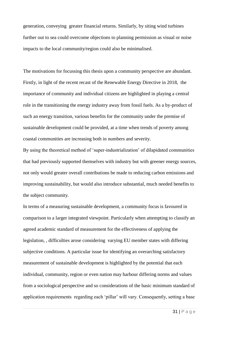generation, conveying greater financial returns. Similarly, by siting wind turbines further out to sea could overcome objections to planning permission as visual or noise impacts to the local community/region could also be minimalised.

The motivations for focussing this thesis upon a community perspective are abundant. Firstly, in light of the recent recast of the Renewable Energy Directive in 2018, the importance of community and individual citizens are highlighted in playing a central role in the transitioning the energy industry away from fossil fuels. As a by-product of such an energy transition, various benefits for the community under the premise of sustainable development could be provided, at a time when trends of poverty among coastal communities are increasing both in numbers and severity.

By using the theoretical method of 'super-industrialization' of dilapidated communities that had previously supported themselves with industry but with greener energy sources, not only would greater overall contributions be made to reducing carbon emissions and improving sustainability, but would also introduce substantial, much needed benefits to the subject community.

In terms of a measuring sustainable development, a community focus is favoured in comparison to a larger integrated viewpoint. Particularly when attempting to classify an agreed academic standard of measurement for the effectiveness of applying the legislation, , difficulties arose considering varying EU member states with differing subjective conditions. A particular issue for identifying an overarching satisfactory measurement of sustainable development is highlighted by the potential that each individual, community, region or even nation may harbour differing norms and values from a sociological perspective and so considerations of the basic minimum standard of application requirements regarding each 'pillar' will vary. Consequently, setting a base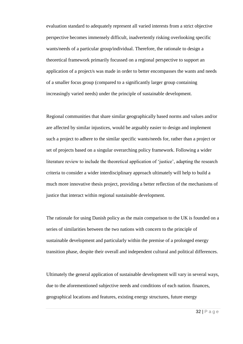evaluation standard to adequately represent all varied interests from a strict objective perspective becomes immensely difficult, inadvertently risking overlooking specific wants/needs of a particular group/individual. Therefore, the rationale to design a theoretical framework primarily focussed on a regional perspective to support an application of a project/s was made in order to better encompasses the wants and needs of a smaller focus group (compared to a significantly larger group containing increasingly varied needs) under the principle of sustainable development.

Regional communities that share similar geographically based norms and values and/or are affected by similar injustices, would be arguably easier to design and implement such a project to adhere to the similar specific wants/needs for, rather than a project or set of projects based on a singular overarching policy framework. Following a wider literature review to include the theoretical application of 'justice', adapting the research criteria to consider a wider interdisciplinary approach ultimately will help to build a much more innovative thesis project, providing a better reflection of the mechanisms of justice that interact within regional sustainable development.

The rationale for using Danish policy as the main comparison to the UK is founded on a series of similarities between the two nations with concern to the principle of sustainable development and particularly within the premise of a prolonged energy transition phase, despite their overall and independent cultural and political differences.

Ultimately the general application of sustainable development will vary in several ways, due to the aforementioned subjective needs and conditions of each nation. finances, geographical locations and features, existing energy structures, future energy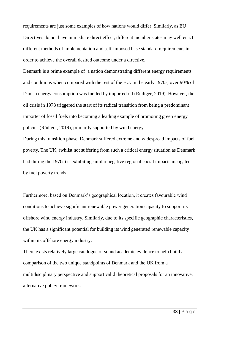requirements are just some examples of how nations would differ. Similarly, as EU Directives do not have immediate direct effect, different member states may well enact different methods of implementation and self-imposed base standard requirements in order to achieve the overall desired outcome under a directive.

Denmark is a prime example of a nation demonstrating different energy requirements and conditions when compared with the rest of the EU. In the early 1970s, over 90% of Danish energy consumption was fuelled by imported oil (Rüdiger, 2019). However, the oil crisis in 1973 triggered the start of its radical transition from being a predominant importer of fossil fuels into becoming a leading example of promoting green energy policies (Rüdiger, 2019), primarily supported by wind energy.

During this transition phase, Denmark suffered extreme and widespread impacts of fuel poverty. The UK, (whilst not suffering from such a critical energy situation as Denmark had during the 1970s) is exhibiting similar negative regional social impacts instigated by fuel poverty trends.

Furthermore, based on Denmark's geographical location, it creates favourable wind conditions to achieve significant renewable power generation capacity to support its offshore wind energy industry. Similarly, due to its specific geographic characteristics, the UK has a significant potential for building its wind generated renewable capacity within its offshore energy industry.

There exists relatively large catalogue of sound academic evidence to help build a comparison of the two unique standpoints of Denmark and the UK from a multidisciplinary perspective and support valid theoretical proposals for an innovative, alternative policy framework.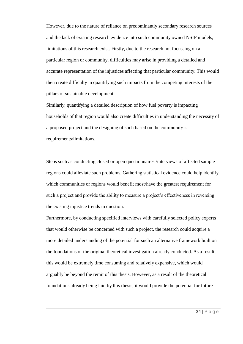However, due to the nature of reliance on predominantly secondary research sources and the lack of existing research evidence into such community owned NSIP models, limitations of this research exist. Firstly, due to the research not focussing on a particular region or community, difficulties may arise in providing a detailed and accurate representation of the injustices affecting that particular community. This would then create difficulty in quantifying such impacts from the competing interests of the pillars of sustainable development.

Similarly, quantifying a detailed description of how fuel poverty is impacting households of that region would also create difficulties in understanding the necessity of a proposed project and the designing of such based on the community's requirements/limitations.

Steps such as conducting closed or open questionnaires /interviews of affected sample regions could alleviate such problems. Gathering statistical evidence could help identify which communities or regions would benefit most/have the greatest requirement for such a project and provide the ability to measure a project's effectiveness in reversing the existing injustice trends in question.

Furthermore, by conducting specified interviews with carefully selected policy experts that would otherwise be concerned with such a project, the research could acquire a more detailed understanding of the potential for such an alternative framework built on the foundations of the original theoretical investigation already conducted. As a result, this would be extremely time consuming and relatively expensive, which would arguably be beyond the remit of this thesis. However, as a result of the theoretical foundations already being laid by this thesis, it would provide the potential for future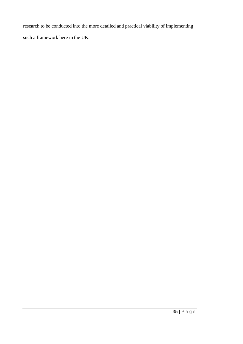research to be conducted into the more detailed and practical viability of implementing such a framework here in the UK.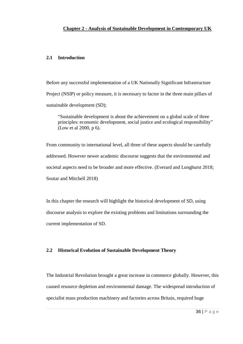# **2.1 Introduction**

Before any successful implementation of a UK Nationally Significant Infrastructure Project (NSIP) or policy measure, it is necessary to factor in the three main pillars of sustainable development (SD);

"Sustainable development is about the achievement on a global scale of three principles: economic development, social justice and ecological responsibility" (Low et al 2000, p 6).

From community to international level, all three of these aspects should be carefully addressed. However newer academic discourse suggests that the environmental and societal aspects need to be broader and more effective. (Everard and Longhurst 2018; Soutar and Mitchell 2018)

In this chapter the research will highlight the historical development of SD, using discourse analysis to explore the existing problems and limitations surrounding the current implementation of SD.

## **2.2 Historical Evolution of Sustainable Development Theory**

The Industrial Revolution brought a great increase in commerce globally. However, this caused resource depletion and environmental damage. The widespread introduction of specialist mass production machinery and factories across Britain, required huge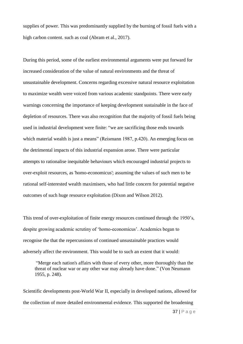supplies of power. This was predominantly supplied by the burning of fossil fuels with a high carbon content. such as coal (Abram et al., 2017).

During this period, some of the earliest environmental arguments were put forward for increased consideration of the value of natural environments and the threat of unsustainable development. Concerns regarding excessive natural resource exploitation to maximize wealth were voiced from various academic standpoints. There were early warnings concerning the importance of keeping development sustainable in the face of depletion of resources. There was also recognition that the majority of fossil fuels being used in industrial development were finite: "we are sacrificing those ends towards which material wealth is just a means" (Reismann 1987, p.420). An emerging focus on the detrimental impacts of this industrial expansion arose. There were particular attempts to rationalise inequitable behaviours which encouraged industrial projects to over-exploit resources, as 'homo-economicus'; assuming the values of such men to be rational self-interested wealth maximisers, who had little concern for potential negative outcomes of such huge resource exploitation (Dixon and Wilson 2012).

This trend of over-exploitation of finite energy resources continued through the 1950's, despite growing academic scrutiny of 'homo-economicus'. Academics began to recognise the that the repercussions of continued unsustainable practices would adversely affect the environment. This would be to such an extent that it would:

"Merge each nation's affairs with those of every other, more thoroughly than the threat of nuclear war or any other war may already have done." (Von Neumann 1955, p. 248).

Scientific developments post-World War II, especially in developed nations, allowed for the collection of more detailed environmental evidence. This supported the broadening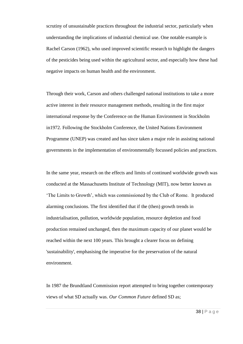scrutiny of unsustainable practices throughout the industrial sector, particularly when understanding the implications of industrial chemical use. One notable example is Rachel Carson (1962), who used improved scientific research to highlight the dangers of the pesticides being used within the agricultural sector, and especially how these had negative impacts on human health and the environment.

Through their work, Carson and others challenged national institutions to take a more active interest in their resource management methods, resulting in the first major international response by the Conference on the Human Environment in Stockholm in1972. Following the Stockholm Conference, the United Nations Environment Programme (UNEP) was created and has since taken a major role in assisting national governments in the implementation of environmentally focussed policies and practices.

In the same year, research on the effects and limits of continued worldwide growth was conducted at the Massachusetts Institute of Technology (MIT), now better known as 'The Limits to Growth', which was commissioned by the Club of Rome. It produced alarming conclusions. The first identified that if the (then) growth trends in industrialisation, pollution, worldwide population, resource depletion and food production remained unchanged, then the maximum capacity of our planet would be reached within the next 100 years. This brought a clearer focus on defining 'sustainability', emphasising the imperative for the preservation of the natural environment.

In 1987 the Brundtland Commission report attempted to bring together contemporary views of what SD actually was. *Our Common Future* defined SD as;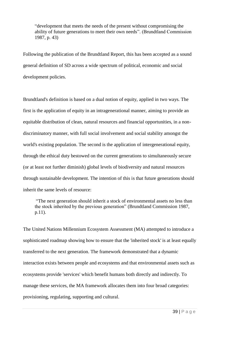"development that meets the needs of the present without compromising the ability of future generations to meet their own needs". (Brundtland Commission 1987, p. 43)

Following the publication of the Brundtland Report, this has been accepted as a sound general definition of SD across a wide spectrum of political, economic and social development policies.

Brundtland's definition is based on a dual notion of equity, applied in two ways. The first is the application of equity in an intragenerational manner, aiming to provide an equitable distribution of clean, natural resources and financial opportunities, in a nondiscriminatory manner, with full social involvement and social stability amongst the world's existing population. The second is the application of intergenerational equity, through the ethical duty bestowed on the current generations to simultaneously secure (or at least not further diminish) global levels of biodiversity and natural resources through sustainable development. The intention of this is that future generations should inherit the same levels of resource:

"The next generation should inherit a stock of environmental assets no less than the stock inherited by the previous generation" (Brundtland Commission 1987, p.11).

The United Nations Millennium Ecosystem Assessment (MA) attempted to introduce a sophisticated roadmap showing how to ensure that the 'inherited stock' is at least equally transferred to the next generation. The framework demonstrated that a dynamic interaction exists between people and ecosystems and that environmental assets such as ecosystems provide 'services' which benefit humans both directly and indirectly. To manage these services, the MA framework allocates them into four broad categories: provisioning, regulating, supporting and cultural.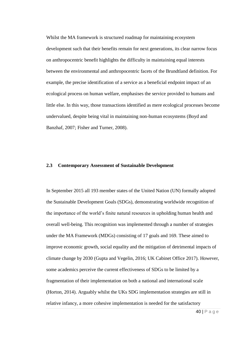Whilst the MA framework is structured roadmap for maintaining ecosystem development such that their benefits remain for next generations, its clear narrow focus on anthropocentric benefit highlights the difficulty in maintaining equal interests between the environmental and anthropocentric facets of the Brundtland definition. For example, the precise identification of a service as a beneficial endpoint impact of an ecological process on human welfare, emphasises the service provided to humans and little else. In this way, those transactions identified as mere ecological processes become undervalued, despite being vital in maintaining non-human ecosystems (Boyd and Banzhaf, 2007; Fisher and Turner, 2008).

## **2.3 Contemporary Assessment of Sustainable Development**

In September 2015 all 193 member states of the United Nation (UN) formally adopted the Sustainable Development Goals (SDGs), demonstrating worldwide recognition of the importance of the world's finite natural resources in upholding human health and overall well-being. This recognition was implemented through a number of strategies under the MA Framework (MDGs) consisting of 17 goals and 169. These aimed to improve economic growth, social equality and the mitigation of detrimental impacts of climate change by 2030 (Gupta and Vegelin, 2016; UK Cabinet Office 2017). However, some academics perceive the current effectiveness of SDGs to be limited by a fragmentation of their implementation on both a national and international scale (Horton, 2014). Arguably whilst the UKs SDG implementation strategies are still in relative infancy, a more cohesive implementation is needed for the satisfactory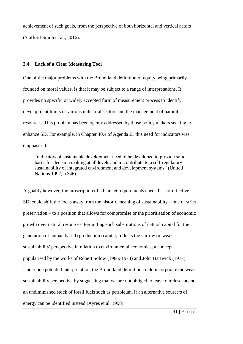achievement of such goals, from the perspective of both horizontal and vertical actors (Stafford-Smith et al., 2016).

## **2.4 Lack of a Clear Measuring Tool**

One of the major problems with the Brundtland definition of equity being primarily founded on moral values, is that it may be subject to a range of interpretations. It provides no specific or widely accepted form of measurement process to identify development limits of various industrial sectors and the management of natural resources. This problem has been openly addressed by those policy makers seeking to enhance SD. For example, in Chapter 40.4 of Agenda 21 this need for indicators was emphasised:

"indicators of sustainable development need to be developed to provide solid bases for decision making at all levels and to contribute to a self-regulatory sustainability of integrated environment and development systems" (United Nations 1992, p.346).

Arguably however, the proscription of a blanket requirements check list for effective SD, could shift the focus away from the historic meaning of sustainability – one of strict preservation – to a position that allows for compromise or the prioritisation of economic growth over natural resources. Permitting such substitutions of natural capital for the generation of human based (production) capital, reflects the narrow or 'weak sustainability' perspective in relation to environmental economics; a concept popularised by the works of Robert Solow (1986; 1974) and John Hartwick (1977). Under one potential interpretation, the Brundtland definition could incorporate the weak sustainability perspective by suggesting that we are not obliged to leave our descendants an undiminished stock of fossil fuels such as petroleum, if an alternative source/s of energy can be identified instead (Ayres et al. 1998).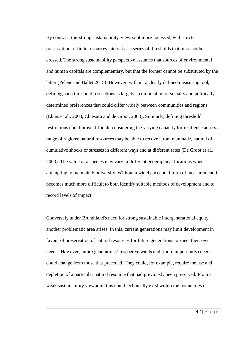By contrast, the 'strong sustainability' viewpoint more focussed, with stricter preservation of finite resources laid out as a series of thresholds that must not be crossed. The strong sustainability perspective assumes that sources of environmental and human capitals are complementary, but that the former cannot be substituted by the latter (Pelenc and Ballet 2015). However, without a clearly defined measuring tool, defining such threshold restrictions is largely a combination of socially and politically determined preferences that could differ widely between communities and regions (Ekins et al., 2003; Chiesura and de Groot, 2003). Similarly, defining threshold restrictions could prove difficult, considering the varying capacity for resilience across a range of regions; natural resources may be able to recover from manmade, natural of cumulative shocks or stresses in different ways and at different rates (De Groot et al., 2003). The value of a species may vary in different geographical locations when attempting to maintain biodiversity. Without a widely accepted form of measurement, it becomes much more difficult to both identify suitable methods of development and to record levels of impact.

Conversely under Brundtland's need for strong sustainable intergenerational equity, another problematic area arises. In this, current generations may limit development in favour of preservation of natural resources for future generations to 'meet their own needs'. However, future generations' respective wants and (more importantly) needs could change from those that preceded. They could, for example, require the use and depletion of a particular natural resource that had previously been preserved. From a weak sustainability viewpoint this could technically exist within the boundaries of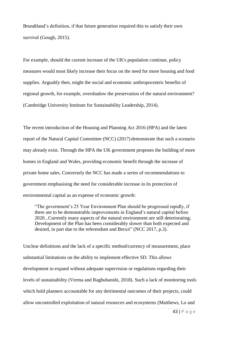Brundtland's definition, if that future generation required this to satisfy their own survival (Gough, 2015).

For example, should the current increase of the UK's population continue, policy measures would most likely increase their focus on the need for more housing and food supplies. Arguably then, might the social and economic anthropocentric benefits of regional growth, for example, overshadow the preservation of the natural environment? (Cambridge University Institute for Sustainability Leadership, 2014).

The recent introduction of the Housing and Planning Act 2016 (HPA) and the latest report of the Natural Capital Committee (NCC) (2017) demonstrate that such a scenario may already exist. Through the HPA the UK government proposes the building of more homes in England and Wales, providing economic benefit through the increase of private home sales. Conversely the NCC has made a series of recommendations to government emphasising the need for considerable increase in its protection of environmental capital as an expense of economic growth:

"The government's 25 Year Environment Plan should be progressed rapidly, if there are to be demonstrable improvements in England's natural capital before 2020...Currently many aspects of the natural environment are still deteriorating; Development of the Plan has been considerably slower than both expected and desired, in part due to the referendum and Brexit" (NCC 2017, p.3).

Unclear definitions and the lack of a specific method/currency of measurement, place substantial limitations on the ability to implement effective SD. This allows development to expand without adequate supervision or regulations regarding their levels of sustainability (Verma and Raghubanshi, 2018). Such a lack of monitoring tools which hold planners accountable for any detrimental outcomes of their projects, could allow uncontrolled exploitation of natural resources and ecosystems (Matthews, Lo and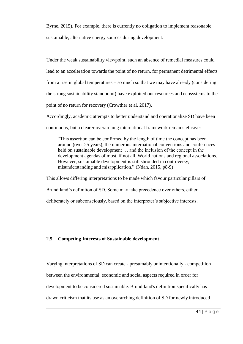Byrne, 2015). For example, there is currently no obligation to implement reasonable, sustainable, alternative energy sources during development.

Under the weak sustainability viewpoint, such an absence of remedial measures could lead to an acceleration towards the point of no return, for permanent detrimental effects from a rise in global temperatures – so much so that we may have already (considering the strong sustainability standpoint) have exploited our resources and ecosystems to the point of no return for recovery (Crowther et al. 2017).

Accordingly, academic attempts to better understand and operationalize SD have been continuous, but a clearer overarching international framework remains elusive:

"This assertion can be confirmed by the length of time the concept has been around (over 25 years), the numerous international conventions and conferences held on sustainable development … and the inclusion of the concept in the development agendas of most, if not all, World nations and regional associations. However, sustainable development is still shrouded in controversy, misunderstanding and misapplication." (Ndah, 2015, p8-9)

This allows differing interpretations to be made which favour particular pillars of Brundtland's definition of SD. Some may take precedence over others, either deliberately or subconsciously, based on the interpreter's subjective interests.

# **2.5 Competing Interests of Sustainable development**

Varying interpretations of SD can create - presumably unintentionally - competition between the environmental, economic and social aspects required in order for development to be considered sustainable. Brundtland's definition specifically has drawn criticism that its use as an overarching definition of SD for newly introduced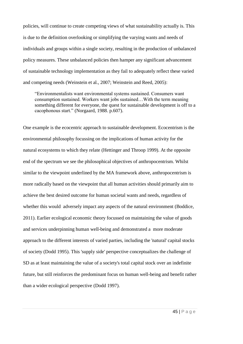policies, will continue to create competing views of what sustainability actually is. This is due to the definition overlooking or simplifying the varying wants and needs of individuals and groups within a single society, resulting in the production of unbalanced policy measures. These unbalanced policies then hamper any significant advancement of sustainable technology implementation as they fail to adequately reflect these varied and competing needs (Weinstein et al., 2007; Weinstein and Reed, 2005):

"Environmentalists want environmental systems sustained. Consumers want consumption sustained. Workers want jobs sustained…With the term meaning something different for everyone, the quest for sustainable development is off to a cacophonous start." (Norgaard, 1988. p.607).

One example is the ecocentric approach to sustainable development. Ecocentrism is the environmental philosophy focussing on the implications of human activity for the natural ecosystems to which they relate (Hettinger and Throop 1999). At the opposite end of the spectrum we see the philosophical objectives of anthropocentrism. Whilst similar to the viewpoint underlined by the MA framework above, anthropocentrism is more radically based on the viewpoint that all human activities should primarily aim to achieve the best desired outcome for human societal wants and needs, regardless of whether this would adversely impact any aspects of the natural environment (Boddice, 2011). Earlier ecological economic theory focussed on maintaining the value of goods and services underpinning human well-being and demonstrated a more moderate approach to the different interests of varied parties, including the 'natural' capital stocks of society (Dodd 1995). This 'supply side' perspective conceptualizes the challenge of SD as at least maintaining the value of a society's total capital stock over an indefinite future, but still reinforces the predominant focus on human well-being and benefit rather than a wider ecological perspective (Dodd 1997).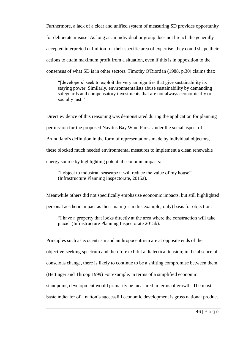Furthermore, a lack of a clear and unified system of measuring SD provides opportunity for deliberate misuse. As long as an individual or group does not breach the generally accepted interpreted definition for their specific area of expertise, they could shape their actions to attain maximum profit from a situation, even if this is in opposition to the consensus of what SD is in other sectors. Timothy O'Riordan (1988, p.30) claims that:

"[developers] seek to exploit the very ambiguities that give sustainability its staying power. Similarly, environmentalists abuse sustainability by demanding safeguards and compensatory investments that are not always economically or socially just."

Direct evidence of this reasoning was demonstrated during the application for planning permission for the proposed Navitus Bay Wind Park. Under the social aspect of Brundtland's definition in the form of representations made by individual objectors, these blocked much needed environmental measures to implement a clean renewable energy source by highlighting potential economic impacts:

"I object to industrial seascape it will reduce the value of my house" (Infrastructure Planning Inspectorate, 2015a).

Meanwhile others did not specifically emphasise economic impacts, but still highlighted personal aesthetic impact as their main (or in this example, only) basis for objection:

"I have a property that looks directly at the area where the construction will take place" (Infrastructure Planning Inspectorate 2015b).

Principles such as ecocentrism and anthropocentrism are at opposite ends of the objective-seeking spectrum and therefore exhibit a dialectical tension; in the absence of conscious change, there is likely to continue to be a shifting compromise between them. (Hettinger and Throop 1999) For example, in terms of a simplified economic standpoint, development would primarily be measured in terms of growth. The most basic indicator of a nation's successful economic development is gross national product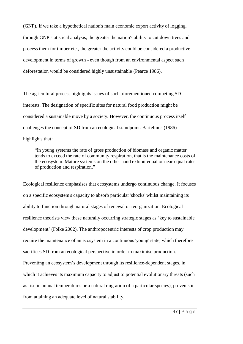(GNP). If we take a hypothetical nation's main economic export activity of logging, through GNP statistical analysis, the greater the nation's ability to cut down trees and process them for timber etc., the greater the activity could be considered a productive development in terms of growth - even though from an environmental aspect such deforestation would be considered highly unsustainable (Pearce 1986).

The agricultural process highlights issues of such aforementioned competing SD interests. The designation of specific sites for natural food production might be considered a sustainable move by a society. However, the continuous process itself challenges the concept of SD from an ecological standpoint. Bartelmus (1986) highlights that:

"In young systems the rate of gross production of biomass and organic matter tends to exceed the rate of community respiration, that is the maintenance costs of the ecosystem. Mature systems on the other hand exhibit equal or near-equal rates of production and respiration."

Ecological resilience emphasises that ecosystems undergo continuous change. It focuses on a specific ecosystem's capacity to absorb particular 'shocks' whilst maintaining its ability to function through natural stages of renewal or reorganization. Ecological resilience theorists view these naturally occurring strategic stages as 'key to sustainable development' (Folke 2002). The anthropocentric interests of crop production may require the maintenance of an ecosystem in a continuous 'young' state, which therefore sacrifices SD from an ecological perspective in order to maximise production. Preventing an ecosystem's development through its resilience-dependent stages, in which it achieves its maximum capacity to adjust to potential evolutionary threats (such as rise in annual temperatures or a natural migration of a particular species), prevents it from attaining an adequate level of natural stability.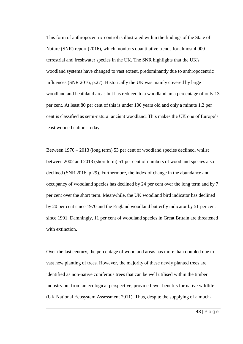This form of anthropocentric control is illustrated within the findings of the State of Nature (SNR) report (2016), which monitors quantitative trends for almost 4,000 terrestrial and freshwater species in the UK. The SNR highlights that the UK's woodland systems have changed to vast extent, predominantly due to anthropocentric influences (SNR 2016, p.27). Historically the UK was mainly covered by large woodland and heathland areas but has reduced to a woodland area percentage of only 13 per cent. At least 80 per cent of this is under 100 years old and only a minute 1.2 per cent is classified as semi-natural ancient woodland. This makes the UK one of Europe's least wooded nations today.

Between 1970 – 2013 (long term) 53 per cent of woodland species declined, whilst between 2002 and 2013 (short term) 51 per cent of numbers of woodland species also declined (SNR 2016, p.29). Furthermore, the index of change in the abundance and occupancy of woodland species has declined by 24 per cent over the long term and by 7 per cent over the short term. Meanwhile, the UK woodland bird indicator has declined by 20 per cent since 1970 and the England woodland butterfly indicator by 51 per cent since 1991. Damningly, 11 per cent of woodland species in Great Britain are threatened with extinction.

Over the last century, the percentage of woodland areas has more than doubled due to vast new planting of trees. However, the majority of these newly planted trees are identified as non-native coniferous trees that can be well utilised within the timber industry but from an ecological perspective, provide fewer benefits for native wildlife (UK National Ecosystem Assessment 2011). Thus, despite the supplying of a much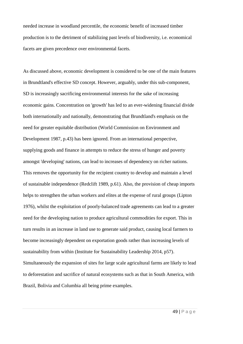needed increase in woodland percentile, the economic benefit of increased timber production is to the detriment of stabilizing past levels of biodiversity, i.e. economical facets are given precedence over environmental facets.

As discussed above, economic development is considered to be one of the main features in Brundtland's effective SD concept. However, arguably, under this sub-component, SD is increasingly sacrificing environmental interests for the sake of increasing economic gains. Concentration on 'growth' has led to an ever-widening financial divide both internationally and nationally, demonstrating that Brundtland's emphasis on the need for greater equitable distribution (World Commission on Environment and Development 1987, p.43) has been ignored. From an international perspective, supplying goods and finance in attempts to reduce the stress of hunger and poverty amongst 'developing' nations, can lead to increases of dependency on richer nations. This removes the opportunity for the recipient country to develop and maintain a level of sustainable independence (Redclift 1989, p.61). Also, the provision of cheap imports helps to strengthen the urban workers and elites at the expense of rural groups (Lipton 1976), whilst the exploitation of poorly-balanced trade agreements can lead to a greater need for the developing nation to produce agricultural commodities for export. This in turn results in an increase in land use to generate said product, causing local farmers to become increasingly dependent on exportation goods rather than increasing levels of sustainability from within (Institute for Sustainability Leadership 2014, p57). Simultaneously the expansion of sites for large scale agricultural farms are likely to lead to deforestation and sacrifice of natural ecosystems such as that in South America, with Brazil, Bolivia and Columbia all being prime examples.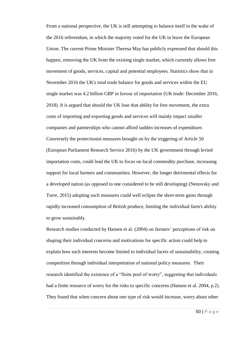From a national perspective, the UK is still attempting to balance itself in the wake of the 2016 referendum, in which the majority voted for the UK to leave the European Union. The current Prime Minister Theresa May has publicly expressed that should this happen, removing the UK from the existing single market, which currently allows free movement of goods, services, capital and potential employees. Statistics show that in November 2016 the UK's total trade balance for goods and services within the EU single market was 4.2 billion GBP in favour of importation (UK trade: December 2016, 2018). It is argued that should the UK lose that ability for free movement, the extra costs of importing and exporting goods and services will mainly impact smaller companies and partnerships who cannot afford sudden increases of expenditure. Conversely the protectionist measures brought on by the triggering of Article 50 (European Parliament Research Service 2016) by the UK government through levied importation costs, could lead the UK to focus on local commodity purchase, increasing support for local farmers and communities. However, the longer detrimental effects for a developed nation (as opposed to one considered to be still developing) (Nenovsky and Torre, 2015) adopting such measures could well eclipse the short-term gains through rapidly increased consumption of British produce, limiting the individual farm's ability to grow sustainably.

Research studies conducted by Hansen et al. (2004) on farmers' perceptions of risk on shaping their individual concerns and motivations for specific action could help to explain how such interests become limited to individual facets of sustainability, creating competition through individual interpretation of national policy measures. Their research identified the existence of a "finite pool of worry", suggesting that individuals had a finite resource of worry for the risks to specific concerns (Hansen et al. 2004, p.2). They found that when concern about one type of risk would increase, worry about other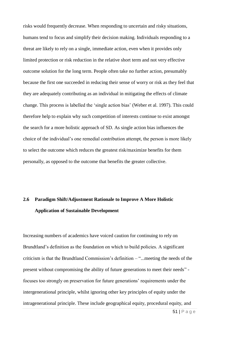risks would frequently decrease. When responding to uncertain and risky situations, humans tend to focus and simplify their decision making. Individuals responding to a threat are likely to rely on a single, immediate action, even when it provides only limited protection or risk reduction in the relative short term and not very effective outcome solution for the long term. People often take no further action, presumably because the first one succeeded in reducing their sense of worry or risk as they feel that they are adequately contributing as an individual in mitigating the effects of climate change. This process is labelled the 'single action bias' (Weber et al. 1997). This could therefore help to explain why such competition of interests continue to exist amongst the search for a more holistic approach of SD. As single action bias influences the choice of the individual's one remedial contribution attempt, the person is more likely to select the outcome which reduces the greatest risk/maximize benefits for them personally, as opposed to the outcome that benefits the greater collective.

# **2.6 Paradigm Shift/Adjustment Rationale to Improve A More Holistic Application of Sustainable Development**

Increasing numbers of academics have voiced caution for continuing to rely on Brundtland's definition as the foundation on which to build policies. A significant criticism is that the Brundtland Commission's definition – "...meeting the needs of the present without compromising the ability of future generations to meet their needs" focuses too strongly on preservation for future generations' requirements under the intergenerational principle, whilst ignoring other key principles of equity under the intragenerational principle. These include geographical equity, procedural equity, and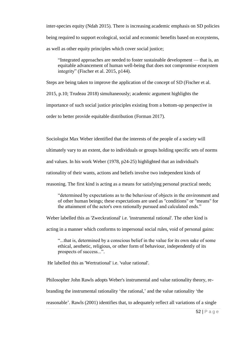inter-species equity (Ndah 2015). There is increasing academic emphasis on SD policies being required to support ecological, social and economic benefits based on ecosystems, as well as other equity principles which cover social justice;

"Integrated approaches are needed to foster sustainable development — that is, an equitable advancement of human well-being that does not compromise ecosystem integrity" (Fischer et al. 2015, p144).

Steps are being taken to improve the application of the concept of SD (Fischer et al.

2015, p.10; Trudeau 2018) simultaneously; academic argument highlights the

importance of such social justice principles existing from a bottom-up perspective in

order to better provide equitable distribution (Forman 2017).

Sociologist Max Weber identified that the interests of the people of a society will

ultimately vary to an extent, due to individuals or groups holding specific sets of norms

and values. In his work Weber (1978, p24-25) highlighted that an individual's

rationality of their wants, actions and beliefs involve two independent kinds of

reasoning. The first kind is acting as a means for satisfying personal practical needs;

"determined by expectations as to the behaviour of objects in the environment and of other human beings; these expectations are used as "conditions" or "means" for the attainment of the actor's own rationally pursued and calculated ends."

Weber labelled this as 'Zweckrational' i.e. 'instrumental rational'. The other kind is

acting in a manner which conforms to impersonal social rules, void of personal gains:

"...that is, determined by a conscious belief in the value for its own sake of some ethical, aesthetic, religious, or other form of behaviour, independently of its prospects of success...".

He labelled this as 'Wertrational' i.e. 'value rational'.

Philosopher John Rawls adopts Weber's instrumental and value rationality theory, re-

branding the instrumental rationality 'the rational,' and the value rationality 'the

reasonable'. Rawls (2001) identifies that, to adequately reflect all variations of a single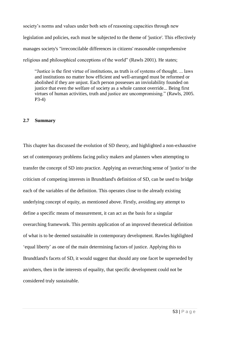society's norms and values under both sets of reasoning capacities through new legislation and policies, each must be subjected to the theme of 'justice'. This effectively manages society's "irreconcilable differences in citizens' reasonable comprehensive religious and philosophical conceptions of the world" (Rawls 2001). He states;

"Justice is the first virtue of institutions, as truth is of systems of thought. ... laws and institutions no matter how efficient and well-arranged must be reformed or abolished if they are unjust. Each person possesses an inviolability founded on justice that even the welfare of society as a whole cannot override... Being first virtues of human activities, truth and justice are uncompromising." (Rawls, 2005. P3-4)

#### **2.7 Summary**

This chapter has discussed the evolution of SD theory, and highlighted a non-exhaustive set of contemporary problems facing policy makers and planners when attempting to transfer the concept of SD into practice. Applying an overarching sense of 'justice' to the criticism of competing interests in Brundtland's definition of SD, can be used to bridge each of the variables of the definition. This operates close to the already existing underlying concept of equity, as mentioned above. Firstly, avoiding any attempt to define a specific means of measurement, it can act as the basis for a singular overarching framework. This permits application of an improved theoretical definition of what is to be deemed sustainable in contemporary development. Rawles highlighted 'equal liberty' as one of the main determining factors of justice. Applying this to Brundtland's facets of SD, it would suggest that should any one facet be superseded by an/others, then in the interests of equality, that specific development could not be considered truly sustainable.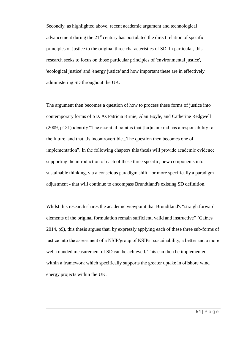Secondly, as highlighted above, recent academic argument and technological advancement during the  $21<sup>st</sup>$  century has postulated the direct relation of specific principles of justice to the original three characteristics of SD. In particular, this research seeks to focus on those particular principles of 'environmental justice', 'ecological justice' and 'energy justice' and how important these are in effectively administering SD throughout the UK.

The argument then becomes a question of how to process these forms of justice into contemporary forms of SD. As Patricia Birnie, Alan Boyle, and Catherine Redgwell (2009, p121) identify "The essential point is that [hu]man kind has a responsibility for the future, and that...is incontrovertible...The question then becomes one of implementation". In the following chapters this thesis will provide academic evidence supporting the introduction of each of these three specific, new components into sustainable thinking, via a conscious paradigm shift - or more specifically a paradigm adjustment - that will continue to encompass Brundtland's existing SD definition.

Whilst this research shares the academic viewpoint that Brundtland's "straightforward elements of the original formulation remain sufficient, valid and instructive" (Gaines 2014, p9), this thesis argues that, by expressly applying each of these three sub-forms of justice into the assessment of a NSIP/group of NSIPs' sustainability, a better and a more well-rounded measurement of SD can be achieved. This can then be implemented within a framework which specifically supports the greater uptake in offshore wind energy projects within the UK.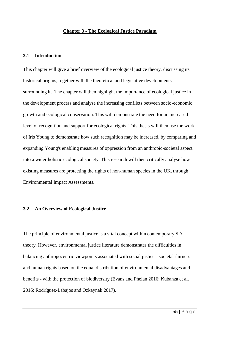#### **Chapter 3 - The Ecological Justice Paradigm**

#### **3.1 Introduction**

This chapter will give a brief overview of the ecological justice theory, discussing its historical origins, together with the theoretical and legislative developments surrounding it. The chapter will then highlight the importance of ecological justice in the development process and analyse the increasing conflicts between socio-economic growth and ecological conservation. This will demonstrate the need for an increased level of recognition and support for ecological rights. This thesis will then use the work of Iris Young to demonstrate how such recognition may be increased, by comparing and expanding Young's enabling measures of oppression from an anthropic-societal aspect into a wider holistic ecological society. This research will then critically analyse how existing measures are protecting the rights of non-human species in the UK, through Environmental Impact Assessments.

#### **3.2 An Overview of Ecological Justice**

The principle of environmental justice is a vital concept within contemporary SD theory. However, environmental justice literature demonstrates the difficulties in balancing anthropocentric viewpoints associated with social justice - societal fairness and human rights based on the equal distribution of environmental disadvantages and benefits - with the protection of biodiversity (Evans and Phelan 2016; Kubanza et al. 2016; Rodríguez-Labajos and Özkaynak 2017).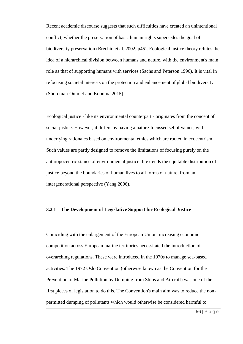Recent academic discourse suggests that such difficulties have created an unintentional conflict; whether the preservation of basic human rights supersedes the goal of biodiversity preservation (Brechin et al. 2002, p45). Ecological justice theory refutes the idea of a hierarchical division between humans and nature, with the environment's main role as that of supporting humans with services (Sachs and Peterson 1996). It is vital in refocusing societal interests on the protection and enhancement of global biodiversity (Shoreman-Ouimet and Kopnina 2015).

Ecological justice - like its environmental counterpart - originates from the concept of social justice. However, it differs by having a nature-focussed set of values, with underlying rationales based on environmental ethics which are rooted in ecocentrism. Such values are partly designed to remove the limitations of focusing purely on the anthropocentric stance of environmental justice. It extends the equitable distribution of justice beyond the boundaries of human lives to all forms of nature, from an intergenerational perspective (Yang 2006).

# **3.2.1 The Development of Legislative Support for Ecological Justice**

Coinciding with the enlargement of the European Union, increasing economic competition across European marine territories necessitated the introduction of overarching regulations. These were introduced in the 1970s to manage sea-based activities. The 1972 Oslo Convention (otherwise known as the Convention for the Prevention of Marine Pollution by Dumping from Ships and Aircraft) was one of the first pieces of legislation to do this. The Convention's main aim was to reduce the nonpermitted dumping of pollutants which would otherwise be considered harmful to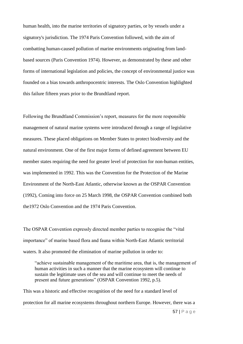human health, into the marine territories of signatory parties, or by vessels under a signatory's jurisdiction. The 1974 Paris Convention followed, with the aim of combatting human-caused pollution of marine environments originating from landbased sources (Paris Convention 1974). However, as demonstrated by these and other forms of international legislation and policies, the concept of environmental justice was founded on a bias towards anthropocentric interests. The Oslo Convention highlighted this failure fifteen years prior to the Brundtland report.

Following the Brundtland Commission's report, measures for the more responsible management of natural marine systems were introduced through a range of legislative measures. These placed obligations on Member States to protect biodiversity and the natural environment. One of the first major forms of defined agreement between EU member states requiring the need for greater level of protection for non-human entities, was implemented in 1992. This was the Convention for the Protection of the Marine Environment of the North-East Atlantic, otherwise known as the OSPAR Convention (1992), Coming into force on 25 March 1998, the OSPAR Convention combined both the1972 Oslo Convention and the 1974 Paris Convention.

The OSPAR Convention expressly directed member parties to recognise the "vital importance" of marine based flora and fauna within North-East Atlantic territorial waters. It also promoted the elimination of marine pollution in order to:

"achieve sustainable management of the maritime area, that is, the management of human activities in such a manner that the marine ecosystem will continue to sustain the legitimate uses of the sea and will continue to meet the needs of present and future generations" (OSPAR Convention 1992, p.5).

This was a historic and effective recognition of the need for a standard level of protection for all marine ecosystems throughout northern Europe. However, there was a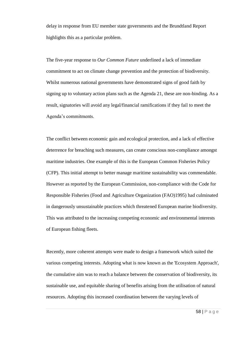delay in response from EU member state governments and the Brundtland Report highlights this as a particular problem.

The five-year response to *Our Common Future* underlined a lack of immediate commitment to act on climate change prevention and the protection of biodiversity. Whilst numerous national governments have demonstrated signs of good faith by signing up to voluntary action plans such as the Agenda 21, these are non-binding. As a result, signatories will avoid any legal/financial ramifications if they fail to meet the Agenda's commitments.

The conflict between economic gain and ecological protection, and a lack of effective deterrence for breaching such measures, can create conscious non-compliance amongst maritime industries. One example of this is the European Common Fisheries Policy (CFP). This initial attempt to better manage maritime sustainability was commendable. However as reported by the European Commission, non-compliance with the Code for Responsible Fisheries (Food and Agriculture Organization (FAO)1995) had culminated in dangerously unsustainable practices which threatened European marine biodiversity. This was attributed to the increasing competing economic and environmental interests of European fishing fleets.

Recently, more coherent attempts were made to design a framework which suited the various competing interests. Adopting what is now known as the 'Ecosystem Approach', the cumulative aim was to reach a balance between the conservation of biodiversity, its sustainable use, and equitable sharing of benefits arising from the utilisation of natural resources. Adopting this increased coordination between the varying levels of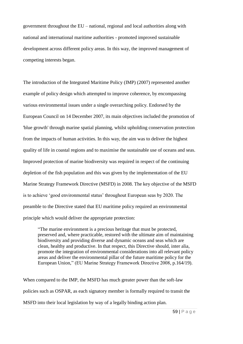government throughout the EU – national, regional and local authorities along with national and international maritime authorities - promoted improved sustainable development across different policy areas. In this way, the improved management of competing interests began.

The introduction of the Integrated Maritime Policy (IMP) (2007) represented another example of policy design which attempted to improve coherence, by encompassing various environmental issues under a single overarching policy. Endorsed by the European Council on 14 December 2007, its main objectives included the promotion of 'blue growth' through marine spatial planning, whilst upholding conservation protection from the impacts of human activities. In this way, the aim was to deliver the highest quality of life in coastal regions and to maximise the sustainable use of oceans and seas. Improved protection of marine biodiversity was required in respect of the continuing depletion of the fish population and this was given by the implementation of the EU Marine Strategy Framework Directive (MSFD) in 2008. The key objective of the MSFD is to achieve 'good environmental status' throughout European seas by 2020. The preamble to the Directive stated that EU maritime policy required an environmental principle which would deliver the appropriate protection:

"The marine environment is a precious heritage that must be protected, preserved and, where practicable, restored with the ultimate aim of maintaining biodiversity and providing diverse and dynamic oceans and seas which are clean, healthy and productive. In that respect, this Directive should, inter alia, promote the integration of environmental considerations into all relevant policy areas and deliver the environmental pillar of the future maritime policy for the European Union," (EU Marine Strategy Framework Directive 2008, p.164/19).

When compared to the IMP, the MSFD has much greater power than the soft-law policies such as OSPAR, as each signatory member is formally required to transit the MSFD into their local legislation by way of a legally binding action plan.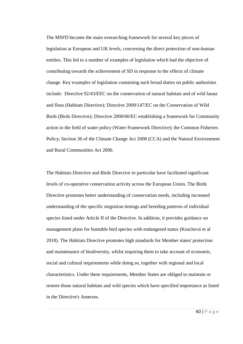The MSFD became the main overarching framework for several key pieces of legislation at European and UK levels, concerning the direct protection of non-human entities. This led to a number of examples of legislation which had the objective of contributing towards the achievement of SD in response to the effects of climate change. Key examples of legislation containing such broad duties on public authorities include: Directive 92/43/EEC on the conservation of natural habitats and of wild fauna and flora (Habitats Directive); Directive 2009/147/EC on the Conservation of Wild Birds (Birds Directive); Directive 2000/60/EC establishing a framework for Community action in the field of water policy (Water Framework Directive); the Common Fisheries Policy; Section 36 of the Climate Change Act 2008 (CCA) and the Natural Environment and Rural Communities Act 2006.

The Habitats Directive and Birds Directive in particular have facilitated significant levels of co-operative conservation activity across the European Union. The Birds Directive promotes better understanding of conservation needs, including increased understanding of the specific migration timings and breeding patterns of individual species listed under Article II of the Directive. In addition, it provides guidance on management plans for huntable bird species with endangered status (Koschová et al 2018). The Habitats Directive promotes high standards for Member states' protection and maintenance of biodiversity, whilst requiring them to take account of economic, social and cultural requirements while doing so, together with regional and local characteristics. Under these requirements, Member States are obliged to maintain or restore those natural habitats and wild species which have specified importance as listed in the Directive's Annexes.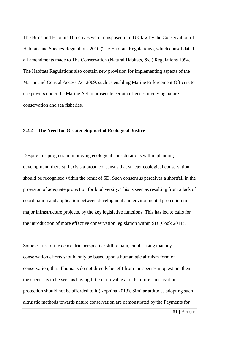The Birds and Habitats Directives were transposed into UK law by the Conservation of Habitats and Species Regulations 2010 (The Habitats Regulations), which consolidated all amendments made to The Conservation (Natural Habitats, &c.) Regulations 1994. The Habitats Regulations also contain new provision for implementing aspects of the Marine and Coastal Access Act 2009, such as enabling Marine Enforcement Officers to use powers under the Marine Act to prosecute certain offences involving nature conservation and sea fisheries.

## **3.2.2 The Need for Greater Support of Ecological Justice**

Despite this progress in improving ecological considerations within planning development, there still exists a broad consensus that stricter ecological conservation should be recognised within the remit of SD. Such consensus perceives a shortfall in the provision of adequate protection for biodiversity. This is seen as resulting from a lack of coordination and application between development and environmental protection in major infrastructure projects, by the key legislative functions. This has led to calls for the introduction of more effective conservation legislation within SD (Cook 2011).

Some critics of the ecocentric perspective still remain, emphasising that any conservation efforts should only be based upon a humanistic altruism form of conservation; that if humans do not directly benefit from the species in question, then the species is to be seen as having little or no value and therefore conservation protection should not be afforded to it (Kopnina 2013). Similar attitudes adopting such altruistic methods towards nature conservation are demonstrated by the Payments for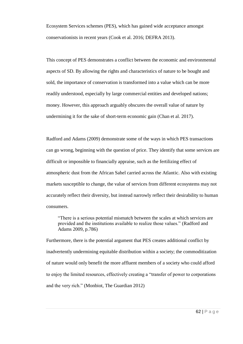Ecosystem Services schemes (PES), which has gained wide acceptance amongst conservationists in recent years (Cook et al. 2016; DEFRA 2013).

This concept of PES demonstrates a conflict between the economic and environmental aspects of SD. By allowing the rights and characteristics of nature to be bought and sold, the importance of conservation is transformed into a value which can be more readily understood, especially by large commercial entities and developed nations; money. However, this approach arguably obscures the overall value of nature by undermining it for the sake of short-term economic gain (Chan et al. 2017).

Radford and Adams (2009) demonstrate some of the ways in which PES transactions can go wrong, beginning with the question of price. They identify that some services are difficult or impossible to financially appraise, such as the fertilizing effect of atmospheric dust from the African Sahel carried across the Atlantic. Also with existing markets susceptible to change, the value of services from different ecosystems may not accurately reflect their diversity, but instead narrowly reflect their desirability to human consumers.

"There is a serious potential mismatch between the scales at which services are provided and the institutions available to realize those values." (Radford and Adams 2009, p.786)

Furthermore, there is the potential argument that PES creates additional conflict by inadvertently undermining equitable distribution within a society; the commoditization of nature would only benefit the more affluent members of a society who could afford to enjoy the limited resources, effectively creating a "transfer of power to corporations and the very rich." (Monbiot, The Guardian 2012)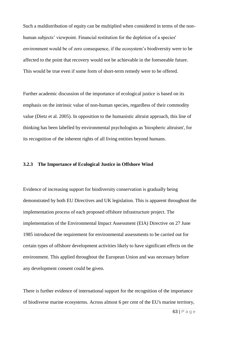Such a maldistribution of equity can be multiplied when considered in terms of the nonhuman subjects' viewpoint. Financial restitution for the depletion of a species' environment would be of zero consequence, if the ecosystem's biodiversity were to be affected to the point that recovery would not be achievable in the foreseeable future. This would be true even if some form of short-term remedy were to be offered.

Further academic discussion of the importance of ecological justice is based on its emphasis on the intrinsic value of non-human species, regardless of their commodity value (Dietz et al. 2005). In opposition to the humanistic altruist approach, this line of thinking has been labelled by environmental psychologists as 'biospheric altruism', for its recognition of the inherent rights of all living entities beyond humans.

## **3.2.3 The Importance of Ecological Justice in Offshore Wind**

Evidence of increasing support for biodiversity conservation is gradually being demonstrated by both EU Directives and UK legislation. This is apparent throughout the implementation process of each proposed offshore infrastructure project. The implementation of the Environmental Impact Assessment (EIA) Directive on 27 June 1985 introduced the requirement for environmental assessments to be carried out for certain types of offshore development activities likely to have significant effects on the environment. This applied throughout the European Union and was necessary before any development consent could be given.

There is further evidence of international support for the recognition of the importance of biodiverse marine ecosystems. Across almost 6 per cent of the EU's marine territory,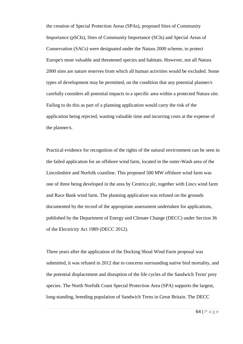the creation of Special Protection Areas (SPAs), proposed Sites of Community Importance (pSCIs), Sites of Community Importance (SCIs) and Special Areas of Conservation (SACs) were designated under the Natura 2000 scheme, to protect Europe's most valuable and threatened species and habitats. However, not all Natura 2000 sites are nature reserves from which all human activities would be excluded. Some types of development may be permitted, on the condition that any potential planner/s carefully considers all potential impacts to a specific area within a protected Natura site. Failing to do this as part of a planning application would carry the risk of the application being rejected, wasting valuable time and incurring costs at the expense of the planner/s.

Practical evidence for recognition of the rights of the natural environment can be seen in the failed application for an offshore wind farm, located in the outer-Wash area of the Lincolnshire and Norfolk coastline. This proposed 500 MW offshore wind farm was one of three being developed in the area by Centrica plc, together with Lincs wind farm and Race Bank wind farm. The planning application was refused on the grounds documented by the record of the appropriate assessment undertaken for applications, published by the Department of Energy and Climate Change (DECC) under Section 36 of the Electricity Act 1989 (DECC 2012).

Three years after the application of the Docking Shoal Wind Farm proposal was submitted, it was refused in 2012 due to concerns surrounding native bird mortality, and the potential displacement and disruption of the life cycles of the Sandwich Terns' prey species. The North Norfolk Coast Special Protection Area (SPA) supports the largest, long-standing, breeding population of Sandwich Terns in Great Britain. The DECC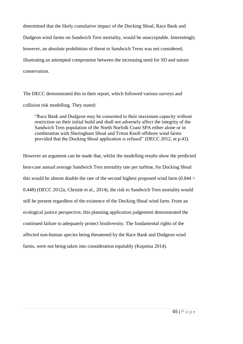determined that the likely cumulative impact of the Docking Shoal, Race Bank and Dudgeon wind farms on Sandwich Tern mortality, would be unacceptable. Interestingly however, an absolute prohibition of threat to Sandwich Terns was not considered, illustrating an attempted compromise between the increasing need for SD and nature conservation.

The DECC demonstrated this in their report, which followed various surveys and collision risk modelling. They stated:

"Race Bank and Dudgeon may be consented to their maximum capacity without restriction on their initial build and shall not adversely affect the integrity of the Sandwich Tern population of the North Norfolk Coast SPA either alone or in combination with Sheringham Shoal and Triton Knoll offshore wind farms provided that the Docking Shoal application is refused" (DECC 2012, at p.43).

However an argument can be made that, whilst the modelling results show the predicted best-case annual average Sandwich Tern mortality rate per turbine, for Docking Shoal this would be almost double the rate of the second highest proposed wind farm (0.844 > 0.448) (DECC 2012a; Christie et al., 2014), the risk to Sandwich Tern mortality would still be present regardless of the existence of the Docking Shoal wind farm. From an ecological justice perspective, this planning application judgement demonstrated the continued failure to adequately protect biodiversity. The fundamental rights of the affected non-human species being threatened by the Race Bank and Dudgeon wind farms, were not being taken into consideration equitably (Kopnina 2014).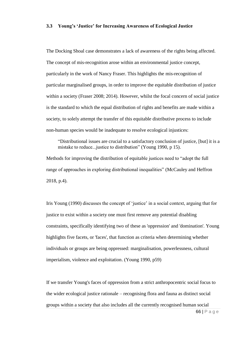#### **3.3 Young's 'Justice' for Increasing Awareness of Ecological Justice**

The Docking Shoal case demonstrates a lack of awareness of the rights being affected. The concept of mis-recognition arose within an environmental justice concept, particularly in the work of Nancy Fraser. This highlights the mis-recognition of particular marginalised groups, in order to improve the equitable distribution of justice within a society (Fraser 2008; 2014). However, whilst the focal concern of social justice is the standard to which the equal distribution of rights and benefits are made within a society, to solely attempt the transfer of this equitable distributive process to include non-human species would be inadequate to resolve ecological injustices:

"Distributional issues are crucial to a satisfactory conclusion of justice, [but] it is a mistake to reduce...justice to distribution" (Young 1990, p 15).

Methods for improving the distribution of equitable justices need to "adopt the full range of approaches in exploring distributional inequalities" (McCauley and Heffron 2018, p.4).

Iris Young (1990) discusses the concept of 'justice' in a social context, arguing that for justice to exist within a society one must first remove any potential disabling constraints, specifically identifying two of these as 'oppression' and 'domination'. Young highlights five facets, or 'faces', that function as criteria when determining whether individuals or groups are being oppressed: marginalisation, powerlessness, cultural imperialism, violence and exploitation. (Young 1990, p59)

If we transfer Young's faces of oppression from a strict anthropocentric social focus to the wider ecological justice rationale – recognising flora and fauna as distinct social groups within a society that also includes all the currently recognised human social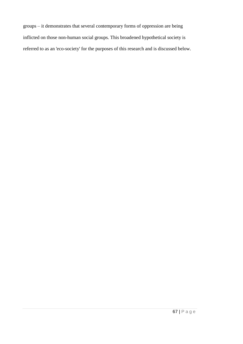groups – it demonstrates that several contemporary forms of oppression are being inflicted on those non-human social groups. This broadened hypothetical society is referred to as an 'eco-society' for the purposes of this research and is discussed below.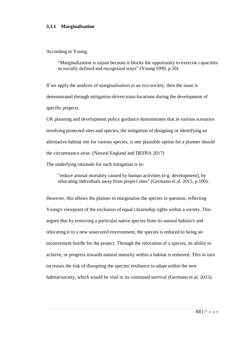#### **3.3.1 Marginalisation**

According to Young;

"Marginalization is unjust because it blocks the opportunity to exercise capacities in socially defined and recognized ways" (Young 1990, p.50).

If we apply the analysis of marginalisation to an eco-society, then the issue is demonstrated through mitigation-driven trans-locations during the development of specific projects.

UK planning and development policy guidance demonstrates that in various scenarios involving protected sites and species, the mitigation of designing or identifying an alternative habitat site for various species, is one plausible option for a planner should the circumstance arise. (Natural England and DEFRA 2017)

The underlying rationale for such mitigation is to:

"reduce animal mortality caused by human activities (e.g. development), by relocating individuals away from project sites" (Germano et al. 2015, p.100).

However, this allows the planner to marginalise the species in question, reflecting Young's viewpoint of the exclusion of equal citizenship rights within a society. This argues that by removing a particular native species from its natural habitat/s and relocating it to a new unsecured environment, the species is reduced to being an inconvenient hurdle for the project. Through the relocation of a species, its ability to achieve, or progress towards natural maturity within a habitat is removed. This in turn increases the risk of disrupting the species' resilience to adapt within the new habitat/society, which would be vital to its continued survival (Germano et al. 2015).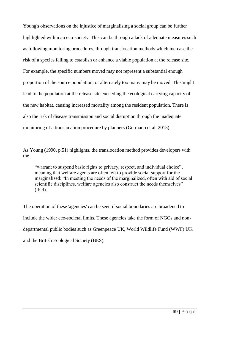Young's observations on the injustice of marginalising a social group can be further highlighted within an eco-society. This can be through a lack of adequate measures such as following monitoring procedures, through translocation methods which increase the risk of a species failing to establish or enhance a viable population at the release site. For example, the specific numbers moved may not represent a substantial enough proportion of the source population, or alternately too many may be moved. This might lead to the population at the release site exceeding the ecological carrying capacity of the new habitat, causing increased mortality among the resident population. There is also the risk of disease transmission and social disruption through the inadequate monitoring of a translocation procedure by planners (Germano et al. 2015).

As Young (1990, p.51) highlights, the translocation method provides developers with the

"warrant to suspend basic rights to privacy, respect, and individual choice", meaning that welfare agents are often left to provide social support for the marginalised: "In meeting the needs of the marginalized, often with aid of social scientific disciplines, welfare agencies also construct the needs themselves" (Ibid).

The operation of these 'agencies' can be seen if social boundaries are broadened to include the wider eco-societal limits. These agencies take the form of NGOs and nondepartmental public bodies such as Greenpeace UK, World Wildlife Fund (WWF) UK and the British Ecological Society (BES).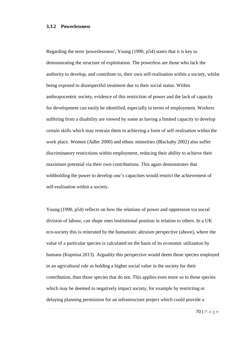#### **3.3.2 Powerlessness**

Regarding the term 'powerlessness', Young (1990, p54) states that it is key to demonstrating the structure of exploitation. The powerless are those who lack the authority to develop, and contribute to, their own self-realisation within a society, whilst being exposed to disrespectful treatment due to their social status. Within anthropocentric society, evidence of this restriction of power and the lack of capacity for development can easily be identified, especially in terms of employment. Workers suffering from a disability are viewed by some as having a limited capacity to develop certain skills which may restrain them in achieving a form of self-realisation within the work place. Women (Adler 2000) and ethnic minorities (Blackaby 2002) also suffer discriminatory restrictions within employment, reducing their ability to achieve their maximum potential via their own contributions. This again demonstrates that withholding the power to develop one's capacities would restrict the achievement of self-realisation within a society.

Young (1990, p54) reflects on how the relations of power and oppression via social division of labour, can shape ones institutional position in relation to others. In a UK eco-society this is reiterated by the humanistic altruism perspective (above), where the value of a particular species is calculated on the basis of its economic utilization by humans (Kopnina 2013). Arguably this perspective would deem those species employed in an agricultural role as holding a higher social value in the society for their contribution, than those species that do not. This applies even more so to those species which may be deemed to negatively impact society, for example by restricting or delaying planning permission for an infrastructure project which could provide a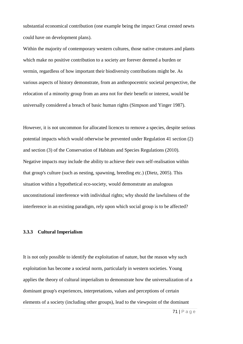substantial economical contribution (one example being the impact Great crested newts could have on development plans).

Within the majority of contemporary western cultures, those native creatures and plants which make no positive contribution to a society are forever deemed a burden or vermin, regardless of how important their biodiversity contributions might be. As various aspects of history demonstrate, from an anthropocentric societal perspective, the relocation of a minority group from an area not for their benefit or interest, would be universally considered a breach of basic human rights (Simpson and Yinger 1987).

However, it is not uncommon for allocated licences to remove a species, despite serious potential impacts which would otherwise be prevented under Regulation 41 section (2) and section (3) of the Conservation of Habitats and Species Regulations (2010). Negative impacts may include the ability to achieve their own self-realisation within that group's culture (such as nesting, spawning, breeding etc.) (Dietz, 2005). This situation within a hypothetical eco-society, would demonstrate an analogous unconstitutional interference with individual rights; why should the lawfulness of the interference in an existing paradigm, rely upon which social group is to be affected?

## **3.3.3 Cultural Imperialism**

It is not only possible to identify the exploitation of nature, but the reason why such exploitation has become a societal norm, particularly in western societies. Young applies the theory of cultural imperialism to demonstrate how the universalization of a dominant group's experiences, interpretations, values and perceptions of certain elements of a society (including other groups), lead to the viewpoint of the dominant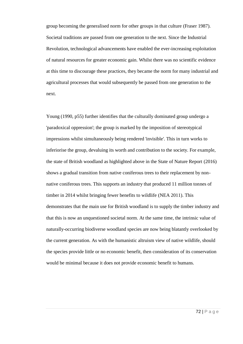group becoming the generalised norm for other groups in that culture (Fraser 1987). Societal traditions are passed from one generation to the next. Since the Industrial Revolution, technological advancements have enabled the ever-increasing exploitation of natural resources for greater economic gain. Whilst there was no scientific evidence at this time to discourage these practices, they became the norm for many industrial and agricultural processes that would subsequently be passed from one generation to the next.

Young (1990, p55) further identifies that the culturally dominated group undergo a 'paradoxical oppression'; the group is marked by the imposition of stereotypical impressions whilst simultaneously being rendered 'invisible'. This in turn works to inferiorise the group, devaluing its worth and contribution to the society. For example, the state of British woodland as highlighted above in the State of Nature Report (2016) shows a gradual transition from native coniferous trees to their replacement by nonnative coniferous trees. This supports an industry that produced 11 million tonnes of timber in 2014 whilst bringing fewer benefits to wildlife (NEA 2011). This demonstrates that the main use for British woodland is to supply the timber industry and that this is now an unquestioned societal norm. At the same time, the intrinsic value of naturally-occurring biodiverse woodland species are now being blatantly overlooked by the current generation. As with the humanistic altruism view of native wildlife, should the species provide little or no economic benefit, then consideration of its conservation would be minimal because it does not provide economic benefit to humans.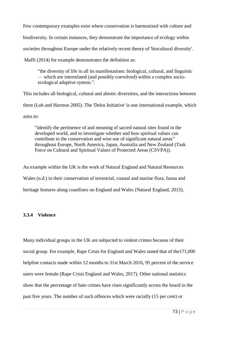Few contemporary examples exist where conservation is harmonized with culture and biodiversity. In certain instances, they demonstrate the importance of ecology within societies throughout Europe under the relatively recent theory of 'biocultural diversity'.

Maffi (2014) for example demonstrates the definition as:

"the diversity of life in all its manifestations: biological, cultural, and linguistic — which are interrelated (and possibly coevolved) within a complex socioecological adaptive system.".

This includes all biological, cultural and abiotic diversities, and the interactions between

them (Loh and Harmon 2005). The 'Delos Initiative' is one international example, which

aims to:

"identify the pertinence of and meaning of sacred natural sites found in the developed world, and to investigate whether and how spiritual values can contribute to the conservation and wise use of significant natural areas" throughout Europe, North America, Japan, Australia and New Zealand (Task Force on Cultural and Spiritual Values of Protected Areas (CSVPA)).

An example within the UK is the work of Natural England and Natural Resources Wales (n.d.) in their conservation of terrestrial, coastal and marine flora, fauna and heritage features along coastlines on England and Wales (Natural England, 2015).

# **3.3.4 Violence**

Many individual groups in the UK are subjected to violent crimes because of their social group. For example, Rape Crisis for England and Wales stated that of the171,000 helpline contacts made within 12 months to 31st March 2016, 95 percent of the service users were female (Rape Crisis England and Wales, 2017). Other national statistics show that the percentage of hate crimes have risen significantly across the board in the past five years. The number of such offences which were racially (15 per cent) or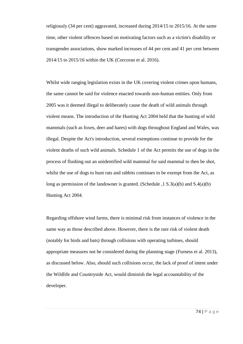religiously (34 per cent) aggravated, increased during 2014/15 to 2015/16. At the same time, other violent offences based on motivating factors such as a victim's disability or transgender associations, show marked increases of 44 per cent and 41 per cent between 2014/15 to 2015/16 within the UK (Corcoran et al. 2016).

Whilst wide ranging legislation exists in the UK covering violent crimes upon humans, the same cannot be said for violence enacted towards non-human entities. Only from 2005 was it deemed illegal to deliberately cause the death of wild animals through violent means. The introduction of the Hunting Act 2004 held that the hunting of wild mammals (such as foxes, deer and hares) with dogs throughout England and Wales, was illegal. Despite the Act's introduction, several exemptions continue to provide for the violent deaths of such wild animals. Schedule 1 of the Act permits the use of dogs in the process of flushing out an unidentified wild mammal for said mammal to then be shot, whilst the use of dogs to hunt rats and rabbits continues to be exempt from the Act, as long as permission of the landowner is granted. (Schedule ,  $1 S.3(a)(b)$  and  $S.4(a)(b)$ Hunting Act 2004.

Regarding offshore wind farms, there is minimal risk from instances of violence in the same way as those described above. However, there is the rare risk of violent death (notably for birds and bats) through collisions with operating turbines, should appropriate measures not be considered during the planning stage (Furness et al. 2013), as discussed below. Also, should such collisions occur, the lack of proof of intent under the Wildlife and Countryside Act, would diminish the legal accountability of the developer.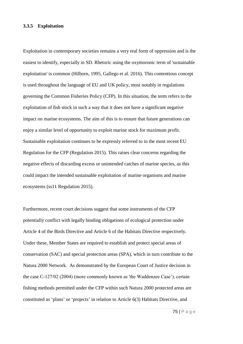### **3.3.5 Exploitation**

Exploitation in contemporary societies remains a very real form of oppression and is the easiest to identify, especially in SD. Rhetoric using the oxymoronic term of 'sustainable exploitation' is common (Hilborn, 1995, Gallego et al. 2016). This contentious concept is used throughout the language of EU and UK policy, most notably in regulations governing the Common Fisheries Policy (CFP). In this situation, the term refers to the exploitation of fish stock in such a way that it does not have a significant negative impact on marine ecosystems. The aim of this is to ensure that future generations can enjoy a similar level of opportunity to exploit marine stock for maximum profit. Sustainable exploitation continues to be expressly referred to in the most recent EU Regulation for the CFP (Regulation 2015). This raises clear concerns regarding the negative effects of discarding excess or unintended catches of marine species, as this could impact the intended sustainable exploitation of marine organisms and marine ecosystems (ss11 Regulation 2015).

Furthermore, recent court decisions suggest that some instruments of the CFP potentially conflict with legally binding obligations of ecological protection under Article 4 of the Birds Directive and Article 6 of the Habitats Directive respectively. Under these, Member States are required to establish and protect special areas of conservation (SAC) and special protection areas (SPA), which in turn contribute to the Natura 2000 Network. As demonstrated by the European Court of Justice decision in the case C-127/02 (2004) (more commonly known as 'the Waddenzee Case'), certain fishing methods permitted under the CFP within such Natura 2000 protected areas are constituted as 'plans' or 'projects' in relation to Article 6(3) Habitats Directive, and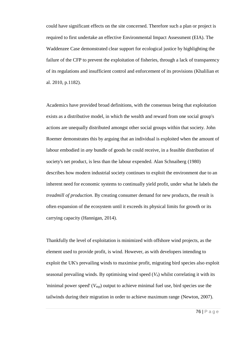could have significant effects on the site concerned. Therefore such a plan or project is required to first undertake an effective Environmental Impact Assessment (EIA). The Waddenzee Case demonstrated clear support for ecological justice by highlighting the failure of the CFP to prevent the exploitation of fisheries, through a lack of transparency of its regulations and insufficient control and enforcement of its provisions (Khalilian et al. 2010, p.1182).

Academics have provided broad definitions, with the consensus being that exploitation exists as a distributive model, in which the wealth and reward from one social group's actions are unequally distributed amongst other social groups within that society. John Roemer demonstrates this by arguing that an individual is exploited when the amount of labour embodied in *any* bundle of goods he could receive, in a feasible distribution of society's net product, is less than the labour expended. Alan Schnaiberg (1980) describes how modern industrial society continues to exploit the environment due to an inherent need for economic systems to continually yield profit, under what he labels the *treadmill of production*. By creating consumer demand for new products, the result is often expansion of the ecosystem until it exceeds its physical limits for growth or its carrying capacity (Hannigan, 2014).

Thankfully the level of exploitation is minimized with offshore wind projects, as the element used to provide profit, is wind. However, as with developers intending to exploit the UK's prevailing winds to maximise profit, migrating bird species also exploit seasonal prevailing winds. By optimising wind speed (*V*a) whilst correlating it with its 'minimal power speed'  $(V_{\text{mp}})$  output to achieve minimal fuel use, bird species use the tailwinds during their migration in order to achieve maximum range (Newton, 2007).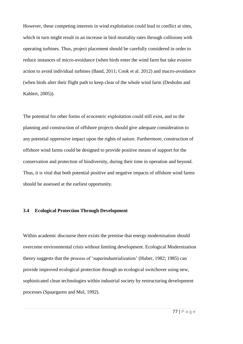However, these competing interests in wind exploitation could lead to conflict at sites, which in turn might result in an increase in bird mortality rates through collisions with operating turbines. Thus, project placement should be carefully considered in order to reduce instances of micro-avoidance (when birds enter the wind farm but take evasive action to avoid individual turbines (Band, 2011; Cook et al. 2012) and macro-avoidance (when birds alter their flight path to keep clear of the whole wind farm (Desholm and Kahlert, 2005)).

The potential for other forms of ecocentric exploitation could still exist, and so the planning and construction of offshore projects should give adequate consideration to any potential oppressive impact upon the rights of nature. Furthermore, construction of offshore wind farms could be designed to provide positive means of support for the conservation and protection of biodiversity, during their time in operation and beyond. Thus, it is vital that both potential positive and negative impacts of offshore wind farms should be assessed at the earliest opportunity.

# **3.4 Ecological Protection Through Development**

Within academic discourse there exists the premise that energy modernisation should overcome environmental crisis without limiting development. Ecological Modernization theory suggests that the process of 'superindustrialization' (Huber, 1982; 1985) can provide improved ecological protection through an ecological switchover using new, sophisticated clean technologies within industrial society by restructuring development processes (Spaargaren and Mol, 1992).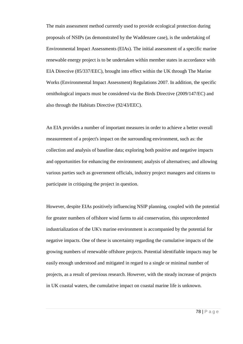The main assessment method currently used to provide ecological protection during proposals of NSIPs (as demonstrated by the Waddenzee case), is the undertaking of Environmental Impact Assessments (EIAs). The initial assessment of a specific marine renewable energy project is to be undertaken within member states in accordance with EIA Directive (85/337/EEC), brought into effect within the UK through The Marine Works (Environmental Impact Assessment) Regulations 2007. In addition, the specific ornithological impacts must be considered via the Birds Directive (2009/147/EC) and also through the Habitats Directive (92/43/EEC).

An EIA provides a number of important measures in order to achieve a better overall measurement of a project's impact on the surrounding environment, such as: the collection and analysis of baseline data; exploring both positive and negative impacts and opportunities for enhancing the environment; analysis of alternatives; and allowing various parties such as government officials, industry project managers and citizens to participate in critiquing the project in question.

However, despite EIAs positively influencing NSIP planning, coupled with the potential for greater numbers of offshore wind farms to aid conservation, this unprecedented industrialization of the UK's marine environment is accompanied by the potential for negative impacts. One of these is uncertainty regarding the cumulative impacts of the growing numbers of renewable offshore projects. Potential identifiable impacts may be easily enough understood and mitigated in regard to a single or minimal number of projects, as a result of previous research. However, with the steady increase of projects in UK coastal waters, the cumulative impact on coastal marine life is unknown.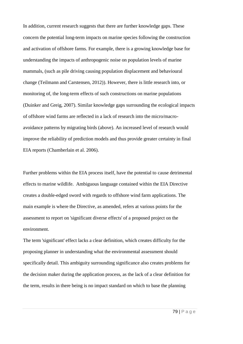In addition, current research suggests that there are further knowledge gaps. These concern the potential long-term impacts on marine species following the construction and activation of offshore farms. For example, there is a growing knowledge base for understanding the impacts of anthropogenic noise on population levels of marine mammals, (such as pile driving causing population displacement and behavioural change (Teilmann and Carstensen, 2012)). However, there is little research into, or monitoring of, the long-term effects of such constructions on marine populations (Duinker and Greig, 2007). Similar knowledge gaps surrounding the ecological impacts of offshore wind farms are reflected in a lack of research into the micro/macroavoidance patterns by migrating birds (above). An increased level of research would improve the reliability of prediction models and thus provide greater certainty in final EIA reports (Chamberlain et al. 2006).

Further problems within the EIA process itself, have the potential to cause detrimental effects to marine wildlife. Ambiguous language contained within the EIA Directive creates a double-edged sword with regards to offshore wind farm applications. The main example is where the Directive, as amended, refers at various points for the assessment to report on 'significant diverse effects' of a proposed project on the environment.

The term 'significant' effect lacks a clear definition, which creates difficulty for the proposing planner in understanding what the environmental assessment should specifically detail. This ambiguity surrounding significance also creates problems for the decision maker during the application process, as the lack of a clear definition for the term, results in there being is no impact standard on which to base the planning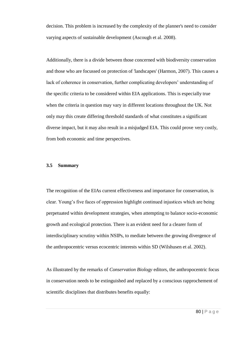decision. This problem is increased by the complexity of the planner's need to consider varying aspects of sustainable development (Ascough et al. 2008).

Additionally, there is a divide between those concerned with biodiversity conservation and those who are focussed on protection of 'landscapes' (Harmon, 2007). This causes a lack of coherence in conservation, further complicating developers' understanding of the specific criteria to be considered within EIA applications. This is especially true when the criteria in question may vary in different locations throughout the UK. Not only may this create differing threshold standards of what constitutes a significant diverse impact, but it may also result in a misjudged EIA. This could prove very costly, from both economic and time perspectives.

### **3.5 Summary**

The recognition of the EIAs current effectiveness and importance for conservation, is clear. Young's five faces of oppression highlight continued injustices which are being perpetuated within development strategies, when attempting to balance socio-economic growth and ecological protection. There is an evident need for a clearer form of interdisciplinary scrutiny within NSIPs, to mediate between the growing divergence of the anthropocentric versus ecocentric interests within SD (Wilshusen et al. 2002).

As illustrated by the remarks of *Conservation Biology* editors, the anthropocentric focus in conservation needs to be extinguished and replaced by a conscious rapprochement of scientific disciplines that distributes benefits equally: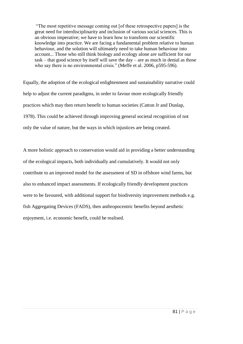"The most repetitive message coming out [of these retrospective papers] is the great need for interdisciplinarity and inclusion of various social sciences. This is an obvious imperative; we have to learn how to transform our scientific knowledge into practice. We are facing a fundamental problem relative to human behaviour, and the solution will ultimately need to take human behaviour into account... Those who still think biology and ecology alone are sufficient for our task – that good science by itself will save the day – are as much in denial as those who say there is no environmental crisis." (Meffe et al. 2006, p595-596).

Equally, the adoption of the ecological enlightenment and sustainability narrative could help to adjust the current paradigms, in order to favour more ecologically friendly practices which may then return benefit to human societies (Catton Jr and Dunlap, 1978). This could be achieved through improving general societal recognition of not only the value of nature, but the ways in which injustices are being created.

A more holistic approach to conservation would aid in providing a better understanding of the ecological impacts, both individually and cumulatively. It would not only contribute to an improved model for the assessment of SD in offshore wind farms, but also to enhanced impact assessments. If ecologically friendly development practices were to be favoured, with additional support for biodiversity improvement methods e.g. fish Aggregating Devices (FADS), then anthropocentric benefits beyond aesthetic enjoyment, i.e. economic benefit, could be realised.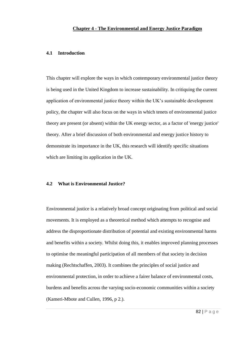# **4.1 Introduction**

This chapter will explore the ways in which contemporary environmental justice theory is being used in the United Kingdom to increase sustainability. In critiquing the current application of environmental justice theory within the UK's sustainable development policy, the chapter will also focus on the ways in which tenets of environmental justice theory are present (or absent) within the UK energy sector, as a factor of 'energy justice' theory. After a brief discussion of both environmental and energy justice history to demonstrate its importance in the UK, this research will identify specific situations which are limiting its application in the UK.

### **4.2 What is Environmental Justice?**

Environmental justice is a relatively broad concept originating from political and social movements. It is employed as a theoretical method which attempts to recognise and address the disproportionate distribution of potential and existing environmental harms and benefits within a society. Whilst doing this, it enables improved planning processes to optimise the meaningful participation of all members of that society in decision making (Rechtschaffen, 2003). It combines the principles of social justice and environmental protection, in order to achieve a fairer balance of environmental costs, burdens and benefits across the varying socio-economic communities within a society (Kameri-Mbote and Cullen, 1996, p 2.).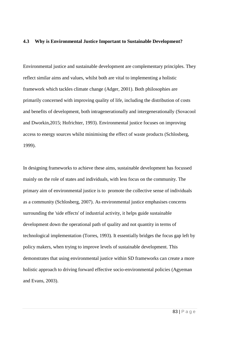### **4.3 Why is Environmental Justice Important to Sustainable Development?**

Environmental justice and sustainable development are complementary principles. They reflect similar aims and values, whilst both are vital to implementing a holistic framework which tackles climate change (Adger, 2001). Both philosophies are primarily concerned with improving quality of life, including the distribution of costs and benefits of development, both intragenerationally and intergenerationally (Sovacool and Dworkin,2015; Hofrichter, 1993). Environmental justice focuses on improving access to energy sources whilst minimising the effect of waste products (Schlosberg, 1999).

In designing frameworks to achieve these aims, sustainable development has focussed mainly on the role of states and individuals, with less focus on the community. The primary aim of environmental justice is to promote the collective sense of individuals as a community (Schlosberg, 2007). As environmental justice emphasises concerns surrounding the 'side effects' of industrial activity, it helps guide sustainable development down the operational path of quality and not quantity in terms of technological implementation (Torres, 1993). It essentially bridges the focus gap left by policy makers, when trying to improve levels of sustainable development. This demonstrates that using environmental justice within SD frameworks can create a more holistic approach to driving forward effective socio-environmental policies (Agyeman and Evans, 2003).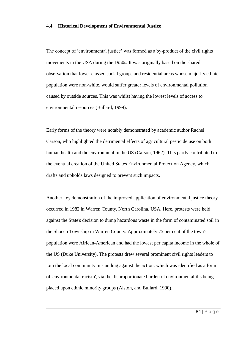### **4.4 Historical Development of Environmental Justice**

The concept of 'environmental justice' was formed as a by-product of the civil rights movements in the USA during the 1950s. It was originally based on the shared observation that lower classed social groups and residential areas whose majority ethnic population were non-white, would suffer greater levels of environmental pollution caused by outside sources. This was whilst having the lowest levels of access to environmental resources (Bullard, 1999).

Early forms of the theory were notably demonstrated by academic author Rachel Carson, who highlighted the detrimental effects of agricultural pesticide use on both human health and the environment in the US (Carson, 1962). This partly contributed to the eventual creation of the United States Environmental Protection Agency, which drafts and upholds laws designed to prevent such impacts.

Another key demonstration of the improved application of environmental justice theory occurred in 1982 in Warren County, North Carolina, USA. Here, protests were held against the State's decision to dump hazardous waste in the form of contaminated soil in the Shocco Township in Warren County. Approximately 75 per cent of the town's population were African-American and had the lowest per capita income in the whole of the US (Duke University). The protests drew several prominent civil rights leaders to join the local community in standing against the action, which was identified as a form of 'environmental racism', via the disproportionate burden of environmental ills being placed upon ethnic minority groups (Alston, and Bullard, 1990).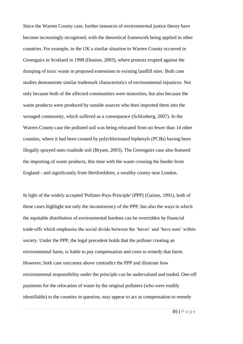Since the Warren County case, further instances of environmental justice theory have become increasingly recognised, with the theoretical framework being applied in other countries. For example, in the UK a similar situation to Warren County occurred in Greengairs in Scotland in 1998 (Dunion, 2003), where protests erupted against the dumping of toxic waste in proposed extensions to existing landfill sites. Both case studies demonstrate similar trademark characteristics of environmental injustices. Not only because both of the affected communities were minorities, but also because the waste products were produced by outside sources who then imported them into the wronged community, which suffered as a consequence (Schlosberg, 2007). In the Warren County case the polluted soil was being relocated from no fewer than 14 other counties, where it had been created by polychlorinated biphenyls (PCBs) having been illegally sprayed onto roadside soil (Bryant, 2003). The Greengairs case also featured the importing of waste products, this time with the waste crossing the border from England - and significantly from Hertfordshire, a wealthy county near London.

In light of the widely accepted 'Polluter-Pays Principle' (PPP) (Gaines, 1991), both of these cases highlight not only the inconsistency of the PPP, but also the ways in which the equitable distribution of environmental burdens can be overridden by financial trade-offs which emphasise the social divide between the 'haves' and 'have nots' within society. Under the PPP, the legal precedent holds that the polluter creating an environmental harm, is liable to pay compensation and costs to remedy that harm. However, both case outcomes above contradict the PPP and illustrate how environmental responsibility under the principle can be undervalued and traded. One-off payments for the relocation of waste by the original polluters (who were readily identifiable) to the counties in question, may appear to act as compensation to remedy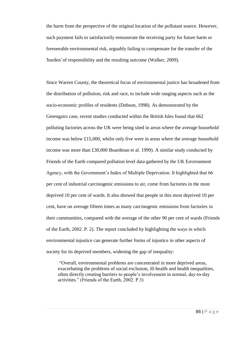the harm from the perspective of the original location of the pollutant source. However, such payment fails to satisfactorily remunerate the receiving party for future harm or foreseeable environmental risk, arguably failing to compensate for the transfer of the 'burden' of responsibility and the resulting outcome (Walker, 2009).

Since Warren County, the theoretical focus of environmental justice has broadened from the distribution of pollution, risk and race, to include wide ranging aspects such as the socio-economic profiles of residents (Dobson, 1998). As demonstrated by the Greengairs case, recent studies conducted within the British Isles found that 662 polluting factories across the UK were being sited in areas where the average household income was below £15,000, whilst only five were in areas where the average household income was more than £30,000 Boardman et al. 1999). A similar study conducted by Friends of the Earth compared pollution level data gathered by the UK Environment Agency, with the Government's Index of Multiple Deprivation. It highlighted that 66 per cent of industrial carcinogenic emissions to air, come from factories in the most deprived 10 per cent of wards. It also showed that people in this most deprived 10 per cent, have on average fifteen times as many carcinogenic emissions from factories in their communities, compared with the average of the other 90 per cent of wards (Friends of the Earth, 2002. P. 2). The report concluded by highlighting the ways in which environmental injustice can generate further forms of injustice in other aspects of society for its deprived members, widening the gap of inequality:

"Overall, environmental problems are concentrated in more deprived areas, exacerbating the problems of social exclusion, ill-health and health inequalities, often directly creating barriers to people's involvement in normal, day-to-day activities." (Friends of the Earth, 2002. P.3)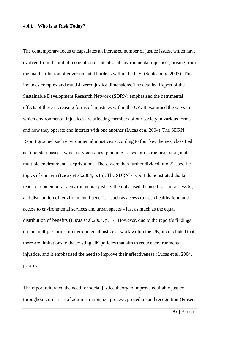#### **4.4.1 Who is at Risk Today?**

The contemporary focus encapsulates an increased number of justice issues, which have evolved from the initial recognition of intentional environmental injustices, arising from the maldistribution of environmental burdens within the U.S. (Schlosberg, 2007). This includes complex and multi-layered justice dimensions. The detailed Report of the Sustainable Development Research Network (SDRN) emphasised the detrimental effects of these increasing forms of injustices within the UK. It examined the ways in which environmental injustices are affecting members of our society in various forms and how they operate and interact with one another (Lucas et al.2004). The SDRN Report grouped such environmental injustices according to four key themes, classified as 'doorstep' issues: wider service issues' planning issues, infrastructure issues, and multiple environmental deprivations. These were then further divided into 21 specific topics of concern (Lucas et al.2004, p.15). The SDRN's report demonstrated the far reach of contemporary environmental justice. It emphasised the need for fair access to, and distribution of, environmental benefits - such as access to fresh healthy food and access to environmental services and urban spaces - just as much as the equal distribution of benefits (Lucas et al.2004, p.15). However, due to the report's findings on the multiple forms of environmental justice at work within the UK, it concluded that there are limitations to the existing UK policies that aim to reduce environmental injustice, and it emphasised the need to improve their effectiveness (Lucas et al. 2004, p.125).

The report reiterated the need for social justice theory to improve equitable justice throughout core areas of administration, i.e. process, procedure and recognition (Fraser,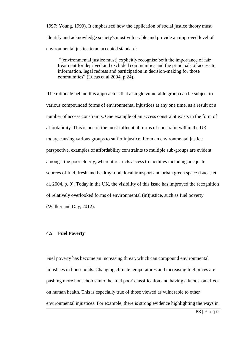1997; Young, 1990). It emphasised how the application of social justice theory must identify and acknowledge society's most vulnerable and provide an improved level of environmental justice to an accepted standard:

"[environmental justice must] explicitly recognise both the importance of fair treatment for deprived and excluded communities and the principals of access to information, legal redress and participation in decision-making for those communities" (Lucas et al.2004, p.24).

The rationale behind this approach is that a single vulnerable group can be subject to various compounded forms of environmental injustices at any one time, as a result of a number of access constraints. One example of an access constraint exists in the form of affordability. This is one of the most influential forms of constraint within the UK today, causing various groups to suffer injustice. From an environmental justice perspective, examples of affordability constraints to multiple sub-groups are evident amongst the poor elderly, where it restricts access to facilities including adequate sources of fuel, fresh and healthy food, local transport and urban green space (Lucas et al. 2004, p. 9). Today in the UK, the visibility of this issue has improved the recognition of relatively overlooked forms of environmental (in)justice, such as fuel poverty (Walker and Day, 2012).

### **4.5 Fuel Poverty**

Fuel poverty has become an increasing threat, which can compound environmental injustices in households. Changing climate temperatures and increasing fuel prices are pushing more households into the 'fuel poor' classification and having a knock-on effect on human health. This is especially true of those viewed as vulnerable to other environmental injustices. For example, there is strong evidence highlighting the ways in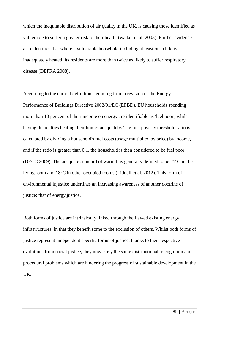which the inequitable distribution of air quality in the UK, is causing those identified as vulnerable to suffer a greater risk to their health (walker et al. 2003). Further evidence also identifies that where a vulnerable household including at least one child is inadequately heated, its residents are more than twice as likely to suffer respiratory disease (DEFRA 2008).

According to the current definition stemming from a revision of the Energy Performance of Buildings Directive 2002/91/EC (EPBD), EU households spending more than 10 per cent of their income on energy are identifiable as 'fuel poor', whilst having difficulties heating their homes adequately. The fuel poverty threshold ratio is calculated by dividing a household's fuel costs (usage multiplied by price) by income, and if the ratio is greater than 0.1, the household is then considered to be fuel poor (DECC 2009). The adequate standard of warmth is generally defined to be 21°C in the living room and 18°C in other occupied rooms (Liddell et al. 2012). This form of environmental injustice underlines an increasing awareness of another doctrine of justice; that of energy justice.

Both forms of justice are intrinsically linked through the flawed existing energy infrastructures, in that they benefit some to the exclusion of others. Whilst both forms of justice represent independent specific forms of justice, thanks to their respective evolutions from social justice, they now carry the same distributional, recognition and procedural problems which are hindering the progress of sustainable development in the UK.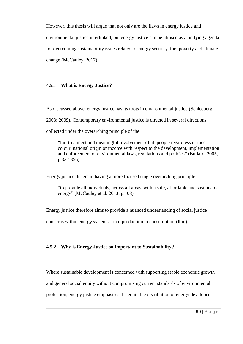However, this thesis will argue that not only are the flaws in energy justice and environmental justice interlinked, but energy justice can be utilised as a unifying agenda for overcoming sustainability issues related to energy security, fuel poverty and climate change (McCauley, 2017).

# **4.5.1 What is Energy Justice?**

As discussed above, energy justice has its roots in environmental justice (Schlosberg,

2003; 2009). Contemporary environmental justice is directed in several directions,

collected under the overarching principle of the

"fair treatment and meaningful involvement of all people regardless of race, colour, national origin or income with respect to the development, implementation and enforcement of environmental laws, regulations and policies" (Bullard, 2005, p.322-356).

Energy justice differs in having a more focused single overarching principle:

"to provide all individuals, across all areas, with a safe, affordable and sustainable energy" (McCauley et al. 2013, p.108).

Energy justice therefore aims to provide a nuanced understanding of social justice

concerns within energy systems, from production to consumption (Ibid).

# **4.5.2 Why is Energy Justice so Important to Sustainability?**

Where sustainable development is concerned with supporting stable economic growth and general social equity without compromising current standards of environmental protection, energy justice emphasises the equitable distribution of energy developed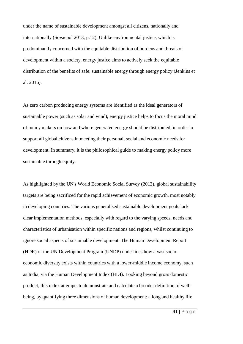under the name of sustainable development amongst all citizens, nationally and internationally (Sovacool 2013, p.12). Unlike environmental justice, which is predominantly concerned with the equitable distribution of burdens and threats of development within a society, energy justice aims to actively seek the equitable distribution of the benefits of safe, sustainable energy through energy policy (Jenkins et al. 2016).

As zero carbon producing energy systems are identified as the ideal generators of sustainable power (such as solar and wind), energy justice helps to focus the moral mind of policy makers on how and where generated energy should be distributed, in order to support all global citizens in meeting their personal, social and economic needs for development. In summary, it is the philosophical guide to making energy policy more sustainable through equity.

As highlighted by the UN's World Economic Social Survey (2013), global sustainability targets are being sacrificed for the rapid achievement of economic growth, most notably in developing countries. The various generalised sustainable development goals lack clear implementation methods, especially with regard to the varying speeds, needs and characteristics of urbanisation within specific nations and regions, whilst continuing to ignore social aspects of sustainable development. The Human Development Report (HDR) of the UN Development Program (UNDP) underlines how a vast socioeconomic diversity exists within countries with a lower-middle income economy, such as India, via the Human Development Index (HDI). Looking beyond gross domestic product, this index attempts to demonstrate and calculate a broader definition of wellbeing, by quantifying three dimensions of human development: a long and healthy life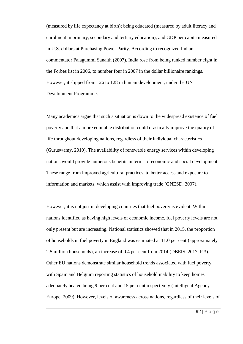(measured by life expectancy at birth); being educated (measured by adult literacy and enrolment in primary, secondary and tertiary education); and GDP per capita measured in U.S. dollars at Purchasing Power Parity. According to recognized Indian commentator Palagummi Sanaith (2007), India rose from being ranked number eight in the Forbes list in 2006, to number four in 2007 in the dollar billionaire rankings. However, it slipped from 126 to 128 in human development, under the UN Development Programme.

Many academics argue that such a situation is down to the widespread existence of fuel poverty and that a more equitable distribution could drastically improve the quality of life throughout developing nations, regardless of their individual characteristics (Guruswamy, 2010). The availability of renewable energy services within developing nations would provide numerous benefits in terms of economic and social development. These range from improved agricultural practices, to better access and exposure to information and markets, which assist with improving trade (GNESD, 2007).

However, it is not just in developing countries that fuel poverty is evident. Within nations identified as having high levels of economic income, fuel poverty levels are not only present but are increasing. National statistics showed that in 2015, the proportion of households in fuel poverty in England was estimated at 11.0 per cent (approximately 2.5 million households), an increase of 0.4 per cent from 2014 (DBEIS, 2017, P.3). Other EU nations demonstrate similar household trends associated with fuel poverty, with Spain and Belgium reporting statistics of household inability to keep homes adequately heated being 9 per cent and 15 per cent respectively (Intelligent Agency Europe, 2009). However, levels of awareness across nations, regardless of their levels of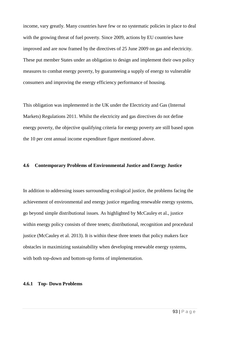income, vary greatly. Many countries have few or no systematic policies in place to deal with the growing threat of fuel poverty. Since 2009, actions by EU countries have improved and are now framed by the directives of 25 June 2009 on gas and electricity. These put member States under an obligation to design and implement their own policy measures to combat energy poverty, by guaranteeing a supply of energy to vulnerable consumers and improving the energy efficiency performance of housing.

This obligation was implemented in the UK under the Electricity and Gas (Internal Markets) Regulations 2011. Whilst the electricity and gas directives do not define energy poverty, the objective qualifying criteria for energy poverty are still based upon the 10 per cent annual income expenditure figure mentioned above.

# **4.6 Contemporary Problems of Environmental Justice and Energy Justice**

In addition to addressing issues surrounding ecological justice, the problems facing the achievement of environmental and energy justice regarding renewable energy systems, go beyond simple distributional issues. As highlighted by McCauley et al., justice within energy policy consists of three tenets; distributional, recognition and procedural justice (McCauley et al. 2013). It is within these three tenets that policy makers face obstacles in maximizing sustainability when developing renewable energy systems, with both top-down and bottom-up forms of implementation.

# **4.6.1 Top- Down Problems**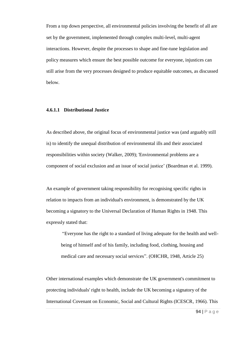From a top down perspective, all environmental policies involving the benefit of all are set by the government, implemented through complex multi-level, multi-agent interactions. However, despite the processes to shape and fine-tune legislation and policy measures which ensure the best possible outcome for everyone, injustices can still arise from the very processes designed to produce equitable outcomes, as discussed below.

# **4.6.1.1 Distributional Justice**

As described above, the original focus of environmental justice was (and arguably still is) to identify the unequal distribution of environmental ills and their associated responsibilities within society (Walker, 2009); 'Environmental problems are a component of social exclusion and an issue of social justice' (Boardman et al. 1999).

An example of government taking responsibility for recognising specific rights in relation to impacts from an individual's environment, is demonstrated by the UK becoming a signatory to the Universal Declaration of Human Rights in 1948. This expressly stated that:

"Everyone has the right to a standard of living adequate for the health and wellbeing of himself and of his family, including food, clothing, housing and medical care and necessary social services". (OHCHR, 1948, Article 25)

Other international examples which demonstrate the UK government's commitment to protecting individuals' right to health, include the UK becoming a signatory of the International Covenant on Economic, Social and Cultural Rights (ICESCR, 1966). This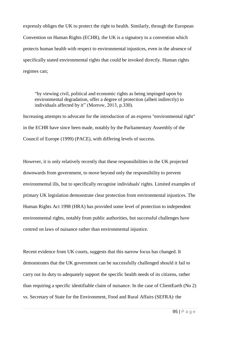expressly obliges the UK to protect the right to health. Similarly, through the European Convention on Human Rights (ECHR), the UK is a signatory to a convention which protects human health with respect to environmental injustices, even in the absence of specifically stated environmental rights that could be invoked directly. Human rights regimes can;

"by viewing civil, political and economic rights as being impinged upon by environmental degradation, offer a degree of protection (albeit indirectly) to individuals affected by it" (Morrow, 2013, p.330).

Increasing attempts to advocate for the introduction of an express "environmental right" in the ECHR have since been made, notably by the Parliamentary Assembly of the Council of Europe (1999) (PACE), with differing levels of success.

However, it is only relatively recently that these responsibilities in the UK projected downwards from government, to move beyond only the responsibility to prevent environmental ills, but to specifically recognise individuals' rights. Limited examples of primary UK legislation demonstrate clear protection from environmental injustices. The Human Rights Act 1998 (HRA) has provided some level of protection to independent environmental rights, notably from public authorities, but successful challenges have centred on laws of nuisance rather than environmental injustice.

Recent evidence from UK courts, suggests that this narrow focus has changed. It demonstrates that the UK government can be successfully challenged should it fail to carry out its duty to adequately support the specific health needs of its citizens, rather than requiring a specific identifiable claim of nuisance. In the case of ClientEarth (No 2) vs. Secretary of State for the Environment, Food and Rural Affairs (SEFRA)<sup>,</sup> the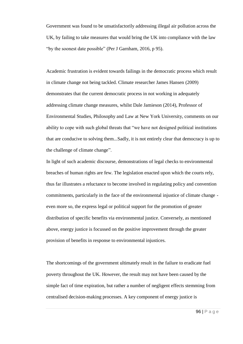Government was found to be unsatisfactorily addressing illegal air pollution across the UK, by failing to take measures that would bring the UK into compliance with the law "by the soonest date possible" (Per J Garnham, 2016, p 95).

Academic frustration is evident towards failings in the democratic process which result in climate change not being tackled. Climate researcher James Hansen (2009) demonstrates that the current democratic process in not working in adequately addressing climate change measures, whilst Dale Jamieson (2014), Professor of Environmental Studies, Philosophy and Law at New York University, comments on our ability to cope with such global threats that "we have not designed political institutions that are conducive to solving them...Sadly, it is not entirely clear that democracy is up to the challenge of climate change".

In light of such academic discourse, demonstrations of legal checks to environmental breaches of human rights are few. The legislation enacted upon which the courts rely, thus far illustrates a reluctance to become involved in regulating policy and convention commitments, particularly in the face of the environmental injustice of climate change even more so, the express legal or political support for the promotion of greater distribution of specific benefits via environmental justice. Conversely, as mentioned above, energy justice is focussed on the positive improvement through the greater provision of benefits in response to environmental injustices.

The shortcomings of the government ultimately result in the failure to eradicate fuel poverty throughout the UK. However, the result may not have been caused by the simple fact of time expiration, but rather a number of negligent effects stemming from centralised decision-making processes. A key component of energy justice is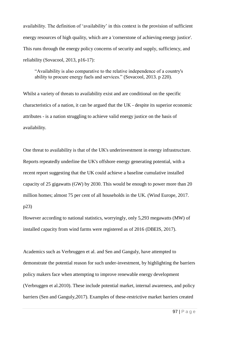availability. The definition of 'availability' in this context is the provision of sufficient energy resources of high quality, which are a 'cornerstone of achieving energy justice'. This runs through the energy policy concerns of security and supply, sufficiency, and reliability (Sovacool, 2013, p16-17):

"Availability is also comparative to the relative independence of a country's ability to procure energy fuels and services." (Sovacool, 2013. p 220).

Whilst a variety of threats to availability exist and are conditional on the specific characteristics of a nation, it can be argued that the UK - despite its superior economic attributes - is a nation struggling to achieve valid energy justice on the basis of availability.

One threat to availability is that of the UK's underinvestment in energy infrastructure. Reports repeatedly underline the UK's offshore energy generating potential, with a recent report suggesting that the UK could achieve a baseline cumulative installed capacity of 25 gigawatts (GW) by 2030. This would be enough to power more than 20 million homes; almost 75 per cent of all households in the UK. (Wind Europe, 2017. p23)

However according to national statistics, worryingly, only 5,293 megawatts (MW) of installed capacity from wind farms were registered as of 2016 (DBEIS, 2017).

Academics such as Verbruggen et al. and Sen and Ganguly, have attempted to demonstrate the potential reason for such under-investment, by highlighting the barriers policy makers face when attempting to improve renewable energy development (Verbruggen et al.2010). These include potential market, internal awareness, and policy barriers (Sen and Ganguly,2017). Examples of these-restrictive market barriers created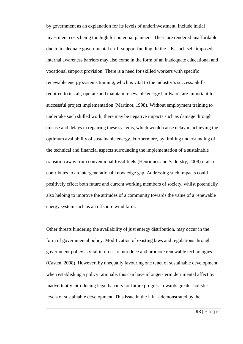by government as an explanation for its levels of underinvestment, include initial investment costs being too high for potential planners. These are rendered unaffordable due to inadequate governmental tariff support funding. In the UK, such self-imposed internal awareness barriers may also come in the form of an inadequate educational and vocational support provision. There is a need for skilled workers with specific renewable energy systems training, which is vital to the industry's success. Skills required to install, operate and maintain renewable energy hardware, are important to successful project implementation (Martinot, 1998). Without employment training to undertake such skilled work, there may be negative impacts such as damage through misuse and delays in repairing these systems, which would cause delay in achieving the optimum availability of sustainable energy. Furthermore, by limiting understanding of the technical and financial aspects surrounding the implementation of a sustainable transition away from conventional fossil fuels (Henriques and Sadorsky, 2008) it also contributes to an intergenerational knowledge gap. Addressing such impacts could positively effect both future and current working members of society, whilst potentially also helping to improve the attitudes of a community towards the value of a renewable energy system such as an offshore wind farm.

Other threats hindering the availability of just energy distribution, may occur in the form of governmental policy. Modification of existing laws and regulations through government policy is vital in order to introduce and promote renewable technologies (Casten, 2008). However, by unequally favouring one tenet of sustainable development when establishing a policy rationale, this can have a longer-term detrimental affect by inadvertently introducing legal barriers for future progress towards greater holistic levels of sustainable development. This issue in the UK is demonstrated by the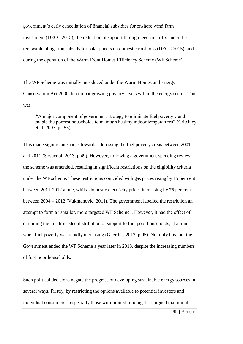government's early cancellation of financial subsidies for onshore wind farm investment (DECC 2015), the reduction of support through feed-in tariffs under the renewable obligation subsidy for solar panels on domestic roof tops (DECC 2015), and during the operation of the Warm Front Homes Efficiency Scheme (WF Scheme).

The WF Scheme was initially introduced under the Warm Homes and Energy Conservation Act 2000, to combat growing poverty levels within the energy sector. This was

"A major component of government strategy to eliminate fuel poverty…and enable the poorest households to maintain healthy indoor temperatures" (Critchley et al. 2007, p.155).

This made significant strides towards addressing the fuel poverty crisis between 2001 and 2011 (Sovacool, 2013, p.49). However, following a government spending review, the scheme was amended, resulting in significant restrictions on the eligibility criteria under the WF scheme. These restrictions coincided with gas prices rising by 15 per cent between 2011-2012 alone, whilst domestic electricity prices increasing by 75 per cent between 2004 – 2012 (Vukmanovic, 2011). The government labelled the restriction an attempt to form a "smaller, more targeted WF Scheme". However, it had the effect of curtailing the much-needed distribution of support to fuel poor households, at a time when fuel poverty was rapidly increasing (Guertler, 2012, p.95). Not only this, but the Government ended the WF Scheme a year later in 2013, despite the increasing numbers of fuel-poor households.

Such political decisions negate the progress of developing sustainable energy sources in several ways. Firstly, by restricting the options available to potential investors and individual consumers – especially those with limited funding. It is argued that initial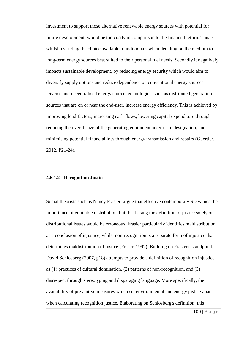investment to support those alternative renewable energy sources with potential for future development, would be too costly in comparison to the financial return. This is whilst restricting the choice available to individuals when deciding on the medium to long-term energy sources best suited to their personal fuel needs. Secondly it negatively impacts sustainable development, by reducing energy security which would aim to diversify supply options and reduce dependence on conventional energy sources. Diverse and decentralised energy source technologies, such as distributed generation sources that are on or near the end-user, increase energy efficiency. This is achieved by improving load-factors, increasing cash flows, lowering capital expenditure through reducing the overall size of the generating equipment and/or site designation, and minimising potential financial loss through energy transmission and repairs (Guertler, 2012. P21-24).

### **4.6.1.2 Recognition Justice**

Social theorists such as Nancy Frasier, argue that effective contemporary SD values the importance of equitable distribution, but that basing the definition of justice solely on distributional issues would be erroneous. Frasier particularly identifies maldistribution as a conclusion of injustice, whilst non-recognition is a separate form of injustice that determines maldistribution of justice (Fraser, 1997). Building on Frasier's standpoint, David Schlosberg (2007, p18) attempts to provide a definition of recognition injustice as (1) practices of cultural domination, (2) patterns of non-recognition, and (3) disrespect through stereotyping and disparaging language. More specifically, the availability of preventive measures which set environmental and energy justice apart when calculating recognition justice. Elaborating on Schlosberg's definition, this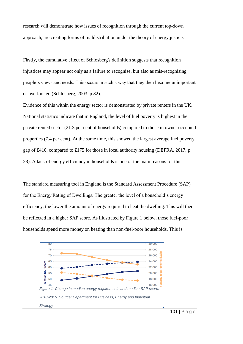research will demonstrate how issues of recognition through the current top-down approach, are creating forms of maldistribution under the theory of energy justice.

Firstly, the cumulative effect of Schlosberg's definition suggests that recognition injustices may appear not only as a failure to recognise, but also as mis-recognising, people's views and needs. This occurs in such a way that they then become unimportant or overlooked (Schlosberg, 2003. p 82).

Evidence of this within the energy sector is demonstrated by private renters in the UK. National statistics indicate that in England, the level of fuel poverty is highest in the private rented sector (21.3 per cent of households) compared to those in owner occupied properties (7.4 per cent). At the same time, this showed the largest average fuel poverty gap of £410, compared to £175 for those in local authority housing (DEFRA, 2017, p 28). A lack of energy efficiency in households is one of the main reasons for this.

The standard measuring tool in England is the Standard Assessment Procedure (SAP) for the Energy Rating of Dwellings. The greater the level of a household's energy efficiency, the lower the amount of energy required to heat the dwelling. This will then be reflected in a higher SAP score. As illustrated by Figure 1 below, those fuel-poor households spend more money on heating than non-fuel-poor households. This is

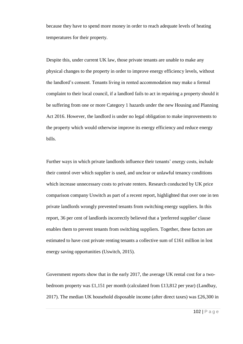because they have to spend more money in order to reach adequate levels of heating temperatures for their property.

Despite this, under current UK law, those private tenants are unable to make any physical changes to the property in order to improve energy efficiency levels, without the landlord's consent. Tenants living in rented accommodation may make a formal complaint to their local council, if a landlord fails to act in repairing a property should it be suffering from one or more Category 1 hazards under the new Housing and Planning Act 2016. However, the landlord is under no legal obligation to make improvements to the property which would otherwise improve its energy efficiency and reduce energy bills.

Further ways in which private landlords influence their tenants' energy costs, include their control over which supplier is used, and unclear or unlawful tenancy conditions which increase unnecessary costs to private renters. Research conducted by UK price comparison company Uswitch as part of a recent report, highlighted that over one in ten private landlords wrongly prevented tenants from switching energy suppliers. In this report, 36 per cent of landlords incorrectly believed that a 'preferred supplier' clause enables them to prevent tenants from switching suppliers. Together, these factors are estimated to have cost private renting tenants a collective sum of £161 million in lost energy saving opportunities (Uswitch, 2015).

Government reports show that in the early 2017, the average UK rental cost for a twobedroom property was £1,151 per month (calculated from £13,812 per year) (Landbay, 2017). The median UK household disposable income (after direct taxes) was £26,300 in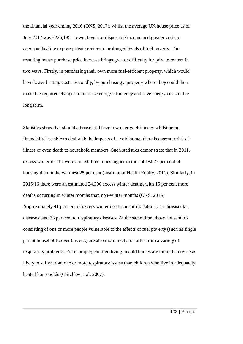the financial year ending 2016 (ONS, 2017), whilst the average UK house price as of July 2017 was £226,185. Lower levels of disposable income and greater costs of adequate heating expose private renters to prolonged levels of fuel poverty. The resulting house purchase price increase brings greater difficulty for private renters in two ways. Firstly, in purchasing their own more fuel-efficient property, which would have lower heating costs. Secondly, by purchasing a property where they could then make the required changes to increase energy efficiency and save energy costs in the long term.

Statistics show that should a household have low energy efficiency whilst being financially less able to deal with the impacts of a cold home, there is a greater risk of illness or even death to household members. Such statistics demonstrate that in 2011, excess winter deaths were almost three times higher in the coldest 25 per cent of housing than in the warmest 25 per cent (Institute of Health Equity, 2011). Similarly, in 2015/16 there were an estimated 24,300 excess winter deaths, with 15 per cent more deaths occurring in winter months than non-winter months (ONS, 2016). Approximately 41 per cent of excess winter deaths are attributable to cardiovascular diseases, and 33 per cent to respiratory diseases. At the same time, those households consisting of one or more people vulnerable to the effects of fuel poverty (such as single parent households, over 65s etc.) are also more likely to suffer from a variety of respiratory problems. For example; children living in cold homes are more than twice as likely to suffer from one or more respiratory issues than children who live in adequately heated households (Critchley et al. 2007).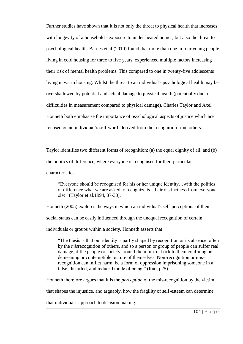Further studies have shown that it is not only the threat to physical health that increases with longevity of a household's exposure to under-heated homes, but also the threat to psychological health. Barnes et al.(2010) found that more than one in four young people living in cold housing for three to five years, experienced multiple factors increasing their risk of mental health problems. This compared to one in twenty-five adolescents living in warm housing. Whilst the threat to an individual's psychological health may be overshadowed by potential and actual damage to physical health (potentially due to difficulties in measurement compared to physical damage), Charles Taylor and Axel Honneth both emphasise the importance of psychological aspects of justice which are focused on an individual's self-worth derived from the recognition from others.

Taylor identifies two different forms of recognition: (a) the equal dignity of all, and (b) the politics of difference, where everyone is recognised for their particular characteristics:

"Everyone should be recognised for his or her unique identity…with the politics of difference what we are asked to recognize is...their distinctness from everyone else" (Taylor et al.1994, 37-38).

Honneth (2005) explores the ways in which an individual's self-perceptions of their social status can be easily influenced through the unequal recognition of certain individuals or groups within a society. Honneth asserts that:

"The thesis is that our identity is partly shaped by recognition or its absence, often by the *mis*recognition of others, and so a person or group of people can suffer real damage, if the people or society around them mirror back to them confining or demeaning or contemptible picture of themselves. Non-recognition or misrecognition can inflict harm, be a form of oppression imprisoning someone in a false, distorted, and reduced mode of being." (Ibid, p25).

Honneth therefore argues that it is the *perception* of the mis-recognition by the victim

that shapes the injustice, and arguably, how the fragility of self-esteem can determine

that individual's approach to decision making.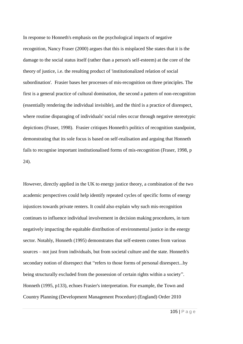In response to Honneth's emphasis on the psychological impacts of negative recognition, Nancy Fraser (2000) argues that this is misplaced She states that it is the damage to the social status itself (rather than a person's self-esteem) at the core of the theory of justice, i.e. the resulting product of 'institutionalized relation of social subordination'. Frasier bases her processes of mis-recognition on three principles. The first is a general practice of cultural domination, the second a pattern of non-recognition (essentially rendering the individual invisible), and the third is a practice of disrespect, where routine disparaging of individuals' social roles occur through negative stereotypic depictions (Fraser, 1998). Frasier critiques Honneth's politics of recognition standpoint, demonstrating that its sole focus is based on self-realisation and arguing that Honneth fails to recognise important institutionalised forms of mis-recognition (Fraser, 1998, p 24).

However, directly applied in the UK to energy justice theory, a combination of the two academic perspectives could help identify repeated cycles of specific forms of energy injustices towards private renters. It could also explain why such mis-recognition continues to influence individual involvement in decision making procedures, in turn negatively impacting the equitable distribution of environmental justice in the energy sector. Notably, Honneth (1995) demonstrates that self-esteem comes from various sources – not just from individuals, but from societal culture and the state. Honneth's secondary notion of disrespect that "refers to those forms of personal disrespect...by being structurally excluded from the possession of certain rights within a society". Honneth (1995, p133), echoes Frasier's interpretation. For example, the Town and Country Planning (Development Management Procedure) (England) Order 2010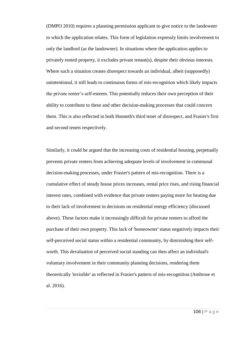(DMPO 2010) requires a planning permission applicant to give notice to the landowner to which the application relates. This form of legislation expressly limits involvement to only the landlord (as the landowner). In situations where the application applies to privately rented property, it excludes private tenant(s), despite their obvious interests. Where such a situation creates disrespect towards an individual, albeit (supposedly) unintentional, it still leads to continuous forms of mis-recognition which likely impacts the private renter's self-esteem. This potentially reduces their own perception of their ability to contribute to these and other decision-making processes that could concern them. This is also reflected in both Honneth's third tenet of disrespect, and Frasier's first and second tenets respectively.

Similarly, it could be argued that the increasing costs of residential housing, perpetually prevents private renters from achieving adequate levels of involvement in communal decision-making processes, under Frasier's pattern of mis-recognition. There is a cumulative effect of steady house prices increases, rental price rises, and rising financial interest rates, combined with evidence that private renters paying more for heating due to their lack of involvement in decisions on residential energy efficiency (discussed above). These factors make it increasingly difficult for private renters to afford the purchase of their own property. This lack of 'homeowner' status negatively impacts their self-perceived social status within a residential community, by diminishing their selfworth. This devaluation of perceived social standing can then affect an individual's voluntary involvement in their community planning decisions, rendering them theoretically 'invisible' as reflected in Frasier's pattern of mis-recognition (Ambrose et al. 2016).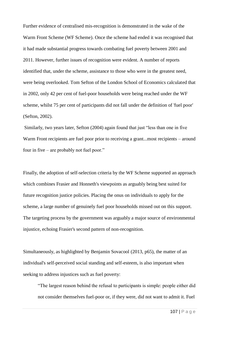Further evidence of centralised mis-recognition is demonstrated in the wake of the Warm Front Scheme (WF Scheme). Once the scheme had ended it was recognised that it had made substantial progress towards combating fuel poverty between 2001 and 2011. However, further issues of recognition were evident. A number of reports identified that, under the scheme, assistance to those who were in the greatest need, were being overlooked. Tom Sefton of the London School of Economics calculated that in 2002, only 42 per cent of fuel-poor households were being reached under the WF scheme, whilst 75 per cent of participants did not fall under the definition of 'fuel poor' (Sefton, 2002).

Similarly, two years later, Sefton (2004) again found that just "less than one in five Warm Front recipients are fuel poor prior to receiving a grant...most recipients – around four in five – are probably not fuel poor."

Finally, the adoption of self-selection criteria by the WF Scheme supported an approach which combines Frasier and Honneth's viewpoints as arguably being best suited for future recognition justice policies. Placing the onus on individuals to apply for the scheme, a large number of genuinely fuel poor households missed out on this support. The targeting process by the government was arguably a major source of environmental injustice, echoing Frasier's second pattern of non-recognition.

Simultaneously, as highlighted by Benjamin Sovacool (2013, p65), the matter of an individual's self-perceived social standing and self-esteem, is also important when seeking to address injustices such as fuel poverty:

"The largest reason behind the refusal to participants is simple: people either did not consider themselves fuel-poor or, if they were, did not want to admit it. Fuel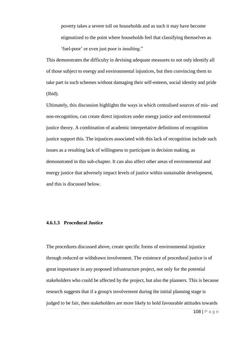poverty takes a severe toll on households and as such it may have become stigmatized to the point where households feel that classifying themselves as 'fuel-poor' or even just poor is insulting."

This demonstrates the difficulty in devising adequate measures to not only identify all of those subject to energy and environmental injustices, but then convincing them to take part in such schemes without damaging their self-esteem, social identity and pride (Ibid).

Ultimately, this discussion highlights the ways in which centralised sources of mis- and non-recognition, can create direct injustices under energy justice and environmental justice theory. A combination of academic interpretative definitions of recognition justice support this. The injustices associated with this lack of recognition include such issues as a resulting lack of willingness to participate in decision making, as demonstrated in this sub-chapter. It can also affect other areas of environmental and energy justice that adversely impact levels of justice within sustainable development, and this is discussed below.

# **4.6.1.3 Procedural Justice**

The procedures discussed above, create specific forms of environmental injustice through reduced or withdrawn involvement. The existence of procedural justice is of great importance in any proposed infrastructure project, not only for the potential stakeholders who could be affected by the project, but also the planners. This is because research suggests that if a group's involvement during the initial planning stage is judged to be fair, then stakeholders are more likely to hold favourable attitudes towards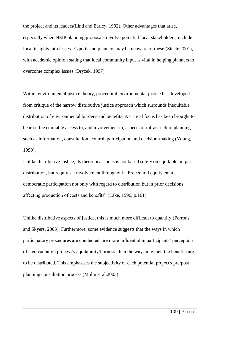the project and its leaders(Lind and Earley, 1992). Other advantages that arise, especially when NSIP planning proposals involve potential local stakeholders, include local insights into issues. Experts and planners may be unaware of these (Steele, 2001), with academic opinion stating that local community input is vital in helping planners to overcome complex issues (Dryzek, 1997).

Within environmental justice theory, procedural environmental justice has developed from critique of the narrow distributive justice approach which surrounds inequitable distribution of environmental burdens and benefits. A critical focus has been brought to bear on the equitable access to, and involvement in, aspects of infrastructure planning such as information, consultation, control, participation and decision-making (Young, 1990).

Unlike distributive justice, its theoretical focus is not based solely on equitable output distribution, but requires a involvement throughout: "Procedural equity entails democratic participation not only with regard to distribution but in prior decisions affecting production of costs and benefits" (Lake, 1996, p.161).

Unlike distributive aspects of justice, this is much more difficult to quantify (Perrons and Skyers, 2003). Furthermore, some evidence suggests that the ways in which participatory procedures are conducted, are more influential in participants' perception of a consultation process's equitability/fairness, than the ways in which the benefits are to be distributed. This emphasises the subjectivity of each potential project's pre/post planning consultation process (Molm et al.2003).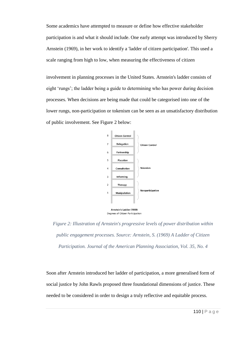Some academics have attempted to measure or define how effective stakeholder participation is and what it should include. One early attempt was introduced by Sherry Arnstein (1969), in her work to identify a 'ladder of citizen participation'. This used a scale ranging from high to low, when measuring the effectiveness of citizen

involvement in planning processes in the United States. Arnstein's ladder consists of eight 'rungs'; the ladder being a guide to determining who has power during decision processes. When decisions are being made that could be categorised into one of the lower rungs, non-participation or tokenism can be seen as an unsatisfactory distribution of public involvement. See Figure 2 below:



*Figure 2: Illustration of Arnstein's progressive levels of power distribution within public engagement processes. Source: Arnstein, S. (1969) A Ladder of Citizen Participation. Journal of the American Planning Association, Vol. 35, No. 4*

Soon after Arnstein introduced her ladder of participation, a more generalised form of social justice by John Rawls proposed three foundational dimensions of justice. These needed to be considered in order to design a truly reflective and equitable process.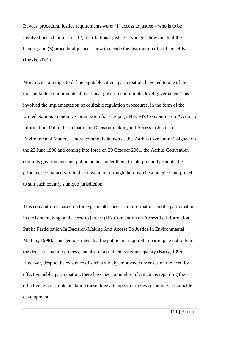Rawles' procedural justice requirements were: (1) access to justice – who is to be involved in such processes, (2) distributional justice – who gets how much of the benefit; and (3) procedural justice – how to decide the distribution of such benefits (Rawls, 2001).

More recent attempts to define equitable citizen participation, have led to one of the most notable commitments of a national government in multi-level governance. This involved the implementation of equitable regulation procedures, in the form of the United Nations Economic Commission for Europe (UNECE)'s Convention on Access to Information, Public Participation in Decision-making and Access to Justice in Environmental Matters – more commonly known as the 'Aarhus Convention'. Signed on the 25 June 1998 and coming into force on 30 October 2001, the Aarhus Convention commits governments and public bodies under them, to interpret and promote the principles contained within the convention, through their own best practice interpreted to suit each country's unique jurisdiction.

This convention is based on three principles: access to information; public participation in decision making; and access to justice (UN Convention on Access To Information, Public Participation In Decision-Making And Access To Justice In Environmental Matters, 1998). This demonstrates that the public are required to participate not only in the decision-making process, but also in a problem solving capacity (Barry, 1996). However, despite the existence of such a widely embraced consensus on the need for effective public participation, there have been a number of criticisms regarding the effectiveness of implementation these three attempts to progress genuinely sustainable development.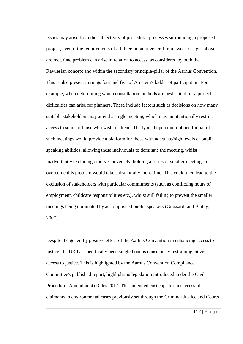Issues may arise from the subjectivity of procedural processes surrounding a proposed project, even if the requirements of all three popular general framework designs above are met. One problem can arise in relation to access, as considered by both the Rawlesian concept and within the secondary principle-pillar of the Aarhus Convention. This is also present in rungs four and five of Arnstein's ladder of participation. For example, when determining which consultation methods are best suited for a project, difficulties can arise for planners. These include factors such as decisions on how many suitable stakeholders may attend a single meeting, which may unintentionally restrict access to some of those who wish to attend. The typical open microphone format of such meetings would provide a platform for those with adequate/high levels of public speaking abilities, allowing these individuals to dominate the meeting, whilst inadvertently excluding others. Conversely, holding a series of smaller meetings to overcome this problem would take substantially more time. This could then lead to the exclusion of stakeholders with particular commitments (such as conflicting hours of employment, childcare responsibilities etc.), whilst still failing to prevent the smaller meetings being dominated by accomplished public speakers (Grossardt and Bailey, 2007).

Despite the generally positive effect of the Aarhus Convention in enhancing access to justice, the UK has specifically been singled out as consciously restraining citizen access to justice. This is highlighted by the Aarhus Convention Compliance Committee's published report, highlighting legislation introduced under the Civil Procedure (Amendment) Rules 2017. This amended cost caps for unsuccessful claimants in environmental cases previously set through the Criminal Justice and Courts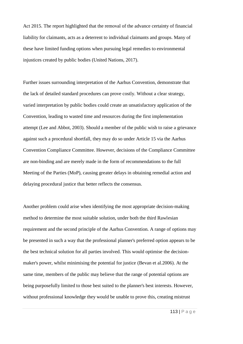Act 2015. The report highlighted that the removal of the advance certainty of financial liability for claimants, acts as a deterrent to individual claimants and groups. Many of these have limited funding options when pursuing legal remedies to environmental injustices created by public bodies (United Nations, 2017).

Further issues surrounding interpretation of the Aarhus Convention, demonstrate that the lack of detailed standard procedures can prove costly. Without a clear strategy, varied interpretation by public bodies could create an unsatisfactory application of the Convention, leading to wasted time and resources during the first implementation attempt (Lee and Abbot, 2003). Should a member of the public wish to raise a grievance against such a procedural shortfall, they may do so under Article 15 via the Aarhus Convention Compliance Committee. However, decisions of the Compliance Committee are non-binding and are merely made in the form of recommendations to the full Meeting of the Parties (MoP), causing greater delays in obtaining remedial action and delaying procedural justice that better reflects the consensus.

Another problem could arise when identifying the most appropriate decision-making method to determine the most suitable solution, under both the third Rawlesian requirement and the second principle of the Aarhus Convention. A range of options may be presented in such a way that the professional planner's preferred option appears to be the best technical solution for all parties involved. This would optimise the decisionmaker's power, whilst minimising the potential for justice (Bevan et al.2006). At the same time, members of the public may believe that the range of potential options are being purposefully limited to those best suited to the planner's best interests. However, without professional knowledge they would be unable to prove this, creating mistrust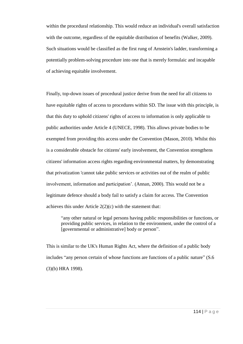within the procedural relationship. This would reduce an individual's overall satisfaction with the outcome, regardless of the equitable distribution of benefits (Walker, 2009). Such situations would be classified as the first rung of Arnstein's ladder, transforming a potentially problem-solving procedure into one that is merely formulaic and incapable of achieving equitable involvement.

Finally, top-down issues of procedural justice derive from the need for all citizens to have equitable rights of access to procedures within SD. The issue with this principle, is that this duty to uphold citizens' rights of access to information is only applicable to public authorities under Article 4 (UNECE, 1998). This allows private bodies to be exempted from providing this access under the Convention (Mason, 2010). Whilst this is a considerable obstacle for citizens' early involvement, the Convention strengthens citizens' information access rights regarding environmental matters, by demonstrating that privatization 'cannot take public services or activities out of the realm of public involvement, information and participation'. (Annan, 2000). This would not be a legitimate defence should a body fail to satisfy a claim for access. The Convention achieves this under Article  $2(2)(c)$  with the statement that:

"any other natural or legal persons having public responsibilities or functions, or providing public services, in relation to the environment, under the control of a [governmental or administrative] body or person".

This is similar to the UK's Human Rights Act, where the definition of a public body includes "any person certain of whose functions are functions of a public nature" (S.6 (3)(b) HRA 1998).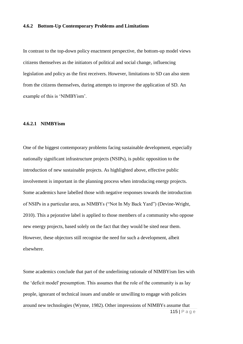# **4.6.2 Bottom-Up Contemporary Problems and Limitations**

In contrast to the top-down policy enactment perspective, the bottom-up model views citizens themselves as the initiators of political and social change, influencing legislation and policy as the first receivers. However, limitations to SD can also stem from the citizens themselves, during attempts to improve the application of SD. An example of this is 'NIMBYism'.

## **4.6.2.1 NIMBYism**

One of the biggest contemporary problems facing sustainable development, especially nationally significant infrastructure projects (NSIPs), is public opposition to the introduction of new sustainable projects. As highlighted above, effective public involvement is important in the planning process when introducing energy projects. Some academics have labelled those with negative responses towards the introduction of NSIPs in a particular area, as NIMBYs ("Not In My Back Yard") (Devine-Wright, 2010). This a pejorative label is applied to those members of a community who oppose new energy projects, based solely on the fact that they would be sited near them. However, these objectors still recognise the need for such a development, albeit elsewhere.

115 | P a g e Some academics conclude that part of the underlining rationale of NIMBYism lies with the 'deficit model' presumption. This assumes that the role of the community is as lay people, ignorant of technical issues and unable or unwilling to engage with policies around new technologies (Wynne, 1982). Other impressions of NIMBYs assume that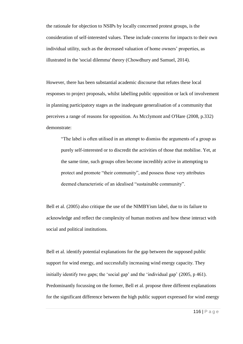the rationale for objection to NSIPs by locally concerned protest groups, is the consideration of self-interested values. These include concerns for impacts to their own individual utility, such as the decreased valuation of home owners' properties, as illustrated in the 'social dilemma' theory (Chowdhury and Samuel, 2014).

However, there has been substantial academic discourse that refutes these local responses to project proposals, whilst labelling public opposition or lack of involvement in planning participatory stages as the inadequate generalisation of a community that perceives a range of reasons for opposition. As Mcclymont and O'Hare (2008, p.332) demonstrate:

"The label is often utilised in an attempt to dismiss the arguments of a group as purely self-interested or to discredit the activities of those that mobilise. Yet, at the same time, such groups often become incredibly active in attempting to protect and promote "their community", and possess those very attributes deemed characteristic of an idealised "sustainable community".

Bell et al. (2005) also critique the use of the NIMBYism label, due to its failure to acknowledge and reflect the complexity of human motives and how these interact with social and political institutions.

Bell et al. identify potential explanations for the gap between the supposed public support for wind energy, and successfully increasing wind energy capacity. They initially identify two gaps; the 'social gap' and the 'individual gap' (2005, p 461). Predominantly focussing on the former, Bell et al. propose three different explanations for the significant difference between the high public support expressed for wind energy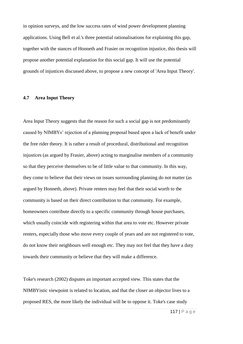in opinion surveys, and the low success rates of wind power development planning applications. Using Bell et al.'s three potential rationalisations for explaining this gap, together with the stances of Honneth and Frasier on recognition injustice, this thesis will propose another potential explanation for this social gap. It will use the potential grounds of injustices discussed above, to propose a new concept of 'Area Input Theory'.

# **4.7 Area Input Theory**

Area Input Theory suggests that the reason for such a social gap is not predominantly caused by NIMBYs' rejection of a planning proposal based upon a lack of benefit under the free rider theory. It is rather a result of procedural, distributional and recognition injustices (as argued by Frasier, above) acting to marginalise members of a community so that they perceive themselves to be of little value to that community. In this way, they come to believe that their views on issues surrounding planning do not matter (as argued by Honneth, above). Private renters may feel that their social worth to the community is based on their direct contribution to that community. For example, homeowners contribute directly to a specific community through house purchases, which usually coincide with registering within that area to vote etc. However private renters, especially those who move every couple of years and are not registered to vote, do not know their neighbours well enough etc. They may not feel that they have a duty towards their community or believe that they will make a difference.

Toke's research (2002) disputes an important accepted view. This states that the NIMBYistic viewpoint is related to location, and that the closer an objector lives to a proposed RES, the more likely the individual will be to oppose it. Toke's case study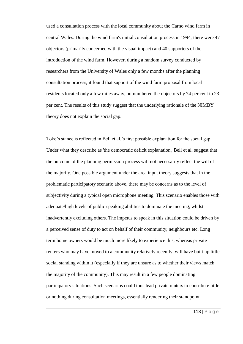used a consultation process with the local community about the Carno wind farm in central Wales. During the wind farm's initial consultation process in 1994, there were 47 objectors (primarily concerned with the visual impact) and 40 supporters of the introduction of the wind farm. However, during a random survey conducted by researchers from the University of Wales only a few months after the planning consultation process, it found that support of the wind farm proposal from local residents located only a few miles away, outnumbered the objectors by 74 per cent to 23 per cent. The results of this study suggest that the underlying rationale of the NIMBY theory does not explain the social gap.

Toke's stance is reflected in Bell et al.'s first possible explanation for the social gap. Under what they describe as 'the democratic deficit explanation', Bell et al. suggest that the outcome of the planning permission process will not necessarily reflect the will of the majority. One possible argument under the area input theory suggests that in the problematic participatory scenario above, there may be concerns as to the level of subjectivity during a typical open microphone meeting. This scenario enables those with adequate/high levels of public speaking abilities to dominate the meeting, whilst inadvertently excluding others. The impetus to speak in this situation could be driven by a perceived sense of duty to act on behalf of their community, neighbours etc. Long term home owners would be much more likely to experience this, whereas private renters who may have moved to a community relatively recently, will have built up little social standing within it (especially if they are unsure as to whether their views match the majority of the community). This may result in a few people dominating participatory situations. Such scenarios could thus lead private renters to contribute little or nothing during consultation meetings, essentially rendering their standpoint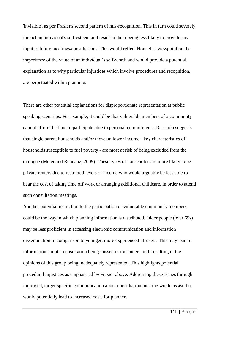'invisible', as per Frasier's second pattern of mis-recognition. This in turn could severely impact an individual's self-esteem and result in them being less likely to provide any input to future meetings/consultations. This would reflect Honneth's viewpoint on the importance of the value of an individual's self-worth and would provide a potential explanation as to why particular injustices which involve procedures and recognition, are perpetuated within planning.

There are other potential explanations for disproportionate representation at public speaking scenarios. For example, it could be that vulnerable members of a community cannot afford the time to participate, due to personal commitments. Research suggests that single parent households and/or those on lower income - key characteristics of households susceptible to fuel poverty - are most at risk of being excluded from the dialogue (Meier and Rehdanz, 2009). These types of households are more likely to be private renters due to restricted levels of income who would arguably be less able to bear the cost of taking time off work or arranging additional childcare, in order to attend such consultation meetings.

Another potential restriction to the participation of vulnerable community members, could be the way in which planning information is distributed. Older people (over 65s) may be less proficient in accessing electronic communication and information dissemination in comparison to younger, more experienced IT users. This may lead to information about a consultation being missed or misunderstood, resulting in the opinions of this group being inadequately represented. This highlights potential procedural injustices as emphasised by Frasier above. Addressing these issues through improved, target-specific communication about consultation meeting would assist, but would potentially lead to increased costs for planners.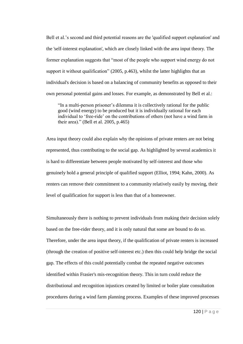Bell et al.'s second and third potential reasons are the 'qualified support explanation' and the 'self-interest explanation', which are closely linked with the area input theory. The former explanation suggests that "most of the people who support wind energy do not support it without qualification" (2005, p.463), whilst the latter highlights that an individual's decision is based on a balancing of community benefits as opposed to their own personal potential gains and losses. For example, as demonstrated by Bell et al.:

"In a multi-person prisoner's dilemma it is collectively rational for the public good (wind energy) to be produced but it is individually rational for each individual to 'free-ride' on the contributions of others (not have a wind farm in their area)." (Bell et al. 2005, p.465)

Area input theory could also explain why the opinions of private renters are not being represented, thus contributing to the social gap. As highlighted by several academics it is hard to differentiate between people motivated by self-interest and those who genuinely hold a general principle of qualified support (Elliot, 1994; Kahn, 2000). As renters can remove their commitment to a community relatively easily by moving, their level of qualification for support is less than that of a homeowner.

Simultaneously there is nothing to prevent individuals from making their decision solely based on the free-rider theory, and it is only natural that some are bound to do so. Therefore, under the area input theory, if the qualification of private renters is increased (through the creation of positive self-interest etc.) then this could help bridge the social gap. The effects of this could potentially combat the repeated negative outcomes identified within Frasier's mis-recognition theory. This in turn could reduce the distributional and recognition injustices created by limited or boiler plate consultation procedures during a wind farm planning process. Examples of these improved processes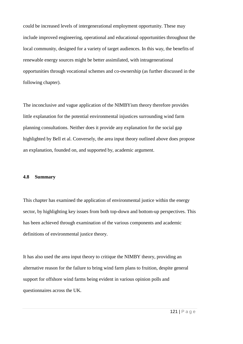could be increased levels of intergenerational employment opportunity. These may include improved engineering, operational and educational opportunities throughout the local community, designed for a variety of target audiences. In this way, the benefits of renewable energy sources might be better assimilated, with intragenerational opportunities through vocational schemes and co-ownership (as further discussed in the following chapter).

The inconclusive and vague application of the NIMBYism theory therefore provides little explanation for the potential environmental injustices surrounding wind farm planning consultations. Neither does it provide any explanation for the social gap highlighted by Bell et al. Conversely, the area input theory outlined above does propose an explanation, founded on, and supported by, academic argument.

### **4.8 Summary**

This chapter has examined the application of environmental justice within the energy sector, by highlighting key issues from both top-down and bottom-up perspectives. This has been achieved through examination of the various components and academic definitions of environmental justice theory.

It has also used the area input theory to critique the NIMBY theory, providing an alternative reason for the failure to bring wind farm plans to fruition, despite general support for offshore wind farms being evident in various opinion polls and questionnaires across the UK.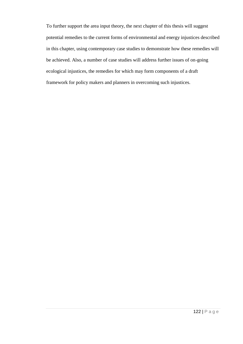To further support the area input theory, the next chapter of this thesis will suggest potential remedies to the current forms of environmental and energy injustices described in this chapter, using contemporary case studies to demonstrate how these remedies will be achieved. Also, a number of case studies will address further issues of on-going ecological injustices, the remedies for which may form components of a draft framework for policy makers and planners in overcoming such injustices.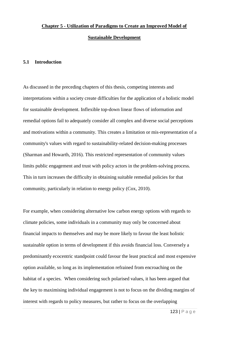### **Sustainable Development**

#### **5.1 Introduction**

As discussed in the preceding chapters of this thesis, competing interests and interpretations within a society create difficulties for the application of a holistic model for sustainable development. Inflexible top-down linear flows of information and remedial options fail to adequately consider all complex and diverse social perceptions and motivations within a community. This creates a limitation or mis-representation of a community's values with regard to sustainability-related decision-making processes (Sharman and Howarth, 2016). This restricted representation of community values limits public engagement and trust with policy actors in the problem-solving process. This in turn increases the difficulty in obtaining suitable remedial policies for that community, particularly in relation to energy policy (Cox, 2010).

For example, when considering alternative low carbon energy options with regards to climate policies, some individuals in a community may only be concerned about financial impacts to themselves and may be more likely to favour the least holistic sustainable option in terms of development if this avoids financial loss. Conversely a predominantly ecocentric standpoint could favour the least practical and most expensive option available, so long as its implementation refrained from encroaching on the habitat of a species. When considering such polarised values, it has been argued that the key to maximising individual engagement is not to focus on the dividing margins of interest with regards to policy measures, but rather to focus on the overlapping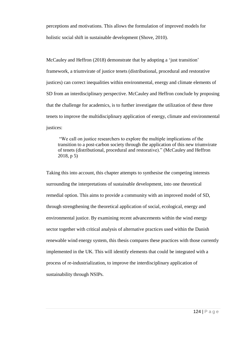perceptions and motivations. This allows the formulation of improved models for holistic social shift in sustainable development (Shove, 2010).

McCauley and Heffron (2018) demonstrate that by adopting a 'just transition' framework, a triumvirate of justice tenets (distributional, procedural and restorative justices) can correct inequalities within environmental, energy and climate elements of SD from an interdisciplinary perspective. McCauley and Heffron conclude by proposing that the challenge for academics, is to further investigate the utilization of these three tenets to improve the multidisciplinary application of energy, climate and environmental justices:

"We call on justice researchers to explore the multiple implications of the transition to a post-carbon society through the application of this new triumvirate of tenets (distributional, procedural and restorative)." (McCauley and Heffron 2018, p 5)

Taking this into account, this chapter attempts to synthesise the competing interests surrounding the interpretations of sustainable development, into one theoretical remedial option. This aims to provide a community with an improved model of SD, through strengthening the theoretical application of social, ecological, energy and environmental justice. By examining recent advancements within the wind energy sector together with critical analysis of alternative practices used within the Danish renewable wind energy system, this thesis compares these practices with those currently implemented in the UK. This will identify elements that could be integrated with a process of re-industrialization, to improve the interdisciplinary application of sustainability through NSIPs.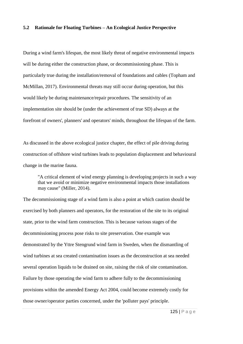## **5.2 Rationale for Floating Turbines – An Ecological Justice Perspective**

During a wind farm's lifespan, the most likely threat of negative environmental impacts will be during either the construction phase, or decommissioning phase. This is particularly true during the installation/removal of foundations and cables (Topham and McMillan, 2017). Environmental threats may still occur during operation, but this would likely be during maintenance/repair procedures. The sensitivity of an implementation site should be (under the achievement of true SD) always at the forefront of owners', planners' and operators' minds, throughout the lifespan of the farm.

As discussed in the above ecological justice chapter, the effect of pile driving during construction of offshore wind turbines leads to population displacement and behavioural change in the marine fauna.

"A critical element of wind energy planning is developing projects in such a way that we avoid or minimize negative environmental impacts those installations may cause" (Miller, 2014).

The decommissioning stage of a wind farm is also a point at which caution should be exercised by both planners and operators, for the restoration of the site to its original state, prior to the wind farm construction. This is because various stages of the decommissioning process pose risks to site preservation. One example was demonstrated by the Yttre Stengrund wind farm in Sweden, when the dismantling of wind turbines at sea created contamination issues as the deconstruction at sea needed several operation liquids to be drained on site, raising the risk of site contamination. Failure by those operating the wind farm to adhere fully to the decommissioning provisions within the amended Energy Act 2004, could become extremely costly for those owner/operator parties concerned, under the 'polluter pays' principle.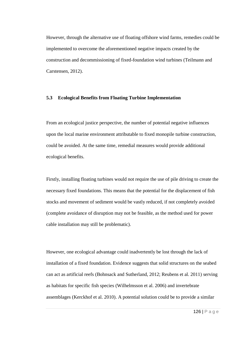However, through the alternative use of floating offshore wind farms, remedies could be implemented to overcome the aforementioned negative impacts created by the construction and decommissioning of fixed-foundation wind turbines (Teilmann and Carstensen, 2012).

## **5.3 Ecological Benefits from Floating Turbine Implementation**

From an ecological justice perspective, the number of potential negative influences upon the local marine environment attributable to fixed monopile turbine construction, could be avoided. At the same time, remedial measures would provide additional ecological benefits.

Firstly, installing floating turbines would not require the use of pile driving to create the necessary fixed foundations. This means that the potential for the displacement of fish stocks and movement of sediment would be vastly reduced, if not completely avoided (complete avoidance of disruption may not be feasible, as the method used for power cable installation may still be problematic).

However, one ecological advantage could inadvertently be lost through the lack of installation of a fixed foundation. Evidence suggests that solid structures on the seabed can act as artificial reefs (Bohnsack and Sutherland, 2012; Reubens et al. 2011) serving as habitats for specific fish species (Wilhelmsson et al. 2006) and invertebrate assemblages (Kerckhof et al. 2010). A potential solution could be to provide a similar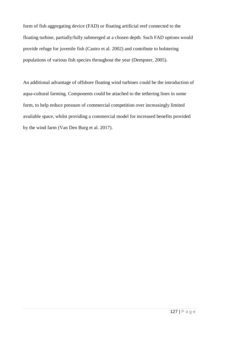form of fish aggregating device (FAD) or floating artificial reef connected to the floating turbine, partially/fully submerged at a chosen depth. Such FAD options would provide refuge for juvenile fish (Castro et al. 2002) and contribute to bolstering populations of various fish species throughout the year (Dempster, 2005).

An additional advantage of offshore floating wind turbines could be the introduction of aqua-cultural farming. Components could be attached to the tethering lines in some form, to help reduce pressure of commercial competition over increasingly limited available space, whilst providing a commercial model for increased benefits provided by the wind farm (Van Den Burg et al. 2017).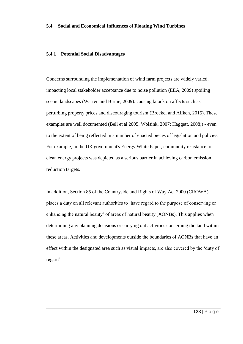### **5.4 Social and Economical Influences of Floating Wind Turbines**

## **5.4.1 Potential Social Disadvantages**

Concerns surrounding the implementation of wind farm projects are widely varied, impacting local stakeholder acceptance due to noise pollution (EEA, 2009) spoiling scenic landscapes (Warren and Birnie, 2009). causing knock on affects such as perturbing property prices and discouraging tourism (Broekel and Alfken, 2015). These examples are well documented (Bell et al.2005; Wolsink, 2007; Haggett, 2008;) - even to the extent of being reflected in a number of enacted pieces of legislation and policies. For example, in the UK government's Energy White Paper, community resistance to clean energy projects was depicted as a serious barrier in achieving carbon emission reduction targets.

In addition, Section 85 of the Countryside and Rights of Way Act 2000 (CROWA) places a duty on all relevant authorities to 'have regard to the purpose of conserving or enhancing the natural beauty' of areas of natural beauty (AONBs). This applies when determining any planning decisions or carrying out activities concerning the land within these areas. Activities and developments outside the boundaries of AONBs that have an effect within the designated area such as visual impacts, are also covered by the 'duty of regard'.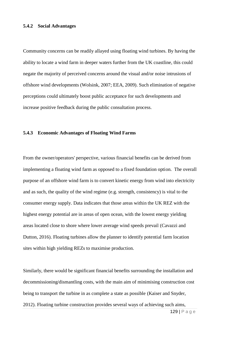#### **5.4.2 Social Advantages**

Community concerns can be readily allayed using floating wind turbines. By having the ability to locate a wind farm in deeper waters further from the UK coastline, this could negate the majority of perceived concerns around the visual and/or noise intrusions of offshore wind developments (Wolsink, 2007; EEA, 2009). Such elimination of negative perceptions could ultimately boost public acceptance for such developments and increase positive feedback during the public consultation process.

#### **5.4.3 Economic Advantages of Floating Wind Farms**

From the owner/operators' perspective, various financial benefits can be derived from implementing a floating wind farm as opposed to a fixed foundation option. The overall purpose of an offshore wind farm is to convert kinetic energy from wind into electricity and as such, the quality of the wind regime (e.g. strength, consistency) is vital to the consumer energy supply. Data indicates that those areas within the UK REZ with the highest energy potential are in areas of open ocean, with the lowest energy yielding areas located close to shore where lower average wind speeds prevail (Cavazzi and Dutton, 2016). Floating turbines allow the planner to identify potential farm location sites within high yielding REZs to maximise production.

Similarly, there would be significant financial benefits surrounding the installation and decommissioning/dismantling costs, with the main aim of minimising construction cost being to transport the turbine in as complete a state as possible (Kaiser and Snyder, 2012). Floating turbine construction provides several ways of achieving such aims,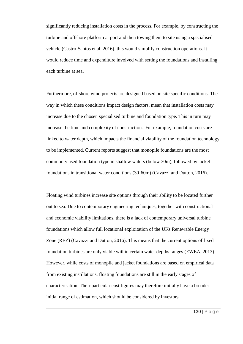significantly reducing installation costs in the process. For example, by constructing the turbine and offshore platform at port and then towing them to site using a specialised vehicle (Castro-Santos et al. 2016), this would simplify construction operations. It would reduce time and expenditure involved with setting the foundations and installing each turbine at sea.

Furthermore, offshore wind projects are designed based on site specific conditions. The way in which these conditions impact design factors, mean that installation costs may increase due to the chosen specialised turbine and foundation type. This in turn may increase the time and complexity of construction. For example, foundation costs are linked to water depth, which impacts the financial viability of the foundation technology to be implemented. Current reports suggest that monopile foundations are the most commonly used foundation type in shallow waters (below 30m), followed by jacket foundations in transitional water conditions (30-60m) (Cavazzi and Dutton, 2016).

Floating wind turbines increase site options through their ability to be located further out to sea. Due to contemporary engineering techniques, together with constructional and economic viability limitations, there is a lack of contemporary universal turbine foundations which allow full locational exploitation of the UKs Renewable Energy Zone (REZ) (Cavazzi and Dutton, 2016). This means that the current options of fixed foundation turbines are only viable within certain water depths ranges (EWEA, 2013). However, while costs of monopile and jacket foundations are based on empirical data from existing instillations, floating foundations are still in the early stages of characterisation. Their particular cost figures may therefore initially have a broader initial range of estimation, which should be considered by investors.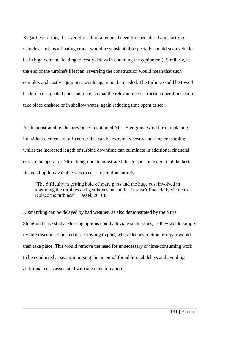Regardless of this, the overall result of a reduced need for specialised and costly sea vehicles, such as a floating crane, would be substantial (especially should such vehicles be in high demand, leading to costly delays in obtaining the equipment). Similarly, at the end of the turbine's lifespan, reversing the construction would mean that such complex and costly equipment would again not be needed. The turbine could be towed back to a designated port complete, so that the relevant deconstruction operations could take place onshore or in shallow water, again reducing time spent at sea.

As demonstrated by the previously mentioned Yttre Stengrund wind farm, replacing individual elements of a fixed turbine can be extremely costly and time consuming, whilst the increased length of turbine downtime can culminate in additional financial cost to the operator. Yttre Stengrund demonstrated this to such an extent that the best financial option available was to cease operation entirely:

"The difficulty in getting hold of spare parts and the huge cost involved in upgrading the turbines and gearboxes meant that it wasn't financially viable to replace the turbines" (Hassel, 2016).

Dismantling can be delayed by bad weather, as also demonstrated by the Yttre Stengrund case study. Floating options could alleviate such issues, as they would simply require disconnection and direct towing to port, where deconstruction or repair would then take place. This would remove the need for unnecessary or time-consuming work to be conducted at sea, minimising the potential for additional delays and avoiding additional costs associated with site contamination.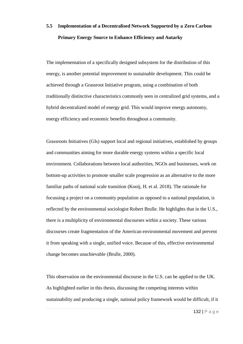# **5.5 Implementation of a Decentralised Network Supported by a Zero Carbon Primary Energy Source to Enhance Efficiency and Autarky**

The implementation of a specifically designed subsystem for the distribution of this energy, is another potential improvement to sustainable development. This could be achieved through a Grassroot Initiative program, using a combination of both traditionally distinctive characteristics commonly seen in centralized grid systems, and a hybrid decentralized model of energy grid. This would improve energy autonomy, energy efficiency and economic benefits throughout a community.

Grassroots Initiatives (GIs) support local and regional initiatives, established by groups and communities aiming for more durable energy systems within a specific local environment. Collaborations between local authorities, NGOs and businesses, work on bottom-up activities to promote smaller scale progression as an alternative to the more familiar paths of national scale transition (Kooij, H. et al. 2018). The rationale for focussing a project on a community population as opposed to a national population, is reflected by the environmental sociologist Robert Brulle. He highlights that in the U.S., there is a multiplicity of environmental discourses within a society. These various discourses create fragmentation of the American environmental movement and prevent it from speaking with a single, unified voice. Because of this, effective environmental change becomes unachievable (Brulle, 2000).

This observation on the environmental discourse in the U.S. can be applied to the UK. As highlighted earlier in this thesis, discussing the competing interests within sustainability and producing a single, national policy framework would be difficult, if it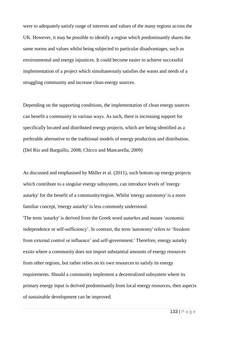were to adequately satisfy range of interests and values of the many regions across the UK. However, it may be possible to identify a region which predominantly shares the same norms and values whilst being subjected to particular disadvantages, such as environmental and energy injustices. It could become easier to achieve successful implementation of a project which simultaneously satisfies the wants and needs of a struggling community and increase clean energy sources.

Depending on the supporting conditions, the implementation of clean energy sources can benefit a community in various ways. As such, there is increasing support for specifically located and distributed energy projects, which are being identified as a preferable alternative to the traditional models of energy production and distribution. (Del Rio and Burguillo, 2008; Chicco and Mancarella, 2009).

As discussed and emphasised by Müller et al. (2011), such bottom-up energy projects which contribute to a singular energy subsystem, can introduce levels of 'energy autarky' for the benefit of a community/region. Whilst 'energy autonomy' is a more familiar concept, 'energy autarky' is less commonly understood.

'The term 'autarky' is derived from the Greek word *autarkes* and means 'economic independence or self-sufficiency'. In contrast, the term 'autonomy' refers to 'freedom from external control or influence' and self-government.' Therefore, energy autarky exists where a community does not import substantial amounts of energy resources from other regions, but rather relies on its own resources to satisfy its energy requirements. Should a community implement a decentralized subsystem where its primary energy input is derived predominantly from local energy resources, then aspects of sustainable development can be improved.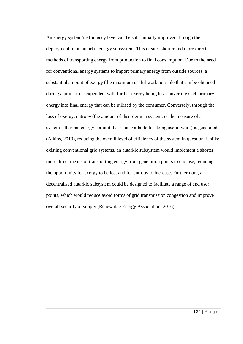An energy system's efficiency level can be substantially improved through the deployment of an autarkic energy subsystem. This creates shorter and more direct methods of transporting energy from production to final consumption. Due to the need for conventional energy systems to import primary energy from outside sources, a substantial amount of exergy (the maximum useful work possible that can be obtained during a process) is expended, with further exergy being lost converting such primary energy into final energy that can be utilised by the consumer. Conversely, through the loss of exergy, entropy (the amount of disorder in a system, or the measure of a system's thermal energy per unit that is unavailable for doing useful work) is generated (Atkins, 2010), reducing the overall level of efficiency of the system in question. Unlike existing conventional grid systems, an autarkic subsystem would implement a shorter, more direct means of transporting energy from generation points to end use, reducing the opportunity for exergy to be lost and for entropy to increase. Furthermore, a decentralised autarkic subsystem could be designed to facilitate a range of end user points, which would reduce/avoid forms of grid transmission congestion and improve overall security of supply (Renewable Energy Association, 2016).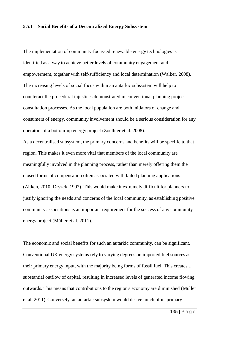#### **5.5.1 Social Benefits of a Decentralized Energy Subsystem**

The implementation of community-focussed renewable energy technologies is identified as a way to achieve better levels of community engagement and empowerment, together with self-sufficiency and local determination (Walker, 2008). The increasing levels of social focus within an autarkic subsystem will help to counteract the procedural injustices demonstrated in conventional planning project consultation processes. As the local population are both initiators of change and consumers of energy, community involvement should be a serious consideration for any operators of a bottom-up energy project (Zoellner et al. 2008).

As a decentralised subsystem, the primary concerns and benefits will be specific to that region. This makes it even more vital that members of the local community are meaningfully involved in the planning process, rather than merely offering them the closed forms of compensation often associated with failed planning applications (Aitken, 2010; Dryzek, 1997). This would make it extremely difficult for planners to justify ignoring the needs and concerns of the local community, as establishing positive community associations is an important requirement for the success of any community energy project (Müller et al. 2011).

The economic and social benefits for such an autarkic community, can be significant. Conventional UK energy systems rely to varying degrees on imported fuel sources as their primary energy input, with the majority being forms of fossil fuel. This creates a substantial outflow of capital, resulting in increased levels of generated income flowing outwards. This means that contributions to the region's economy are diminished (Müller et al. 2011).Conversely, an autarkic subsystem would derive much of its primary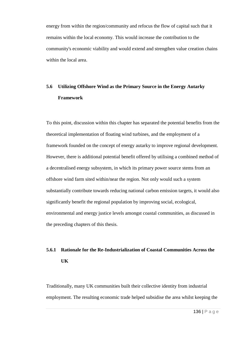energy from within the region/community and refocus the flow of capital such that it remains within the local economy. This would increase the contribution to the community's economic viability and would extend and strengthen value creation chains within the local area.

# **5.6 Utilizing Offshore Wind as the Primary Source in the Energy Autarky Framework**

To this point, discussion within this chapter has separated the potential benefits from the theoretical implementation of floating wind turbines, and the employment of a framework founded on the concept of energy autarky to improve regional development. However, there is additional potential benefit offered by utilising a combined method of a decentralised energy subsystem, in which its primary power source stems from an offshore wind farm sited within/near the region. Not only would such a system substantially contribute towards reducing national carbon emission targets, it would also significantly benefit the regional population by improving social, ecological, environmental and energy justice levels amongst coastal communities, as discussed in the preceding chapters of this thesis.

# **5.6.1 Rationale for the Re-Industrialization of Coastal Communities Across the UK**

Traditionally, many UK communities built their collective identity from industrial employment. The resulting economic trade helped subsidise the area whilst keeping the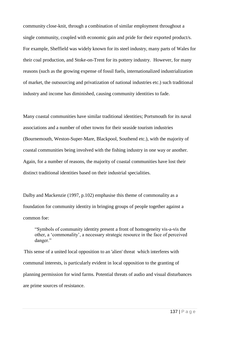community close-knit, through a combination of similar employment throughout a single community, coupled with economic gain and pride for their exported product/s. For example, Sheffield was widely known for its steel industry, many parts of Wales for their coal production, and Stoke-on-Trent for its pottery industry. However, for many reasons (such as the growing expense of fossil fuels, internationalized industrialization of market, the outsourcing and privatization of national industries etc.) such traditional industry and income has diminished, causing community identities to fade.

Many coastal communities have similar traditional identities; Portsmouth for its naval associations and a number of other towns for their seaside tourism industries (Bournemouth, Weston-Super-Mare, Blackpool, Southend etc.), with the majority of coastal communities being involved with the fishing industry in one way or another. Again, for a number of reasons, the majority of coastal communities have lost their distinct traditional identities based on their industrial specialities.

Dalby and Mackenzie (1997, p.102) emphasise this theme of commonality as a foundation for community identity in bringing groups of people together against a common foe:

"Symbols of community identity present a front of homogeneity vis-a-vis the other, a 'commonality', a necessary strategic resource in the face of perceived danger."

This sense of a united local opposition to an 'alien' threat which interferes with communal interests, is particularly evident in local opposition to the granting of planning permission for wind farms. Potential threats of audio and visual disturbances are prime sources of resistance.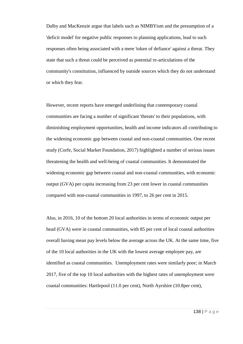Dalby and MacKenzie argue that labels such as NIMBYism and the presumption of a 'deficit model' for negative public responses to planning applications, lead to such responses often being associated with a mere 'token of defiance' against a threat. They state that such a threat could be perceived as potential re-articulations of the community's constitution, influenced by outside sources which they do not understand or which they fear.

However, recent reports have emerged underlining that contemporary coastal communities are facing a number of significant 'threats' to their populations, with diminishing employment opportunities, health and income indicators all contributing to the widening economic gap between coastal and non-coastal communities. One recent study (Corfe, Social Market Foundation, 2017) highlighted a number of serious issues threatening the health and well-being of coastal communities. It demonstrated the widening economic gap between coastal and non-coastal communities, with economic output (GVA) per capita increasing from 23 per cent lower in coastal communities compared with non-coastal communities in 1997, to 26 per cent in 2015.

Also, in 2016, 10 of the bottom 20 local authorities in terms of economic output per head (GVA) were in coastal communities, with 85 per cent of local coastal authorities overall having mean pay levels below the average across the UK. At the same time, five of the 10 local authorities in the UK with the lowest average employee pay, are identified as coastal communities. Unemployment rates were similarly poor; in March 2017, five of the top 10 local authorities with the highest rates of unemployment were coastal communities: Hartlepool (11.0 per cent), North Ayrshire (10.8per cent),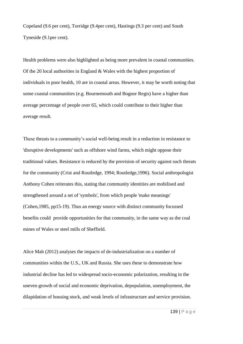Copeland (9.6 per cent), Torridge (9.4per cent), Hastings (9.3 per cent) and South Tyneside (9.1per cent).

Health problems were also highlighted as being more prevalent in coastal communities. Of the 20 local authorities in England & Wales with the highest proportion of individuals in poor health, 10 are in coastal areas. However, it may be worth noting that some coastal communities (e.g. Bournemouth and Bognor Regis) have a higher than average percentage of people over 65, which could contribute to their higher than average result.

These threats to a community's social well-being result in a reduction in resistance to 'disruptive developments' such as offshore wind farms, which might oppose their traditional values. Resistance is reduced by the provision of security against such threats for the community (Crist and Routledge, 1994; Routledge,1996). Social anthropologist Anthony Cohen reiterates this, stating that community identities are mobilised and strengthened around a set of 'symbols', from which people 'make meanings' (Cohen,1985, pp15-19). Thus an energy source with distinct community focussed benefits could provide opportunities for that community, in the same way as the coal mines of Wales or steel mills of Sheffield.

Alice Mah (2012) analyses the impacts of de-industrialization on a number of communities within the U.S., UK and Russia. She uses these to demonstrate how industrial decline has led to widespread socio-economic polarization, resulting in the uneven growth of social and economic deprivation, depopulation, unemployment, the dilapidation of housing stock, and weak levels of infrastructure and service provision.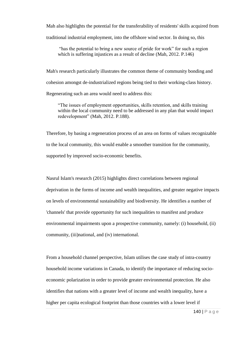Mah also highlights the potential for the transferability of residents' skills acquired from traditional industrial employment, into the offshore wind sector. In doing so, this

"has the potential to bring a new source of pride for work" for such a region which is suffering injustices as a result of decline (Mah, 2012. P.146)

Mah's research particularly illustrates the common theme of community bonding and cohesion amongst de-industrialized regions being tied to their working-class history. Regenerating such an area would need to address this:

"The issues of employment opportunities, skills retention, and skills training within the local community need to be addressed in any plan that would impact redevelopment" (Mah, 2012. P.188).

Therefore, by basing a regeneration process of an area on forms of values recognizable to the local community, this would enable a smoother transition for the community, supported by improved socio-economic benefits.

Nasrul Islam's research (2015) highlights direct correlations between regional deprivation in the forms of income and wealth inequalities, and greater negative impacts on levels of environmental sustainability and biodiversity. He identifies a number of 'channels' that provide opportunity for such inequalities to manifest and produce environmental impairments upon a prospective community, namely: (i) household, (ii) community, (iii)national, and (iv) international.

From a household channel perspective, Islam utilises the case study of intra-country household income variations in Canada, to identify the importance of reducing socioeconomic polarization in order to provide greater environmental protection. He also identifies that nations with a greater level of income and wealth inequality, have a higher per capita ecological footprint than those countries with a lower level if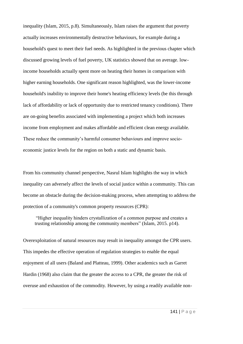inequality (Islam, 2015, p.8). Simultaneously, Islam raises the argument that poverty actually increases environmentally destructive behaviours, for example during a household's quest to meet their fuel needs. As highlighted in the previous chapter which discussed growing levels of fuel poverty, UK statistics showed that on average. lowincome households actually spent more on heating their homes in comparison with higher earning households. One significant reason highlighted, was the lower-income household's inability to improve their home's heating efficiency levels (be this through lack of affordability or lack of opportunity due to restricted tenancy conditions). There are on-going benefits associated with implementing a project which both increases income from employment and makes affordable and efficient clean energy available. These reduce the community's harmful consumer behaviours and improve socioeconomic justice levels for the region on both a static and dynamic basis.

From his community channel perspective, Nasrul Islam highlights the way in which inequality can adversely affect the levels of social justice within a community. This can become an obstacle during the decision-making process, when attempting to address the protection of a community's common property resources (CPR):

"Higher inequality hinders crystallization of a common purpose and creates a trusting relationship among the community members" (Islam, 2015. p14).

Overexploitation of natural resources may result in inequality amongst the CPR users. This impedes the effective operation of regulation strategies to enable the equal enjoyment of all users (Baland and Platteau, 1999). Other academics such as Garret Hardin (1968) also claim that the greater the access to a CPR, the greater the risk of overuse and exhaustion of the commodity. However, by using a readily available non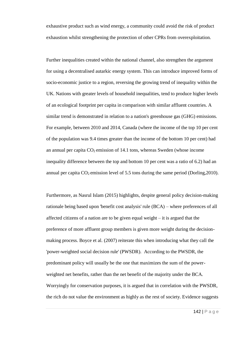exhaustive product such as wind energy, a community could avoid the risk of product exhaustion whilst strengthening the protection of other CPRs from overexploitation.

Further inequalities created within the national channel, also strengthen the argument for using a decentralised autarkic energy system. This can introduce improved forms of socio-economic justice to a region, reversing the growing trend of inequality within the UK. Nations with greater levels of household inequalities, tend to produce higher levels of an ecological footprint per capita in comparison with similar affluent countries. A similar trend is demonstrated in relation to a nation's greenhouse gas (GHG) emissions. For example, between 2010 and 2014, Canada (where the income of the top 10 per cent of the population was 9.4 times greater than the income of the bottom 10 per cent) had an annual per capita  $CO<sub>2</sub>$  emission of 14.1 tons, whereas Sweden (whose income inequality difference between the top and bottom 10 per cent was a ratio of 6.2) had an annual per capita  $CO_2$  emission level of 5.5 tons during the same period (Dorling, 2010).

Furthermore, as Nasrul Islam (2015) highlights, despite general policy decision-making rationale being based upon 'benefit cost analysis' rule (BCA) – where preferences of all affected citizens of a nation are to be given equal weight – it is argued that the preference of more affluent group members is given more weight during the decisionmaking process. Boyce et al. (2007) reiterate this when introducing what they call the 'power-weighted social decision rule' (PWSDR). According to the PWSDR, the predominant policy will usually be the one that maximizes the sum of the powerweighted net benefits, rather than the net benefit of the majority under the BCA. Worryingly for conservation purposes, it is argued that in correlation with the PWSDR, the rich do not value the environment as highly as the rest of society. Evidence suggests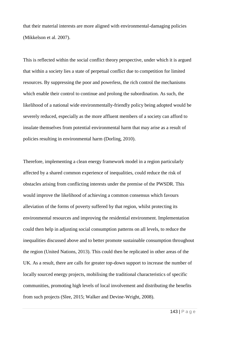that their material interests are more aligned with environmental-damaging policies (Mikkelson et al. 2007).

This is reflected within the social conflict theory perspective, under which it is argued that within a society lies a state of perpetual conflict due to competition for limited resources. By suppressing the poor and powerless, the rich control the mechanisms which enable their control to continue and prolong the subordination. As such, the likelihood of a national wide environmentally-friendly policy being adopted would be severely reduced, especially as the more affluent members of a society can afford to insulate themselves from potential environmental harm that may arise as a result of policies resulting in environmental harm (Dorling, 2010).

Therefore, implementing a clean energy framework model in a region particularly affected by a shared common experience of inequalities, could reduce the risk of obstacles arising from conflicting interests under the premise of the PWSDR. This would improve the likelihood of achieving a common consensus which favours alleviation of the forms of poverty suffered by that region, whilst protecting its environmental resources and improving the residential environment. Implementation could then help in adjusting social consumption patterns on all levels, to reduce the inequalities discussed above and to better promote sustainable consumption throughout the region (United Nations, 2013). This could then be replicated in other areas of the UK. As a result, there are calls for greater top-down support to increase the number of locally sourced energy projects, mobilising the traditional characteristics of specific communities, promoting high levels of local involvement and distributing the benefits from such projects (Slee, 2015; Walker and Devine-Wright, 2008).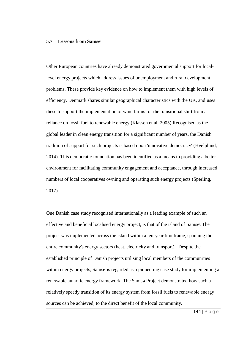#### **5.7 Lessons from Samsø**

Other European countries have already demonstrated governmental support for locallevel energy projects which address issues of unemployment and rural development problems. These provide key evidence on how to implement them with high levels of efficiency. Denmark shares similar geographical characteristics with the UK, and uses these to support the implementation of wind farms for the transitional shift from a reliance on fossil fuel to renewable energy (Klassen et al. 2005) Recognised as the global leader in clean energy transition for a significant number of years, the Danish tradition of support for such projects is based upon 'innovative democracy' (Hvelplund, 2014). This democratic foundation has been identified as a means to providing a better environment for facilitating community engagement and acceptance, through increased numbers of local cooperatives owning and operating such energy projects (Sperling, 2017).

One Danish case study recognised internationally as a leading example of such an effective and beneficial localised energy project, is that of the island of Samsø. The project was implemented across the island within a ten-year timeframe, spanning the entire community's energy sectors (heat, electricity and transport). Despite the established principle of Danish projects utilising local members of the communities within energy projects, Samsø is regarded as a pioneering case study for implementing a renewable autarkic energy framework. The Samsø Project demonstrated how such a relatively speedy transition of its energy system from fossil fuels to renewable energy sources can be achieved, to the direct benefit of the local community.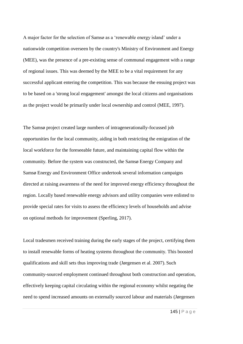A major factor for the selection of Samsø as a 'renewable energy island' under a nationwide competition overseen by the country's Ministry of Environment and Energy (MEE), was the presence of a pre-existing sense of communal engagement with a range of regional issues. This was deemed by the MEE to be a vital requirement for any successful applicant entering the competition. This was because the ensuing project was to be based on a 'strong local engagement' amongst the local citizens and organisations as the project would be primarily under local ownership and control (MEE, 1997).

The Samsø project created large numbers of intragenerationally-focussed job opportunities for the local community, aiding in both restricting the emigration of the local workforce for the foreseeable future, and maintaining capital flow within the community. Before the system was constructed, the Samsø Energy Company and Samsø Energy and Environment Office undertook several information campaigns directed at raising awareness of the need for improved energy efficiency throughout the region. Locally based renewable energy advisors and utility companies were enlisted to provide special rates for visits to assess the efficiency levels of households and advise on optional methods for improvement (Sperling, 2017).

Local tradesmen received training during the early stages of the project, certifying them to install renewable forms of heating systems throughout the community. This boosted qualifications and skill sets thus improving trade (Jørgensen et al. 2007). Such community-sourced employment continued throughout both construction and operation, effectively keeping capital circulating within the regional economy whilst negating the need to spend increased amounts on externally sourced labour and materials (Jørgensen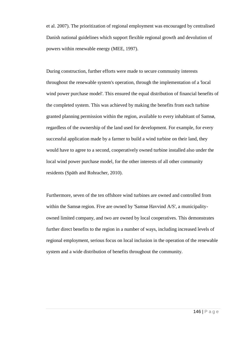et al. 2007). The prioritization of regional employment was encouraged by centralised Danish national guidelines which support flexible regional growth and devolution of powers within renewable energy (MEE, 1997).

During construction, further efforts were made to secure community interests throughout the renewable system's operation, through the implementation of a 'local wind power purchase model'. This ensured the equal distribution of financial benefits of the completed system. This was achieved by making the benefits from each turbine granted planning permission within the region, available to every inhabitant of Samsø, regardless of the ownership of the land used for development. For example, for every successful application made by a farmer to build a wind turbine on their land, they would have to agree to a second, cooperatively owned turbine installed also under the local wind power purchase model, for the other interests of all other community residents (Späth and Rohracher, 2010).

Furthermore, seven of the ten offshore wind turbines are owned and controlled from within the Samsø region. Five are owned by 'Samsø Havvind A/S', a municipalityowned limited company, and two are owned by local cooperatives. This demonstrates further direct benefits to the region in a number of ways, including increased levels of regional employment, serious focus on local inclusion in the operation of the renewable system and a wide distribution of benefits throughout the community.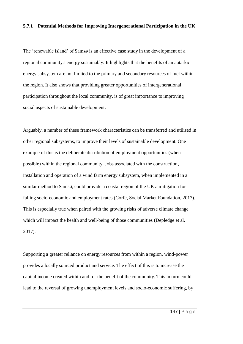# **5.7.1 Potential Methods for Improving Intergenerational Participation in the UK**

The 'renewable island' of Samsø is an effective case study in the development of a regional community's energy sustainably. It highlights that the benefits of an autarkic energy subsystem are not limited to the primary and secondary resources of fuel within the region. It also shows that providing greater opportunities of intergenerational participation throughout the local community, is of great importance to improving social aspects of sustainable development.

Arguably, a number of these framework characteristics can be transferred and utilised in other regional subsystems, to improve their levels of sustainable development. One example of this is the deliberate distribution of employment opportunities (when possible) within the regional community. Jobs associated with the construction, installation and operation of a wind farm energy subsystem, when implemented in a similar method to Samsø, could provide a coastal region of the UK a mitigation for falling socio-economic and employment rates (Corfe, Social Market Foundation, 2017). This is especially true when paired with the growing risks of adverse climate change which will impact the health and well-being of those communities (Depledge et al. 2017).

Supporting a greater reliance on energy resources from within a region, wind-power provides a locally sourced product and service. The effect of this is to increase the capital income created within and for the benefit of the community. This in turn could lead to the reversal of growing unemployment levels and socio-economic suffering, by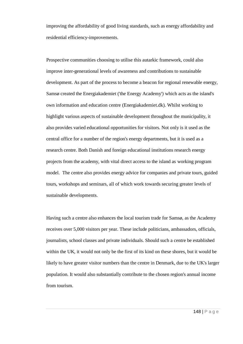improving the affordability of good living standards, such as energy affordability and residential efficiency-improvements.

Prospective communities choosing to utilise this autarkic framework, could also improve inter-generational levels of awareness and contributions to sustainable development. As part of the process to become a beacon for regional renewable energy, Samsø created the Energiakademiet ('the Energy Academy') which acts as the island's own information and education centre (Energiakademiet.dk). Whilst working to highlight various aspects of sustainable development throughout the municipality, it also provides varied educational opportunities for visitors. Not only is it used as the central office for a number of the region's energy departments, but it is used as a research centre. Both Danish and foreign educational institutions research energy projects from the academy, with vital direct access to the island as working program model. The centre also provides energy advice for companies and private tours, guided tours, workshops and seminars, all of which work towards securing greater levels of sustainable developments.

Having such a centre also enhances the local tourism trade for Samsø, as the Academy receives over 5,000 visitors per year. These include politicians, ambassadors, officials, journalists, school classes and private individuals. Should such a centre be established within the UK, it would not only be the first of its kind on these shores, but it would be likely to have greater visitor numbers than the centre in Denmark, due to the UK's larger population. It would also substantially contribute to the chosen region's annual income from tourism.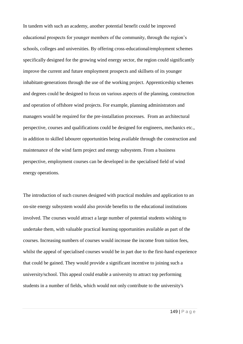In tandem with such an academy, another potential benefit could be improved educational prospects for younger members of the community, through the region's schools, colleges and universities. By offering cross-educational/employment schemes specifically designed for the growing wind energy sector, the region could significantly improve the current and future employment prospects and skillsets of its younger inhabitant-generations through the use of the working project. Apprenticeship schemes and degrees could be designed to focus on various aspects of the planning, construction and operation of offshore wind projects. For example, planning administrators and managers would be required for the pre-installation processes. From an architectural perspective, courses and qualifications could be designed for engineers, mechanics etc., in addition to skilled labourer opportunities being available through the construction and maintenance of the wind farm project and energy subsystem. From a business perspective, employment courses can be developed in the specialised field of wind energy operations.

The introduction of such courses designed with practical modules and application to an on-site energy subsystem would also provide benefits to the educational institutions involved. The courses would attract a large number of potential students wishing to undertake them, with valuable practical learning opportunities available as part of the courses. Increasing numbers of courses would increase the income from tuition fees, whilst the appeal of specialised courses would be in part due to the first-hand experience that could be gained. They would provide a significant incentive to joining such a university/school. This appeal could enable a university to attract top performing students in a number of fields, which would not only contribute to the university's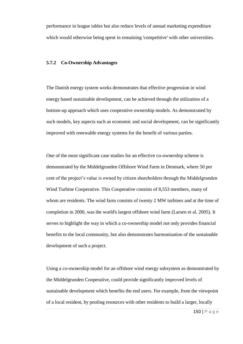performance in league tables but also reduce levels of annual marketing expenditure which would otherwise being spent in remaining 'competitive' with other universities.

## **5.7.2 Co-Ownership Advantages**

The Danish energy system works demonstrates that effective progression in wind energy based sustainable development, can be achieved through the utilization of a bottom-up approach which uses cooperative ownership models. As demonstrated by such models, key aspects such as economic and social development, can be significantly improved with renewable energy systems for the benefit of various parties.

One of the most significant case studies for an effective co-ownership scheme is demonstrated by the Middelgrunden Offshore Wind Farm in Denmark, where 50 per cent of the project's value is owned by citizen shareholders through the Middelgrunden Wind Turbine Cooperative. This Cooperative consists of 8,553 members, many of whom are residents. The wind farm consists of twenty 2 MW turbines and at the time of completion in 2000, was the world's largest offshore wind farm (Larsen et al. 2005). It serves to highlight the way in which a co-ownership model not only provides financial benefits to the local community, but also demonstrates harmonisation of the sustainable development of such a project.

Using a co-ownership model for an offshore wind energy subsystem as demonstrated by the Middelgrunden Cooperative, could provide significantly improved levels of sustainable development which benefits the end users. For example, from the viewpoint of a local resident, by pooling resources with other residents to build a larger, locally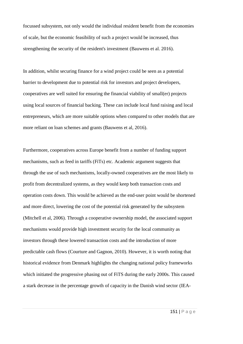focussed subsystem, not only would the individual resident benefit from the economies of scale, but the economic feasibility of such a project would be increased, thus strengthening the security of the resident's investment (Bauwens et al. 2016).

In addition, whilst securing finance for a wind project could be seen as a potential barrier to development due to potential risk for investors and project developers, cooperatives are well suited for ensuring the financial viability of small(er) projects using local sources of financial backing. These can include local fund raising and local entrepreneurs, which are more suitable options when compared to other models that are more reliant on loan schemes and grants (Bauwens et al, 2016).

Furthermore, cooperatives across Europe benefit from a number of funding support mechanisms, such as feed in tariffs (FiTs) etc. Academic argument suggests that through the use of such mechanisms, locally-owned cooperatives are the most likely to profit from decentralized systems, as they would keep both transaction costs and operation costs down. This would be achieved as the end-user point would be shortened and more direct, lowering the cost of the potential risk generated by the subsystem (Mitchell et al, 2006). Through a cooperative ownership model, the associated support mechanisms would provide high investment security for the local community as investors through these lowered transaction costs and the introduction of more predictable cash flows (Courture and Gagnon, 2010). However, it is worth noting that historical evidence from Denmark highlights the changing national policy frameworks which initiated the progressive phasing out of FiTS during the early 2000s. This caused a stark decrease in the percentage growth of capacity in the Danish wind sector (IEA-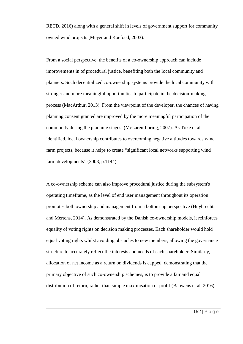RETD, 2016) along with a general shift in levels of government support for community owned wind projects (Meyer and Koefoed, 2003).

From a social perspective, the benefits of a co-ownership approach can include improvements in of procedural justice, benefiting both the local community and planners. Such decentralized co-ownership systems provide the local community with stronger and more meaningful opportunities to participate in the decision-making process (MacArthur, 2013). From the viewpoint of the developer, the chances of having planning consent granted are improved by the more meaningful participation of the community during the planning stages. (McLaren Loring, 2007). As Toke et al. identified, local ownership contributes to overcoming negative attitudes towards wind farm projects, because it helps to create "significant local networks supporting wind farm developments" (2008, p.1144).

A co-ownership scheme can also improve procedural justice during the subsystem's operating timeframe, as the level of end user management throughout its operation promotes both ownership and management from a bottom-up perspective (Huybrechts and Mertens, 2014). As demonstrated by the Danish co-ownership models, it reinforces equality of voting rights on decision making processes. Each shareholder would hold equal voting rights whilst avoiding obstacles to new members, allowing the governance structure to accurately reflect the interests and needs of each shareholder. Similarly, allocation of net income as a return on dividends is capped, demonstrating that the primary objective of such co-ownership schemes, is to provide a fair and equal distribution of return, rather than simple maximisation of profit (Bauwens et al, 2016).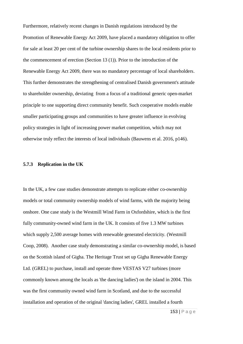Furthermore, relatively recent changes in Danish regulations introduced by the Promotion of Renewable Energy Act 2009, have placed a mandatory obligation to offer for sale at least 20 per cent of the turbine ownership shares to the local residents prior to the commencement of erection (Section 13 (1)). Prior to the introduction of the Renewable Energy Act 2009, there was no mandatory percentage of local shareholders. This further demonstrates the strengthening of centralised Danish government's attitude to shareholder ownership, deviating from a focus of a traditional generic open-market principle to one supporting direct community benefit. Such cooperative models enable smaller participating groups and communities to have greater influence in evolving policy strategies in light of increasing power market competition, which may not otherwise truly reflect the interests of local individuals (Bauwens et al. 2016, p146).

#### **5.7.3 Replication in the UK**

In the UK, a few case studies demonstrate attempts to replicate either co-ownership models or total community ownership models of wind farms, with the majority being onshore. One case study is the Westmill Wind Farm in Oxfordshire, which is the first fully community-owned wind farm in the UK. It consists of five 1.3 MW turbines which supply 2,500 average homes with renewable generated electricity. (Westmill Coop, 2008). Another case study demonstrating a similar co-ownership model, is based on the Scottish island of Gigha. The Heritage Trust set up Gigha Renewable Energy Ltd. (GREL) to purchase, install and operate three VESTAS V27 turbines (more commonly known among the locals as 'the dancing ladies') on the island in 2004. This was the first community owned wind farm in Scotland, and due to the successful installation and operation of the original 'dancing ladies', GREL installed a fourth

153 | P a g e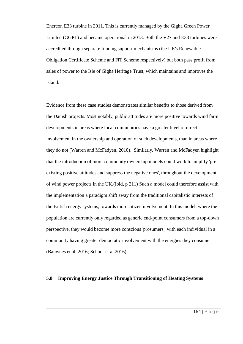Enercon E33 turbine in 2011. This is currently managed by the Gigha Green Power Limited (GGPL) and became operational in 2013. Both the V27 and E33 turbines were accredited through separate funding support mechanisms (the UK's Renewable Obligation Certificate Scheme and FiT Scheme respectively) but both pass profit from sales of power to the Isle of Gigha Heritage Trust, which maintains and improves the island.

Evidence from these case studies demonstrates similar benefits to those derived from the Danish projects. Most notably, public attitudes are more positive towards wind farm developments in areas where local communities have a greater level of direct involvement in the ownership and operation of such developments, than in areas where they do not (Warren and McFadyen, 2010). Similarly, Warren and McFadyen highlight that the introduction of more community ownership models could work to amplify 'preexisting positive attitudes and suppress the negative ones', throughout the development of wind power projects in the UK.(Ibid, p 211) Such a model could therefore assist with the implementation a paradigm shift away from the traditional capitalistic interests of the British energy systems, towards more citizen involvement. In this model, where the population are currently only regarded as generic end-point consumers from a top-down perspective, they would become more conscious 'prosumers', with each individual in a community having greater democratic involvement with the energies they consume (Bauwnes et al. 2016; Schoor et al.2016).

## **5.8 Improving Energy Justice Through Transitioning of Heating Systems**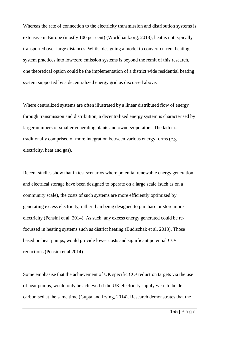Whereas the rate of connection to the electricity transmission and distribution systems is extensive in Europe (mostly 100 per cent) (Worldbank.org, 2018), heat is not typically transported over large distances. Whilst designing a model to convert current heating system practices into low/zero emission systems is beyond the remit of this research, one theoretical option could be the implementation of a district wide residential heating system supported by a decentralized energy grid as discussed above.

Where centralized systems are often illustrated by a linear distributed flow of energy through transmission and distribution, a decentralized energy system is characterised by larger numbers of smaller generating plants and owners/operators. The latter is traditionally comprised of more integration between various energy forms (e.g. electricity, heat and gas).

Recent studies show that in test scenarios where potential renewable energy generation and electrical storage have been designed to operate on a large scale (such as on a community scale), the costs of such systems are more efficiently optimized by generating excess electricity, rather than being designed to purchase or store more electricity (Pensini et al. 2014). As such, any excess energy generated could be refocussed in heating systems such as district heating (Budischak et al. 2013). Those based on heat pumps, would provide lower costs and significant potential CO² reductions (Pensini et al.2014).

Some emphasise that the achievement of UK specific CO² reduction targets via the use of heat pumps, would only be achieved if the UK electricity supply were to be decarbonised at the same time (Gupta and Irving, 2014). Research demonstrates that the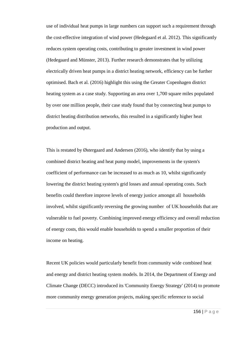use of individual heat pumps in large numbers can support such a requirement through the cost-effective integration of wind power (Hedegaard et al. 2012). This significantly reduces system operating costs, contributing to greater investment in wind power (Hedegaard and Münster, 2013). Further research demonstrates that by utilizing electrically driven heat pumps in a district heating network, efficiency can be further optimised. Bach et al. (2016) highlight this using the Greater Copenhagen district heating system as a case study. Supporting an area over 1,700 square miles populated by over one million people, their case study found that by connecting heat pumps to district heating distribution networks, this resulted in a significantly higher heat production and output.

This is restated by Østergaard and Andersen (2016), who identify that by using a combined district heating and heat pump model, improvements in the system's coefficient of performance can be increased to as much as 10, whilst significantly lowering the district heating system's grid losses and annual operating costs. Such benefits could therefore improve levels of energy justice amongst all households involved, whilst significantly reversing the growing number of UK households that are vulnerable to fuel poverty. Combining improved energy efficiency and overall reduction of energy costs, this would enable households to spend a smaller proportion of their income on heating.

Recent UK policies would particularly benefit from community wide combined heat and energy and district heating system models. In 2014, the Department of Energy and Climate Change (DECC) introduced its 'Community Energy Strategy' (2014) to promote more community energy generation projects, making specific reference to social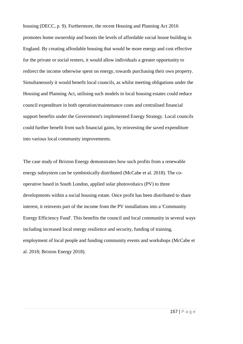housing (DECC, p. 9). Furthermore, the recent Housing and Planning Act 2016 promotes home ownership and boosts the levels of affordable social house building in England. By creating affordable housing that would be more energy and cost effective for the private or social renters, it would allow individuals a greater opportunity to redirect the income otherwise spent on energy, towards purchasing their own property. Simultaneously it would benefit local councils, as whilst meeting obligations under the Housing and Planning Act, utilising such models in local housing estates could reduce council expenditure in both operation/maintenance costs and centralised financial support benefits under the Government's implemented Energy Strategy. Local councils could further benefit from such financial gains, by reinvesting the saved expenditure into various local community improvements.

The case study of Brixton Energy demonstrates how such profits from a renewable energy subsystem can be symbiotically distributed (McCabe et al. 2018). The cooperative based in South London, applied solar photovoltaics (PV) to three developments within a social housing estate. Once profit has been distributed to share interest, it reinvests part of the income from the PV installations into a 'Community Energy Efficiency Fund'. This benefits the council and local community in several ways including increased local energy resilience and security, funding of training, employment of local people and funding community events and workshops (McCabe et al. 2018; Brixton Energy 2018).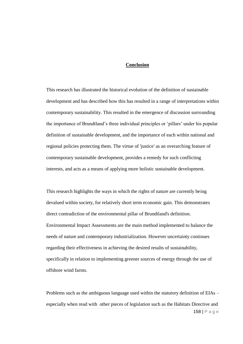## **Conclusion**

This research has illustrated the historical evolution of the definition of sustainable development and has described how this has resulted in a range of interpretations within contemporary sustainability. This resulted in the emergence of discussion surrounding the importance of Brundtland's three individual principles or 'pillars' under his popular definition of sustainable development, and the importance of each within national and regional policies protecting them. The virtue of 'justice' as an overarching feature of contemporary sustainable development, provides a remedy for such conflicting interests, and acts as a means of applying more holistic sustainable development.

This research highlights the ways in which the rights of nature are currently being devalued within society, for relatively short term economic gain. This demonstrates direct contradiction of the environmental pillar of Brundtland's definition. Environmental Impact Assessments are the main method implemented to balance the needs of nature and contemporary industrialization. However uncertainty continues regarding their effectiveness in achieving the desired results of sustainability, specifically in relation to implementing greener sources of energy through the use of offshore wind farms.

Problems such as the ambiguous language used within the statutory definition of EIAs – especially when read with other pieces of legislation such as the Habitats Directive and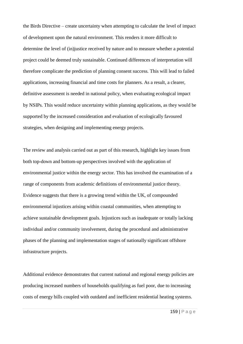the Birds Directive – create uncertainty when attempting to calculate the level of impact of development upon the natural environment. This renders it more difficult to determine the level of (in)justice received by nature and to measure whether a potential project could be deemed truly sustainable. Continued differences of interpretation will therefore complicate the prediction of planning consent success. This will lead to failed applications, increasing financial and time costs for planners. As a result, a clearer, definitive assessment is needed in national policy, when evaluating ecological impact by NSIPs. This would reduce uncertainty within planning applications, as they would be supported by the increased consideration and evaluation of ecologically favoured strategies, when designing and implementing energy projects.

The review and analysis carried out as part of this research, highlight key issues from both top-down and bottom-up perspectives involved with the application of environmental justice within the energy sector. This has involved the examination of a range of components from academic definitions of environmental justice theory. Evidence suggests that there is a growing trend within the UK, of compounded environmental injustices arising within coastal communities, when attempting to achieve sustainable development goals. Injustices such as inadequate or totally lacking individual and/or community involvement, during the procedural and administrative phases of the planning and implementation stages of nationally significant offshore infrastructure projects.

Additional evidence demonstrates that current national and regional energy policies are producing increased numbers of households qualifying as fuel poor, due to increasing costs of energy bills coupled with outdated and inefficient residential heating systems.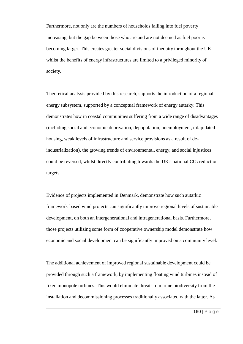Furthermore, not only are the numbers of households falling into fuel poverty increasing, but the gap between those who are and are not deemed as fuel poor is becoming larger. This creates greater social divisions of inequity throughout the UK, whilst the benefits of energy infrastructures are limited to a privileged minority of society.

Theoretical analysis provided by this research, supports the introduction of a regional energy subsystem, supported by a conceptual framework of energy autarky. This demonstrates how in coastal communities suffering from a wide range of disadvantages (including social and economic deprivation, depopulation, unemployment, dilapidated housing, weak levels of infrastructure and service provisions as a result of deindustrialization), the growing trends of environmental, energy, and social injustices could be reversed, whilst directly contributing towards the UK's national  $CO<sub>2</sub>$  reduction targets.

Evidence of projects implemented in Denmark, demonstrate how such autarkic framework-based wind projects can significantly improve regional levels of sustainable development, on both an intergenerational and intragenerational basis. Furthermore, those projects utilizing some form of cooperative ownership model demonstrate how economic and social development can be significantly improved on a community level.

The additional achievement of improved regional sustainable development could be provided through such a framework, by implementing floating wind turbines instead of fixed monopole turbines. This would eliminate threats to marine biodiversity from the installation and decommissioning processes traditionally associated with the latter. As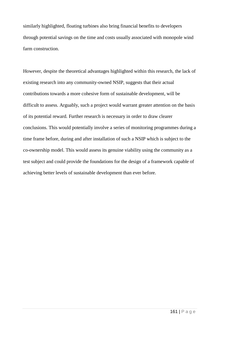similarly highlighted, floating turbines also bring financial benefits to developers through potential savings on the time and costs usually associated with monopole wind farm construction.

However, despite the theoretical advantages highlighted within this research, the lack of existing research into any community-owned NSIP, suggests that their actual contributions towards a more cohesive form of sustainable development, will be difficult to assess. Arguably, such a project would warrant greater attention on the basis of its potential reward. Further research is necessary in order to draw clearer conclusions. This would potentially involve a series of monitoring programmes during a time frame before, during and after installation of such a NSIP which is subject to the co-ownership model. This would assess its genuine viability using the community as a test subject and could provide the foundations for the design of a framework capable of achieving better levels of sustainable development than ever before.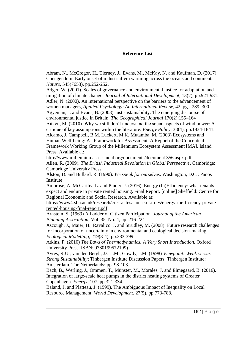# **Reference List**

Abram, N., McGregor, H., Tierney, J., Evans, M., McKay, N. and Kaufman, D. (2017). Corrigendum: Early onset of industrial-era warming across the oceans and continents. *Nature*, 545(7653), pp.252-252.

Adger, W. (2001). Scales of governance and environmental justice for adaptation and mitigation of climate change. *Journal of International Development*, 13(7), pp.921-931. Adler, N. (2000). An international perspective on the barriers to the advancement of women managers, *Applied Psychology: An International Review*, 42, pgs. 289–300 Agyeman, J. and Evans, B. (2003) Just sustainability: The emerging discourse of environmental justice in Britain. *The Geographical Journal* 170(2):155–164 Aitken, M. (2010). Why we still don't understand the social aspects of wind power: A critique of key assumptions within the literature. *Energy Policy*, 38(4), pp.1834-1841. Alcamo, J. Campbell, B.M. Luckert, M.K. Mutamba, M. (2003) Ecosystems and

Human Well-being: A Framework for Assessment. A Report of the Conceptual Framework Working Group of the Millennium Ecosystem Assessment [MA]. Island Press. Available at:

<http://www.millenniumassessment.org/documents/document.356.aspx.pdf> Allen, R. (2009). *The British Industrial Revolution in Global Perspective*. Cambridge: Cambridge University Press.

Alston, D. and Bullard, R. (1990). *We speak for ourselves*. Washington, D.C.: Panos Institute

Ambrose, A. McCarthy, L. and Pinder, J. (2016). Energy (In)Efficiency: what tenants expect and endure in private rented housing. Final Report. [online] Sheffield: Centre for Regional Economic and Social Research. Available at:

[https://www4.shu.ac.uk/research/cresr/sites/shu.ac.uk/files/energy-inefficiency-private](https://www4.shu.ac.uk/research/cresr/sites/shu.ac.uk/files/energy-inefficiency-private-rented-housing-final-report.pdf)[rented-housing-final-report.pdf](https://www4.shu.ac.uk/research/cresr/sites/shu.ac.uk/files/energy-inefficiency-private-rented-housing-final-report.pdf)

Arnstein, S. (1969) A Ladder of Citizen Participation. *Journal of the American Planning Association*, Vol. 35, No. 4, pp. 216-224

Ascough, J., Maier, H., Ravalico, J. and Strudley, M. (2008). Future research challenges for incorporation of uncertainty in environmental and ecological decision-making. *Ecological Modelling*, 219(3-4), pp.383-399.

Atkins, P. (2010) *The Laws of Thermodynamics: A Very Short Introduction.* Oxford University Press. ISBN: 9780199572199)

Ayres, R.U.; van den Bergh, J.C.J.M.; Gowdy, J.M. (1998) *Viewpoint: Weak versus Strong Sustainability*; Tinbergen Institute Discussion Papers; Tinbergen Institute: Amsterdam, The Netherlands; pp. 98-103.

Bach, B., Werling, J., Ommen, T., Münster, M., Morales, J. and Elmegaard, B. (2016). Integration of large-scale heat pumps in the district heating systems of Greater Copenhagen. *Energy*, 107, pp.321-334.

Baland, J. and Platteau, J. (1999). The Ambiguous Impact of Inequality on Local Resource Management. *World Development,* 27(5), pp.773-788.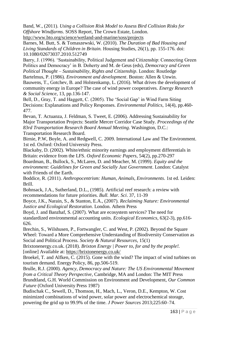Band, W., (2011). *Using a Collision Risk Model to Assess Bird Collision Risks for Offshore Windfarms*. SOSS Report, The Crown Estate, London. <http://www.bto.org/science/wetland-and-marine/soss/projects>

Barnes, M. Butt, S. & Tomaszewski, W. (2010). *The Duration of Bad Housing and Living Standards of Children in Britain.* Housing Studies, 26(1), pp. 155-176. doi: 10.1080/02673037.2010.512749

Barry, J. (1996). 'Sustainability, Political Judgement and Citizenship: Connecting Green Politics and Democracy' in B. Doherty and M. de Geus (eds), *Democracy and Green Political Thought – Sustainability, Rights and Citizenship*. London: Routledge Bartelmus, P. (1986). *Environment and development*. Boston: Allen & Unwin.

Bauwens, T., Gotchev, B. and Holstenkamp, L. (2016). What drives the development of community energy in Europe? The case of wind power cooperatives. *Energy Research & Social Science*, 13, pp.136-147.

Bell, D., Gray, T. and Haggett, C. (2005). The 'Social Gap' in Wind Farm Siting Decisions: Explanations and Policy Responses. *Environmental Politics*, 14(4), pp.460- 477.

Bevan, T. Actuanza, J. Feldman, S. Tweet, E. (2006). Addressing Sustainability for Major Transportation Projects: Seattle Mercer Corridor Case Study. *Proceedings of the 83rd Transportation Research Board Annual Meeting*. Washington, D.C.: Transportation Research Board.

Birnie, P.W, Boyle, A. and Redgwell, C. 2009. International Law and The Environment. 1st ed. Oxford: Oxford University Press.

Blackaby, D. (2002). White/ethnic minority earnings and employment differentials in Britain: evidence from the LFS. *Oxford Economic Papers*, 54(2), pp.270-297

Boardman, B., Bullock, S., McLaren, D. and Meacher, M. (1999). *Equity and the environment: Guidelines for Green and Socially Just Government*. London: Catalyst with Friends of the Earth.

Boddice, R. (2011). *Anthropocentrism: Human, Animals, Environments*. 1st ed. Leiden: Brill.

Bohnsack, J.A., Sutherland, D.L., (1985). Artificial reef research: a review with recommendations for future priorities. *Bull. Mar. Sci*. 37, 11-39

Boyce, J.K., Narain, S., & Stanton, E.A., (2007). *Reclaiming Nature: Environmental Justice and Ecological Restoration*. London. Athem Press

Boyd, J. and Banzhaf, S. (2007). What are ecosystem services? The need for standardized environmental accounting units. *Ecological Economics*, 63(2-3), pp.616- 626.

Brechin, S., Wilshusen, P., Fortwangler, C. and West, P. (2002). Beyond the Square Wheel: Toward a More Comprehensive Understanding of Biodiversity Conservation as Social and Political Process. *Society & Natural Resources*, 15(1)

Brixtonenergy.co.uk. (2018). *Brixton Energy | Power to, for and by the people!.* [online] Available at:<https://brixtonenergy.co.uk/>

Broekel, T. and Alfken, C. (2015). Gone with the wind? The impact of wind turbines on tourism demand. Energy Policy, 86, pp.506-519.

Brulle, R.J. (2000). *Agency, Democracy and Nature: The US Environmental Movement from a Critical Theory Perspective*, Cambridge, MA and London: The MIT Press

Brundtland, G.H. World Commission on Environment and Development, *Our Common Future* (Oxford University Press 1987)

Budischak C., Sewell, D., Thomson, H., Mach, L., Veron, D.E., Kempton, W. Cost minimized combinations of wind power, solar power and electrochemical storage, powering the grid up to 99.9% of the time. *J Power Sources* 2013;225:60–74.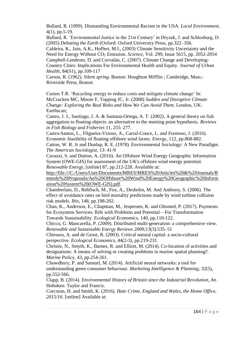Bullard, R. (1999). Dismantling Environmental Racism in the USA. *Local Environment*, 4(1), pp.5-19.

Bullard, R. 'Environmental Justice in the 21st Century' in Dryzek, J. and Schlosburg, D. (2005) *Debating the Earth* (Oxford: Oxford University Press, pp.322–356.

Caldeira, K., Jain, A.K., Hoffert, M.I., (2003) Climate Sensitivity Uncertainty and the Need for Energy Without CO<sub>2</sub> Emission. *Science*, Vol. 299, Issue 5615, pp. 2052-2054 Campbell-Lendrum, D. and Corvalán, C. (2007). Climate Change and Developing-Country Cities: Implications For Environmental Health and Equity. *Journal of Urban Health*, 84(S1), pp.109-117

Carson, R. (1962). *Silent spring*. Boston: Houghton Mifflin ; Cambridge, Mass.: Riverside Press, Boston

Casten T.R. 'Recycling energy to reduce costs and mitigate climate change' In: McCracken MC, Moore F, Topping JC, Jr. (2008) *Sudden and Disruptive Climate Change: Exploring the Real Risks and How We Can Avoid Them*. London, UK: Earthscan;

Castro, J. J., Santiago, J. A. & Santana-Ortega, A. T. (2002). A general theory on fish aggregation to floating objects: an alternative to the meeting point hypothesis. *Reviews in Fish Biology and Fisheries* 11, 255–277.

Castro-Santos, L., Filgueira-Vizoso, A., Carral-Couce, L. and Formoso, J. (2016). Economic feasibility of floating offshore wind farms. *Energy*, 112, pp.868-882. Catton, W. R. Jr and Dunlap, R. E. (1978). Environmental Sociology: A New Paradigm. *The American Sociologist*, 13: 41-9

Cavazzi, S. and Dutton, A. (2016). An Offshore Wind Energy Geographic Information System (OWE-GIS) for assessment of the UK's offshore wind energy potential. *Renewable Energy*, [online] 87, pp.212-228. Available at:

[http://file:///C:/Users/User/Documents/MRES/MRES%20Articles%20&%20Journals/R](http://file/C:/Users/User/Documents/MRES/MRES%20Articles%20&%20Journals/Remedy%20Proposals/An%20Offshore%20Wind%20Energy%20Geographic%20Information%20System%20(OWE-GIS).pdf) [emedy%20Proposals/An%20Offshore%20Wind%20Energy%20Geographic%20Inform](http://file/C:/Users/User/Documents/MRES/MRES%20Articles%20&%20Journals/Remedy%20Proposals/An%20Offshore%20Wind%20Energy%20Geographic%20Information%20System%20(OWE-GIS).pdf) [ation%20System%20\(OWE-GIS\).pdf.](http://file/C:/Users/User/Documents/MRES/MRES%20Articles%20&%20Journals/Remedy%20Proposals/An%20Offshore%20Wind%20Energy%20Geographic%20Information%20System%20(OWE-GIS).pdf)

Chamberlain, D., Rehfisch, M., Fox, A., Desholm, M. And Anthony, S. (2006). The effect of avoidance rates on bird mortality predictions made by wind turbine collision risk models. *Ibis*, 148, pp.198-202.

Chan, K., Anderson, E., Chapman, M., Jespersen, K. and Olmsted, P. (2017). Payments for Ecosystem Services: Rife with Problems and Potential—For Transformation Towards Sustainability. *Ecological Economics*, 140, pp.110-122.

Chicco, G. Mancarella, P. (2009). Distributed multi-generation: a comprehensive view. *Renewable and Sustainable Energy Reviews* 2009;13(3):535–51

Chiesura, A. and de Groot, R. (2003). Critical natural capital: a socio-cultural perspective. *Ecological Economics*, 44(2-3), pp.219-231.

Christie, N., Smyth, K., Barnes, R. and Elliott, M. (2014). Co-location of activities and designations: A means of solving or creating problems in marine spatial planning?. *Marine Policy*, 43, pp.254-261.

Chowdhury, P. and Samuel, M. (2014). Artificial neural networks: a tool for understanding green consumer behaviour. *Marketing Intelligence & Planning*, 32(5), pp.552-566.

Clapp, B. (2014). *Environmental History of Britain since the Industrial Revolution, An*. Hoboken: Taylor and Francis.

Corcoran, H. and Smith, K. (2016). *Hate Crime, England and Wales, the Home Office, 2015/16*. [online] Available at: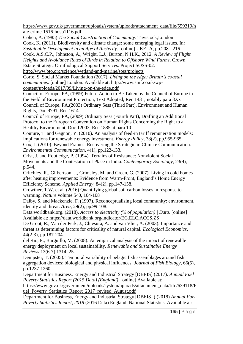[https://www.gov.uk/government/uploads/system/uploads/attachment\\_data/file/559319/h](https://www.gov.uk/government/uploads/system/uploads/attachment_data/file/559319/hate-crime-1516-hosb1116.pdf) [ate-crime-1516-hosb1116.pdf](https://www.gov.uk/government/uploads/system/uploads/attachment_data/file/559319/hate-crime-1516-hosb1116.pdf)

Cohen, A. (1985) *The Social Construction of Community*. Tavistock,London Cook, K. (2011). Biodiversity and climate change: some emerging legal issues. In: *Sustainable Development in an Age of Austerity*. [online] UKELA, pp.208 - 216 Cook, A.S.C.P., Johnston, A., Wright, L.J., Burton, N.H.K., 2012. *A Review of Flight Heights and Avoidance Rates of Birds in Relation to Offshore Wind Farms*. Crown

Estate Strategic Ornithological Support Services. Project SOSS-02. <http://www.bto.org/science/wetland-and-marine/soss/projects>

Corfe, S. Social Market Foundation (2017). *Living on the edge: Britain's coastal communities*. [online] London. Available at: [http://www.smf.co.uk/wp](http://www.smf.co.uk/wp-content/uploads/2017/09/Living-on-the-edge.pdf)[content/uploads/2017/09/Living-on-the-edge.pdf](http://www.smf.co.uk/wp-content/uploads/2017/09/Living-on-the-edge.pdf)

Council of Europe, PA, (1999) Future Action to Be Taken by the Council of Europe in the Field of Environment Protection, Text Adopted, Rec 1431; notably para 8Xx Council of Europe, PA,(2003) Ordinary Sess (Third Part), Environment and Human Rights, Doc 9791, Rec 1614.

Council of Europe, PA, (2009) Ordinary Sess (Fourth Part), Drafting an Additional Protocol to the European Convention on Human Rights Concerning the Right to a Healthy Environment, Doc 12003, Rec 1885 at para 10

Couture, T. and Gagnon, Y. (2010). An analysis of feed-in tariff remuneration models: Implications for renewable energy investment. *Energy Policy*, 38(2), pp.955-965.

Cox, J. (2010). Beyond Frames: Recovering the Strategic in Climate Communication. *Environmental Communication*, 4(1), pp.122-133.

Crist, J. and Routledge, P. (1994). Terrains of Resistance: Nonviolent Social Movements and the Contestation of Place in India. *Contemporary Sociology*, 23(4), p.544.

Critchley, R., Gilbertson, J., Grimsley, M. and Green, G. (2007). Living in cold homes after heating improvements: Evidence from Warm-Front, England's Home Energy Efficiency Scheme. *Applied Energy*, 84(2), pp.147-158.

Crowther, T.W. et al. (2016) Quantifying global soil carbon losses in response to warming. *Nature* volume 540, 104-108

Dalby, S. and Mackenzie, F. (1997). Reconceptualising local community: environment, identity and threat. *Area*, 29(2), pp.99-108.

Data.worldbank.org. (2018). *Access to electricity (% of population) | Data*. [online] Available at:<https://data.worldbank.org/indicator/EG.ELC.ACCS.ZS>

De Groot, R., Van der Perk, J., Chiesura, A. and van Vliet, A. (2003). Importance and threat as determining factors for criticality of natural capital. *Ecological Economics*, 44(2-3), pp.187-204.

del Rio, P., Burguillo, M. (2008). An empirical analysis of the impact of renewable energy deployment on local sustainability. *Renewable and Sustainable Energy Reviews*;13(6-7):1314–25.

Dempster, T. (2005). Temporal variability of pelagic fish assemblages around fish aggregation devices: biological and physical influences. *Journal of Fish Biology*, 66(5), pp.1237-1260.

Department for Business, Energy and Industrial Strategy [DBEIS] (2017). *Annual Fuel Poverty Statistics Report (2015 Data) (England)*. [online] Available at:

[https://www.gov.uk/government/uploads/system/uploads/attachment\\_data/file/639118/F](https://www.gov.uk/government/uploads/system/uploads/attachment_data/file/639118/Fuel_Poverty_Statistics_Report_2017_revised_August.pdf) [uel\\_Poverty\\_Statistics\\_Report\\_2017\\_revised\\_August.pdf](https://www.gov.uk/government/uploads/system/uploads/attachment_data/file/639118/Fuel_Poverty_Statistics_Report_2017_revised_August.pdf)

Department for Business, Energy and Industrial Strategy [DBEIS] ( (2018) *Annual Fuel Poverty Statistics Report, 2018* (2016 Data) England. National Statistics. Available at: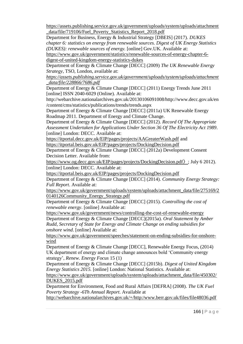[https://assets.publishing.service.gov.uk/government/uploads/system/uploads/attachment](https://assets.publishing.service.gov.uk/government/uploads/system/uploads/attachment_data/file/719106/Fuel_Poverty_Statistics_Report_2018.pdf) [\\_data/file/719106/Fuel\\_Poverty\\_Statistics\\_Report\\_2018.pdf](https://assets.publishing.service.gov.uk/government/uploads/system/uploads/attachment_data/file/719106/Fuel_Poverty_Statistics_Report_2018.pdf)

Department for Business, Energy & Industrial Strategy [DBEIS] (2017). *DUKES chapter 6: statistics on energy from renewable sources. Digest of UK Energy Statistics (DUKES): renewable sources of energy.* [online] Gov.UK. Available at:

[https://www.gov.uk/government/statistics/renewable-sources-of-energy-chapter-6](https://www.gov.uk/government/statistics/renewable-sources-of-energy-chapter-6-digest-of-united-kingdom-energy-statistics-dukes) [digest-of-united-kingdom-energy-statistics-dukes](https://www.gov.uk/government/statistics/renewable-sources-of-energy-chapter-6-digest-of-united-kingdom-energy-statistics-dukes)

Department of Energy & Climate Change [DECC] (2009) *The UK Renewable Energy Strategy*, TSO, London, available at:

*[https://assets.publishing.service.gov.uk/government/uploads/system/uploads/attachment](https://assets.publishing.service.gov.uk/government/uploads/system/uploads/attachment_data/file/228866/7686.pdf) [\\_data/file/228866/7686.pdf](https://assets.publishing.service.gov.uk/government/uploads/system/uploads/attachment_data/file/228866/7686.pdf)*

Department of Energy & Climate Change [DECC] (2011) Energy Trends June 2011 [online] ISSN 2040-6029 (Online). Available at:

http://webarchive.nationalarchives.gov.uk/20130106091008/http://www.decc.gov.uk/en /content/cms/statistics/publications/trends/trends.aspx

Department of Energy & Climate Change [DECC] (2011a) UK Renewable Energy Roadmap 2011. Department of Energy and Climate Change.

Department of Energy & Climate Change [DECC] (2012). *Record Of The Appropriate Assessment Undertaken for Applications Under Section 36 Of The Electricity Act 1989*. [online] London: DECC. Available at:

<https://itportal.decc.gov.uk/EIP/pages/projects/AAGreaterWash.pdf> and <https://itportal.beis.gov.uk/EIP/pages/projects/DockingDecision.pdf>

Department of Energy & Climate Change [DECC] (2012a) Development Consent Decision Letter. Available from:

[https://www.og.decc.gov.uk/EIP/pages/projects/DockingDecision.pdf](https://www.og.decc.gov.uk/EIP/pages/projects/DockingDecision.pdf〉)〉; July 6 2012). [online] London: DECC. Available at:

<https://itportal.beis.gov.uk/EIP/pages/projects/DockingDecision.pdf>

Department of Energy & Climate Change [DECC] (2014). *Community Energy Strategy: Full Report*. Available at:

[https://www.gov.uk/government/uploads/system/uploads/attachment\\_data/file/275169/2](https://www.gov.uk/government/uploads/system/uploads/attachment_data/file/275169/20140126Community_Energy_Strategy.pdf) [0140126Community\\_Energy\\_Strategy.pdf](https://www.gov.uk/government/uploads/system/uploads/attachment_data/file/275169/20140126Community_Energy_Strategy.pdf)

Department of Energy & Climate Change [DECC] (2015). *Controlling the cost of renewable energy*. [online] Available at:

<https://www.gov.uk/government/news/controlling-the-cost-of-renewable-energy>

Department of Energy & Climate Change [DECC](2015a). *Oral Statement by Amber Rudd, Secretary of State for Energy and Climate Change on ending subsidies for onshore wind*. [online] Available at:

[https://www.gov.uk/government/speeches/statement-on-ending-subsidies-for-onshore](https://www.gov.uk/government/speeches/statement-on-ending-subsidies-for-onshore-wind)[wind](https://www.gov.uk/government/speeches/statement-on-ending-subsidies-for-onshore-wind)

Department of Energy & Climate Change [DECC], Renewable Energy Focus, (2014) UK department of energy and climate change announces bold 'Community energy strategy', *Renew. Energy Focus* 15 (1)

Department of Energy & Climate Change [DECC] (2015b). *Digest of United Kingdom Energy Statistics 2015.* [online] London: National Statistics. Available at:

[https://www.gov.uk/government/uploads/system/uploads/attachment\\_data/file/450302/](https://www.gov.uk/government/uploads/system/uploads/attachment_data/file/450302/DUKES_2015.pdf) [DUKES\\_2015.pdf](https://www.gov.uk/government/uploads/system/uploads/attachment_data/file/450302/DUKES_2015.pdf)

Department for Environment, Food and Rural Affairs [DEFRA] (2008). *The UK Fuel Poverty Strategy -6Th Annual Report*. Available at

<http://webarchive.nationalarchives.gov.uk/+/http:/www.berr.gov.uk/files/file48036.pdf>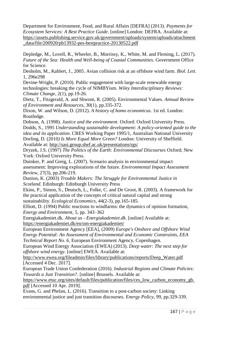Department for Environment, Food, and Rural Affairs [DEFRA] (2013). *Payments for Ecosystem Services: A Best Practice Guide*. [online] London: DEFRA. Available at: [https://assets.publishing.service.gov.uk/government/uploads/system/uploads/attachment](https://assets.publishing.service.gov.uk/government/uploads/system/uploads/attachment_data/file/200920/pb13932-pes-bestpractice-20130522.pdf) [\\_data/file/200920/pb13932-pes-bestpractice-20130522.pdf](https://assets.publishing.service.gov.uk/government/uploads/system/uploads/attachment_data/file/200920/pb13932-pes-bestpractice-20130522.pdf)

Depledge, M., Lovell, R., Wheeler, B., Morrissy, K., White, M. and Fleming, L. (2017). *Future of the Sea: Health and Well-being of Coastal Communities*. Government Office for Science.

Desholm, M., Kahlert, J., 2005. Avian collision risk at an offshore wind farm. *Biol. Lett*. 1, 296e298

Devine-Wright, P. (2010). Public engagement with large-scale renewable energy technologies: breaking the cycle of NIMBYism. *Wiley Interdisciplinary Reviews: Climate Change*, 2(1), pp.19-26.

Dietz, T., Fitzgerald, A. and Shwom, R. (2005). Environmental Values. *Annual Review of Environment and Resources*, 30(1), pp.335-372.

Dixon, W. and Wilson, D. (2012). *A history of homo economicus*. 1st ed. London: Routledge.

Dobson, A. (1998). *Justice and the environment*. Oxford: Oxford University Press. Dodds, S., 1995 *Understanding sustainable development: A policy-oriented guide to the idea and its application*. CRES Working Paper 1995/1, Australian National University Dorling, D. (2010*) Is More Equal More Green?* London: University of Sheffield. Available at:<http://sasi.group.shef.ac.uk/presentations/rgs/>

Dryzek, J.S. (1997) *The Politics of the Earth: Environmental Discourses* Oxford; New York: Oxford University Press.

Duinker, P. and Greig, L. (2007). Scenario analysis in environmental impact assessment: Improving explorations of the future. *Environmental Impact Assessment Review*, 27(3), pp.206-219.

Dunion, K. (2003) *Trouble Makers: The Struggle for Environmental Justice in Scotland*. Edinburgh: Edinburgh University Press

Ekins, P., Simon, S., Deutsch, L., Folke, C. and De Groot, R. (2003). A framework for the practical application of the concepts of critical natural capital and strong sustainability. *Ecological Economics*, 44(2-3), pp.165-185.

Elliott, D. (1994) Public reactions to windfarms: the dynamics of opinion formation, *Energy and Environment*, 5, pp. 343–362

Energiakademiet.dk. *About us - Energiakademiet.dk*. [online] Available at: <https://energiakademiet.dk/en/om-energiakademiet/>

European Environment Agency [EEA], (2009) *Europe's Onshore and Offshore Wind Energy Potential: An Assessment of Environmental and Economic Constraints, EEA Technical Report No. 6*, European Environment Agency, Copenhagen.

European Wind Energy Association (EWEA) (2013). *Deep water: The next step for offshore wind energy*. [online] EWEA. Available at:

[http://www.ewea.org/fileadmin/files/library/publications/reports/Deep\\_Water.pdf](http://www.ewea.org/fileadmin/files/library/publications/reports/Deep_Water.pdf) [Accessed 4 Dec. 2017].

European Trade Union Confederation (2016). *Industrial Regions and Climate Policies: Towards a Just Transition?*. [online] Brussels. Available at:

[https://www.etuc.org/sites/default/files/publication/files/ces\\_low\\_carbon\\_economy\\_gb.](https://www.etuc.org/sites/default/files/publication/files/ces_low_carbon_economy_gb.pdf) [pdf](https://www.etuc.org/sites/default/files/publication/files/ces_low_carbon_economy_gb.pdf) [Accessed 10 Apr. 2019].

Evans, G. and Phelan, L. (2016). Transition to a post-carbon society: Linking environmental justice and just transition discourses. *Energy Policy*, 99, pp.329-339.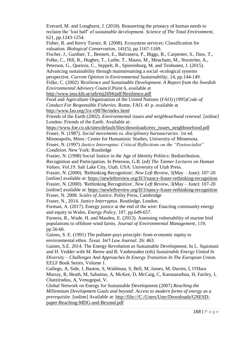Everard, M. and Longhurst, J. (2018). Reasserting the primacy of human needs to reclaim the 'lost half' of sustainable development. *Science of The Total Environment*, 621, pp.1243-1254. Fisher, B. and Kerry Turner, R. (2008). Ecosystem services: Classification for valuation. *Biological Conservation*, 141(5), pp.1167-1169. Fischer, J., Gardner, T., Bennett, E., Balvanera, P., Biggs, R., Carpenter, S., Daw, T., Folke, C., Hill, R., Hughes, T., Luthe, T., Maass, M., Meacham, M., Norström, A., Peterson, G., Queiroz, C., Seppelt, R., Spierenburg, M. and Tenhunen, J. (2015). Advancing sustainability through mainstreaming a social–ecological systems perspective. *Current Opinion in Environmental Sustainability*, 14, pp.144-149. Folke, C. (2002) *'Resilience and Sustainable Development. A Report from the Swedish Environmental Advisory Council*.Point 6, available at <http://www.ima.kth.se/utb/mj2694/pdf/Resilience.pdf> Food and Agriculture Organisation of the United Nations (FAO) (1995)*Code of Conduct For Responsible Fisheries*. Rome, FAO. 41 p. available at <http://www.fao.org/3/a-v9878e/index.html> Friends of the Earth (2002). *Environmental issues and neighbourhood renewal*. [online] London: Friends of the Earth. Available at: [https://www.foe.co.uk/sites/default/files/downloads/env\\_issues\\_neighbourhood.pdf](https://www.foe.co.uk/sites/default/files/downloads/env_issues_neighbourhood.pdf) Fraser, N. (1987). *Social movements vs. disciplinary bureaucracies*. 1st ed. Minneapolis, Minn.: Center for Humanistic Studies, University of Minnesota. Fraser, N. (1997) *Justice Interruptus: Critical Reflections on the "Postsocialist" Condition*. New York: Routledge Frasier, N. (1998) Social Justice in the Age of Identity Politics: Redistribution, Recognition and Participation. In Peterson, G.B. (ed) *The Tanner Lectures on Human Values. Vol.19*. Salt Lake City, Utah. USA: University of Utah Press. Frasier, N. (2000). 'Rethinking Recognition', *New Left Review,* 3(May – June): 107-20 [online] available at:<https://newleftreview.org/II/3/nancy-fraser-rethinking-recognition> Frasier, N. (2000). 'Rethinking Recognition', *New Left Review,* 3(May – June): 107-20 [online] available at:<https://newleftreview.org/II/3/nancy-fraser-rethinking-recognition> Fraser, N. 2008. *Scales of Justice*. Polity Press, Cambridge Fraser, N., 2014. *Justice Interruptus*. Routledge, London. Forman, A. (2017). Energy justice at the end of the wire: Enacting community energy and equity in Wales. *Energy Policy*, 107, pp.649-657. Furness, R., Wade, H. and Masden, E. (2013). Assessing vulnerability of marine bird populations to offshore wind farms. *Journal of Environmental Management*, 119, pp.56-66. Gaines, S. E. (1991) The polluter-pays principle: from economic equity to environmental ethos. *Texas Int'l Law Journal.* 26: 463. Gaines, S.E. 2014. The Energy Revolution as Sustainable Development. In L. Squintani

and H. Vedder with M. Reese and B. Vanheusden (eds) *Sustainable Energy United In Diversity – Challenges And Approaches In Energy Transition In The European Union*. EELF Book Series, Volume 1.

Gallego, A, Side, J, Baston, S, Waldman, S, Bell, M, James, M, Davies, I, O'Hara Murray, R, Heath, M, Sabatino, A, McKee, D, McCaig, C, Karunarathna, H, Fairley, I, Chatzirodou, A, Venugopal, V,

Global Network on Energy for Sustainable Development (2007) *Reaching the Millennium Development Goals and beyond: Access to modern forms of energy as a prerequisite.* [online] Available at: [http://file:///C:/Users/User/Downloads/GNESD](http://file/C:/Users/User/Downloads/GNESD-paper-Reaching-MDG-and-Beyond.pdf)[paper-Reaching-MDG-and-Beyond.pdf](http://file/C:/Users/User/Downloads/GNESD-paper-Reaching-MDG-and-Beyond.pdf)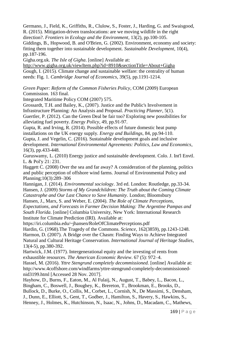Germano, J., Field, K., Griffiths, R., Clulow, S., Foster, J., Harding, G. and Swaisgood, R. (2015). Mitigation-driven translocations: are we moving wildlife in the right direction?. *Frontiers in Ecology and the Environment*, 13(2), pp.100-105.

Giddings, B., Hopwood, B. and O'Brien, G. (2002). Environment, economy and society: fitting them together into sustainable development. *Sustainable Development*, 10(4), pp.187-196.

Gigha.org.uk. *The Isle of Gigha*. [online] Available at:

[http://www.gigha.org.uk/viewItem.php?id=8910&sectionTitle=About+Gigha](http://www.gigha.org.uk/viewItem.php?id=8910§ionTitle=About+Gigha) Gough, I. (2015). Climate change and sustainable welfare: the centrality of human needs: Fig. 1. *Cambridge Journal of Economics*, 39(5), pp.1191-1214.

*Green Paper: Reform of the Common Fisheries Policy*, COM (2009) European Commission. 163 final.

Integrated Maritime Policy COM (2007) 575.

Grossardt, T.H. and Bailey, K., (2007). Justice and the Public's Involvement in Infrastructure Planning: An Analysis and Proposal. *Practicing Planner*, 5(1). Guertler, P. (2012). Can the Green Deal be fair too? Exploring new possibilities for alleviating fuel poverty. *Energy Policy*, 49, pp.91-97.

Gupta, R. and Irving, R. (2014). Possible effects of future domestic heat pump installations on the UK energy supply. *Energy and Buildings*, 84, pp.94-110.

Gupta, J. and Vegelin, C. (2016). Sustainable development goals and inclusive development. *International Environmental Agreements: Politics, Law and Economics*, 16(3), pp.433-448.

Guruswamy, L. (2010) Energy justice and sustainable development. Colo. J. Int'l Envtl. L. & Pol'y 21: 231.

Haggett C. (2008) Over the sea and far away? A consideration of the planning, politics and public perception of offshore wind farms. Journal of Environmental Policy and Planning;10(3):289–306

Hannigan, J. (2014). *Environmental sociology*. 3rd ed. London: Routledge, pp.33-34. Hansen, J. (2009) *Storms of My Grandchildren: The Truth about the Coming Climate Catastrophe and Our Last Chance to Save Humanity*. London; Bloomsbury

Hansen, J., Marx, S. and Weber, E. (2004). *The Role of Climate Perceptions,* 

*Expectations, and Forecasts in Farmer Decision Making: The Argentine Pampas and South Florida*. [online] Columbia University, New York: International Research Institute for Climate Prediction (IRI). Available at:

https://iri.columbia.edu/~jhansen/RoleOfClimatePerceptions.pdf

Hardin, G. (1968).The Tragedy of the Commons. *Science*, 162(3859), pp.1243-1248.

Harmon, D. (2007). A Bridge over the Chasm: Finding Ways to Achieve Integrated

Natural and Cultural Heritage Conservation. *International Journal of Heritage Studies*, 13(4-5), pp.380-392.

Hartwick, J.M. (1977). Intergenerational equity and the investing of rents from exhaustible resources. *The American Economic Review*. 67 (5): 972–4.

Hassel, M. (2016). *Yttre Stengrund completely decommissioned.* [online] Available at: http://www.4coffshore.com/windfarms/yttre-stengrund-completely-decommissionednid3199.html [Accessed 28 Nov. 2017].

Hayhow, D., Burns, F., Eaton, M., Al Fulaij, N., August, T., Babey, L., Bacon, L., Bingham, C., Boswell, J., Boughey, K., Brereton, T., Brookman, E., Brooks, D., Bullock, D., Burke, O., Collis, M., Corbet, L., Cornish, N., De Massimi, S., Densham,

J., Dunn, E., Elliott, S., Gent, T., Godber, J., Hamilton, S., Havery, S., Hawkins, S., Henney, J., Holmes, K., Hutchinson, N., Isaac, N., Johns, D., Macadam, C., Mathews,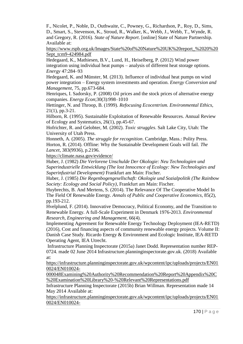F., Nicolet, P., Noble, D., Outhwaite, C., Powney, G., Richardson, P., Roy, D., Sims, D., Smart, S., Stevenson, K., Stroud, R., Walker, K., Webb, J., Webb, T., Wynde, R. and Gregory, R. (2016). *State of Nature Report*. [online] State of Nature Partnership. Available at:

[https://www.rspb.org.uk/Images/State%20of%20Nature%20UK%20report\\_%2020%20](https://www.rspb.org.uk/Images/State%20of%20Nature%20UK%20report_%2020%20Sept_tcm9-424984.pdf) [Sept\\_tcm9-424984.pdf](https://www.rspb.org.uk/Images/State%20of%20Nature%20UK%20report_%2020%20Sept_tcm9-424984.pdf)

Hedegaard, K., Mathiesen, B.V., Lund, H., Heiselberg, P. (2012) Wind power integration using individual heat pumps – analysis of different heat storage options. *Energy* 47:284–93

Hedegaard, K. and Münster, M. (2013). Influence of individual heat pumps on wind power integration – Energy system investments and operation. *Energy Conversion and Management*, 75, pp.673-684.

Henriques, I. Sadorsky, P. (2008) Oil prices and the stock prices of alternative energy companies. *Energy Econ*;30(3):998–1010

Hettinger, N. and Throop, B. (1999). *Refocusing Ecocentrism. Environmental Ethics*, 21(1), pp.3-21.

Hilborn, R. (1995). Sustainable Exploitation of Renewable Resources. Annual Review of Ecology and Systematics, 26(1), pp.45-67.

Hofrichter, R. and Gelobter, M. (2002). *Toxic struggles*. Salt Lake City, Utah: The University of Utah Press.

Honneth, A. (2005). *The struggle for recognition*. Cambridge, Mass.: Polity Press. Horton, R. (2014). Offline: Why the Sustainable Development Goals will fail. *The Lancet*, 383(9936), p.2196.

<https://climate.nasa.gov/evidence/>

Huber, J. (1982) *Die Verlorene Unschulde Der Okologie: Neu Technologien und Superindustrielle Entwicklung (The lost Innocence of Ecology: New Technologies and Superinfustrial Development)* Frankfurt am Main: Fischer.

Huber, J. (1985) *Die Regenbogengesellschaft: Okologie und Sozialpolitik (The Rainbow Society: Ecology and Social Policy)*, Frankfurt am Main: Fischer.

Huybrechts, B. And Mertens, S. (2014). The Relevance Of The Cooperative Model In The Field Of Renewable Energy. *Annals of Public and Cooperative Economics*, 85(2), pp.193-212.

Hvelplund, F. (2014). Innovative Democracy, Political Economy, and the Transition to Renewable Energy. A full-Scale Experiment in Denmark 1976-2013. *Environmental Research, Engineering and Management,* 66(4).

Implementing Agreement for Renewable Energy Technology Deployment (IEA-RETD) (2016), Cost and financing aspects of community renewable energy projects. Volume II: Danish Case Study. Ricardo Energy & Environment and Ecologic Institute, IEA-RETD Operating Agent, IEA Utrecht.

Infrastructure Planning Inspectorate (2015a) Janet Dodd. Representation number REP-0724. made 02 June 2014 Infrastructure.planninginspectorate.gov.uk. (2018) Available at:

[https://infrastructure.planninginspectorate.gov.uk/wpcontent/ipc/uploads/projects/EN01](https://infrastructure.planninginspectorate.gov.uk/wpcontent/ipc/uploads/projects/EN010024/EN010024-000048Examining%20Authority%20Recommendation%20Report%20Appendix%20C%20Examination%20Library%20-%20Relevant%20Representations.pdf) [0024/EN010024-](https://infrastructure.planninginspectorate.gov.uk/wpcontent/ipc/uploads/projects/EN010024/EN010024-000048Examining%20Authority%20Recommendation%20Report%20Appendix%20C%20Examination%20Library%20-%20Relevant%20Representations.pdf)

[000048Examining%20Authority%20Recommendation%20Report%20Appendix%20C](https://infrastructure.planninginspectorate.gov.uk/wpcontent/ipc/uploads/projects/EN010024/EN010024-000048Examining%20Authority%20Recommendation%20Report%20Appendix%20C%20Examination%20Library%20-%20Relevant%20Representations.pdf) [%20Examination%20Library%20-%20Relevant%20Representations.pdf](https://infrastructure.planninginspectorate.gov.uk/wpcontent/ipc/uploads/projects/EN010024/EN010024-000048Examining%20Authority%20Recommendation%20Report%20Appendix%20C%20Examination%20Library%20-%20Relevant%20Representations.pdf)

Infrastructure Planning Inspectorate (2015b) Brian Willman. Representation made 14 May 2014 Available at:

[https://infrastructure.planninginspectorate.gov.uk/wpcontent/ipc/uploads/projects/EN01](https://infrastructure.planninginspectorate.gov.uk/wpcontent/ipc/uploads/projects/EN010024/EN010024-000048Examining%20Authority%20Recommendation%20Report%20Appendix%20C%20Examination%20Library%20-%20Relevant%20Representations.pdf) [0024/EN010024-](https://infrastructure.planninginspectorate.gov.uk/wpcontent/ipc/uploads/projects/EN010024/EN010024-000048Examining%20Authority%20Recommendation%20Report%20Appendix%20C%20Examination%20Library%20-%20Relevant%20Representations.pdf)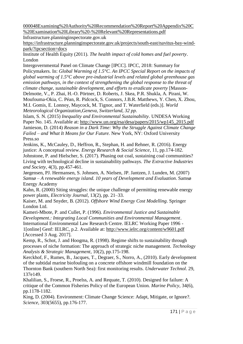[000048Examining%20Authority%20Recommendation%20Report%20Appendix%20C](https://infrastructure.planninginspectorate.gov.uk/wpcontent/ipc/uploads/projects/EN010024/EN010024-000048Examining%20Authority%20Recommendation%20Report%20Appendix%20C%20Examination%20Library%20-%20Relevant%20Representations.pdf) [%20Examination%20Library%20-%20Relevant%20Representations.pdf](https://infrastructure.planninginspectorate.gov.uk/wpcontent/ipc/uploads/projects/EN010024/EN010024-000048Examining%20Authority%20Recommendation%20Report%20Appendix%20C%20Examination%20Library%20-%20Relevant%20Representations.pdf)

Infrastructure.planninginspectorate.gov.uk

[https://infrastructure.planninginspectorate.gov.uk/projects/south-east/navitus-bay-wind](https://infrastructure.planninginspectorate.gov.uk/projects/south-east/navitus-bay-wind-park/?ipcsection=docs)[park/?ipcsection=docs](https://infrastructure.planninginspectorate.gov.uk/projects/south-east/navitus-bay-wind-park/?ipcsection=docs)

Institute of Health Equity (2011). *The health impact of cold homes and fuel poverty*. London

Intergovernmental Panel on Climate Change [IPCC]. IPCC, 2018: Summary for

Policymakers. In: *Global Warming of 1.5°C. An IPCC Special Report on the impacts of global warming of 1.5°C above pre-industrial levels and related global greenhouse gas emission pathways, in the context of strengthening the global response to the threat of climate change, sustainable development, and efforts to eradicate poverty* [Masson-

Delmotte, V., P. Zhai, H.-O. Pörtner, D. Roberts, J. Skea, P.R. Shukla, A. Pirani, W.

Moufouma-Okia, C. Péan, R. Pidcock, S. Connors, J.B.R. Matthews, Y. Chen, X. Zhou, M.I. Gomis, E. Lonnoy, Maycock, M. Tignor, and T. Waterfield (eds.)]. *World Meteorological Organization,Geneva, Switzerland, 32 pp.*

Islam, S. N. (2015) *Inequality and Environmental Sustainability*. UNDESA Working Paper No. 145. Available at: [http://www.un.org/esa/desa/papers/2015/wp145\\_2015.pdf](http://www.un.org/esa/desa/papers/2015/wp145_2015.pdf) Jamieson, D. (2014) *Reason in a Dark Time: Why the Struggle Against Climate Change Failed – and What It Means for Our Future.* New York, NY: Oxford University Press.so

Jenkins, K., McCauley, D., Heffron, R., Stephan, H. and Rehner, R. (2016). Energy justice: A conceptual review. *Energy Research & Social Science*, 11, pp.174-182.

Johnstone, P. and Hielscher, S. (2017). Phasing out coal, sustaining coal communities? Living with technological decline in sustainability pathways. *The Extractive Industries and Society*, 4(3), pp.457-461.

Jørgensen, PJ. Hermansen, S. Johnsen, A. Nielsen, JP. Jantzen, J. Lunden, M. (2007) *Samsø – A renewable energy island. 10 years of Development and Evaluation*. Samsø Energy Academy

Kahn, R. (2000) Siting struggles: the unique challenge of permitting renewable energy power plants, *Electricity Journal*, 13(2), pp. 21–33.

Kaiser, M. and Snyder, B. (2012). *Offshore Wind Energy Cost Modelling*. Springer London Ltd.

Kameri-Mbote, P. and Cullet, P. (1996). *Environmental Justice and Sustainable Development.: Integrating Local Communities and Environmental Management*. International Environmental Law Research Centre. IELRC Working Paper 1996 - 1[online] Genf: IELRC, p.2. Available at:<http://www.ielrc.org/content/w9601.pdf> [Accessed 3 Aug. 2017].

Kemp, R., Schot, J. and Hoogma, R. (1998). Regime shifts to sustainability through processes of niche formation: The approach of strategic niche management. *Technology Analysis & Strategic Management*, 10(2), pp.175-198.

Kerckhof, F., Rumes, B., Jacques, T., Degraer, S., Norro, A., (2010). Early development of the subtidal marine biofouling on a concrete offshore windmill foundation on the Thornton Bank (southern North Sea): first monitoring results. *Underwater Technol*. 29, 137e149.

Khalilian, S., Froese, R., Proelss, A. and Requate, T. (2010). Designed for failure: A critique of the Common Fisheries Policy of the European Union. *Marine Policy*, 34(6), pp.1178-1182.

King, D. (2004). Environment: Climate Change Science: Adapt, Mitigate, or Ignore?. *Science*, 303(5655), pp.176-177.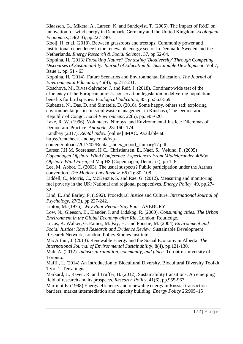Klaassen, G., Miketa, A., Larsen, K. and Sundqvist, T. (2005). The impact of R&D on innovation for wind energy in Denmark, Germany and the United Kingdom. *Ecological Economics,* 54(2-3), pp.227-240.

Kooij, H. et al. (2018). Between grassroots and treetops: Community power and institutional dependence in the renewable energy sector in Denmark, Sweden and the Netherlands. *Energy Research & Social Science*, 37, pp.52-64.

Kopnina, H. (2013*) Forsaking Nature? Contesting 'Biodiversity' Through Competing Discourses of Sustainability. Journal of Education for Sustainable Development*. Vol 7, Issue 1, pp. 51 - 63

Kopnina, H. (2014). Future Scenarios and Environmental Education. *The Journal of Environmental Education*, 45(4), pp.217-231.

Koschová, M., Rivas-Salvador, J. and Reif, J. (2018). Continent-wide test of the efficiency of the European union's conservation legislation in delivering population benefits for bird species. *Ecological Indicators*, 85, pp.563-569.

Kubanza, N., Das, D. and Simatele, D. (2016). Some happy, others sad: exploring environmental justice in solid waste management in Kinshasa, The Democratic Republic of Congo. *Local Environment*, 22(5), pp.595-620.

Lake, R. W. (1996), Volunteers, Nimbys, and Environmental Justice: Dilemmas of Democratic Practice. *Antipode*, 28: 160–174.

Landbay (2017). *Rental Index*. [online] IMAC. Available at:

[https://rentcheck.landbay.co.uk/wp-](https://rentcheck.landbay.co.uk/wp-content/uploads/2017/02/Rental_index_report_January17.pdf)

[content/uploads/2017/02/Rental\\_index\\_report\\_January17.pdf](https://rentcheck.landbay.co.uk/wp-content/uploads/2017/02/Rental_index_report_January17.pdf)

Larsen J.H.M, Soerensen, H.C., Christiansen, E., Naef, S., Vølund, P. (2005)

*Copenhagen Offshore Wind Conference. Experiences From Middelgrunden 40Mw Offshore Wind Farm*, ed Maj HS (Copenhagen, Denmark), pp 1–8

Lee, M. Abbot, C. (2003). The usual suspects? Public participation under the Aarhus convention. *The Modern Law Review*. 66 (1): 80–108

Liddell, C., Morris, C., McKenzie, S. and Rae, G. (2012). Measuring and monitoring fuel poverty in the UK: National and regional perspectives. *Energy Policy*, 49, pp.27- 32.

Lind, E. and Earley, P. (1992). Procedural Justice and Culture. *International Journal of Psychology*, 27(2), pp.227-242.

Lipton, M. (1976). *Why Poor People Stay Poor*. AVEBURY.

Low, N., Gleeson, B., Elander, I. and Lidskog, R. (2000). *Consuming cities: The Urban Environment in the Global Economy after Rio*. London: Routledge.

Lucas, K. Walker, G. Eames, M. Fay, H. and Poustie, M. (2004) *Environment and Social Justice: Rapid Research and Evidence Review,* Sustainable Development Research Network, London: Policy Studies Institute

MacArthur, J. (2013). Renewable Energy and the Social Economy in Alberta. *The International Journal of Environmental Sustainability*, 8(4), pp.121-130.

Mah, A. (2012). *Industrial ruination, community, and place*. Toronto: University of Toronto.

Maffi , L. (2014) An Introduction to Biocultural Diversity. Biocultural Diversity Toolkit TVol 1. Terralingua

Markard, J., Raven, R. and Truffer, B. (2012). Sustainability transitions: An emerging field of research and its prospects. *Research Policy*, 41(6), pp.955-967.

Martinot E. (1998) Energy efficiency and renewable energy in Russia: transaction barriers, market intermediation and capacity building. *Energy Policy* 26:905–15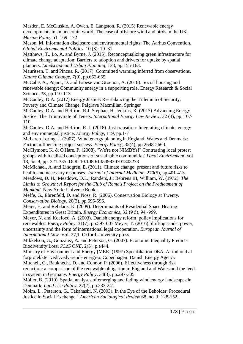Masden, E. McCluskie, A. Owen, E. Langston, R. (2015) Renewable energy developments in an uncertain world: The case of offshore wind and birds in the UK*. Marine Policy* 51 169–172

Mason, M. Information disclosure and environmental rights: The Aarhus Convention. *Global Environmental Politics*. 10 (3): 10–31

Matthews, T., Lo, A. and Byrne, J. (2015). Reconceptualizing green infrastructure for climate change adaptation: Barriers to adoption and drivers for uptake by spatial planners. *Landscape and Urban Planning*, 138, pp.155-163.

Mauritsen, T. and Pincus, R. (2017). Committed warming inferred from observations. *Nature Climate Change*, 7(9), pp.652-655.

McCabe, A., Pojani, D. and Broese van Groenou, A. (2018). Social housing and renewable energy: Community energy in a supporting role. Energy Research & Social Science, 38, pp.110-113.

McCauley, D.A. (2017) Energy Justice: Re-Balancing the Trilemma of Security, Poverty and Climate Change. Palgrave Macmillan. Springer

McCauley, D.A. and Heffron, R.J. Stephan, H, Jenkins, K. (2013) Advancing Energy Justice: The Triumvirate of Tenets, *International Energy Law Review*, 32 (3), pp. 107- 110.

McCauley, D.A. and Heffron, R. J. (2018). Just transition: Integrating climate, energy and environmental justice. *Energy Policy*, 119, pp.1-7

McLaren Loring, J. (2007). Wind energy planning in England, Wales and Denmark: Factors influencing project success. *Energy Policy*, 35(4), pp.2648-2660.

McClymont, K. & O'Hare, P. (2008). "We're not NIMBYs!" Contrasting local protest groups with idealised conceptions of sustainable communities' *Local Environment*, vol 13, no. 4, pp. 321-335. DOI: 10.1080/13549830701803273

McMichael, A. and Lindgren, E. (2011). Climate change: present and future risks to health, and necessary responses. *Journal of Internal Medicine*, 270(5), pp.401-413. Meadows, D. H.; Meadows, D.L.; Randers, J.; Behrens III, William, W. (1972*). The* 

*Limits to Growth; A Report for the Club of Rome's Project on the Predicament of Mankind*. New York: Universe Books.

Meffe, G., Ehrenfeld, D. and Noss, R. (2006). Conservation Biology at Twenty. *Conservation Biology*, 20(3), pp.595-596.

Meier, H. and Rehdanz, K. (2009). Determinants of Residential Space Heating Expenditures in Great Britain. *Energy Economics*, 32 (9 5), 94 ‐959.

Meyer, N. and Koefoed, A. (2003). Danish energy reform: policy implications for renewables. *Energy Policy*, 31(7), pp.597-607 Meyer, T. (2016) Shifting sands: power, uncertainty and the form of international legal cooperation. *European Journal of International Law*. Vol. 27,1. Oxford University press

Mikkelson, G., Gonzalez, A. and Peterson, G. (2007). Economic Inequality Predicts Biodiversity Loss. *PLoS ONE*, 2(5), p.e444.

Ministry of Environment and Energy [MEE] (1997) Specifikation DEA. Af indhold af forproiekkter vedr.vedvarende energi-o. Copenhagen: Danish Energy Agency

Mitchell, C., Bauknecht, D. and Connor, P. (2006). Effectiveness through risk reduction: a comparison of the renewable obligation in England and Wales and the feedin system in Germany. *Energy Policy*, 34(3), pp.297-305.

Möller, B. (2010). Spatial analyses of emerging and fading wind energy landscapes in Denmark. *Land Use Policy*, 27(2), pp.233-241.

Molm, L., Peterson, G., Takahashi, N. (2003). In the Eye of the Beholder: Procedural Justice in Social Exchange." *American Sociological Review* 68, no. 1: 128-152.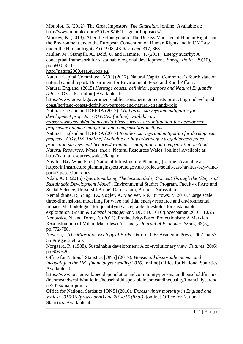Monbiot, G. (2012). The Great Impostors. *The Guardian*. [online] Available at: <http://www.monbiot.com/2012/08/06/the-great-impostors/>

Morrow, K. (2013). After the Honeymoon: The Uneasy Marriage of Human Rights and the Environment under the European Convention on Human Rights and in UK Law under the Human Rights Act 1998, 43 *Rev. Gen*. 317, 368

Müller, M., Stämpfli, A., Dold, U. and Hammer, T. (2011). Energy autarky: A conceptual framework for sustainable regional development. *Energy Policy*, 39(10), pp.5800-5810

<http://natura2000.eea.europa.eu/>

Natural Capital Committee [NCC] (2017). Natural Capital Committee's fourth state of natural capital report. Department for Environment, Food and Rural Affairs.

Natural England. (2015) *Heritage coasts: definition, purpose and Natural England's role* - GOV.UK. [online] Available at:

[https://www.gov.uk/government/publications/heritage-coasts-protecting-undeveloped](https://www.gov.uk/government/publications/heritage-coasts-protecting-undeveloped-coast/heritage-coasts-definition-purpose-and-natural-englands-role)[coast/heritage-coasts-definition-purpose-and-natural-englands-role](https://www.gov.uk/government/publications/heritage-coasts-protecting-undeveloped-coast/heritage-coasts-definition-purpose-and-natural-englands-role)

Natural England and DEFRA (2017). *Wild birds: surveys and mitigation for development projects - GOV.UK. [online] Available at:* 

*[https://www.gov.uk/guidance/wild-birds-surveys-and-mitigation-for-development](https://www.gov.uk/guidance/wild-birds-surveys-and-mitigation-for-development-projects#avoidance-mitigation-and-compensation-methods)[projects#avoidance-mitigation-and-compensation-methods](https://www.gov.uk/guidance/wild-birds-surveys-and-mitigation-for-development-projects#avoidance-mitigation-and-compensation-methods)*

Natural England and DEFRA (2017) *Reptiles: surveys and mitigation for development projects - GOV.UK. [online] Available at: [https://www.gov.uk/guidance/reptiles](https://www.gov.uk/guidance/reptiles-protection-surveys-and-licences#avoidance-mitigation-and-compensation-methods)[protection-surveys-and-licences#avoidance-mitigation-and-compensation-methods](https://www.gov.uk/guidance/reptiles-protection-surveys-and-licences#avoidance-mitigation-and-compensation-methods) Natural Resources. Wales*. (n.d.). Natural Resources Wales. [online] Available at: <http://naturalresources.wales/?lang=en>

Navitus Bay Wind Park | National Infrastructure Planning. [online] Available at: [https://infrastructure.planninginspectorate.gov.uk/projects/south-east/navitus-bay-wind](https://infrastructure.planninginspectorate.gov.uk/projects/south-east/navitus-bay-wind-park/?ipcsection=docs)[park/?ipcsection=docs](https://infrastructure.planninginspectorate.gov.uk/projects/south-east/navitus-bay-wind-park/?ipcsection=docs)

Ndah, A.B. (2015) *Operationalizing The Sustainability Concept Through the 'Stages of Sustainable Development Model*'. Environmental Studies Program, Faculty of Arts and Social Science, Universiti Brunei Darussalam, Brunei. Darussalam

Nemalidinne, R, Yung, TZ, Vögler, A, MacIver, R & Burrows, M 2016, 'Large scale three-dimensional modelling for wave and tidal energy resource and environmental impact: Methodologies for quantifying acceptable thresholds for sustainable

exploitation' *Ocean & Coastal Management*. DOI: 10.1016/j.ocecoaman.2016.11.025 Nenovsky, N. and Torre, D. (2015). Productivity-Based Protectionism: A Marxian Reconstruction of Mihail Manoilescu's Theory. *Journal of Economic Issues*, 49(3), pp.772-786.

Newton, I. *The Migration Ecology of Birds*. Oxford, GB: Academic Press, 2007. pg 53- 55 ProQuest ebrary

Norgaard, R. (1988). Sustainable development: A co-evolutionary view*. Futures*, 20(6), pp.606-620.

Office for National Statistics [ONS] (2017). *Household disposable income and inequality in the UK: financial year ending 2016*. [online] Office for National Statistics. Available at:

[https://www.ons.gov.uk/peoplepopulationandcommunity/personalandhouseholdfinances](https://www.ons.gov.uk/peoplepopulationandcommunity/personalandhouseholdfinances/incomeandwealth/bulletins/householddisposableincomeandinequality/financialyearending2016#main-points) [/incomeandwealth/bulletins/householddisposableincomeandinequality/financialyearendi](https://www.ons.gov.uk/peoplepopulationandcommunity/personalandhouseholdfinances/incomeandwealth/bulletins/householddisposableincomeandinequality/financialyearending2016#main-points) [ng2016#main-points](https://www.ons.gov.uk/peoplepopulationandcommunity/personalandhouseholdfinances/incomeandwealth/bulletins/householddisposableincomeandinequality/financialyearending2016#main-points)

Office for National Statistics [ONS] (2016). *Excess winter mortality in England and Wales: 2015/16 (provisional) and 2014/15 (final)*. [online] Office for National Statistics. Available at: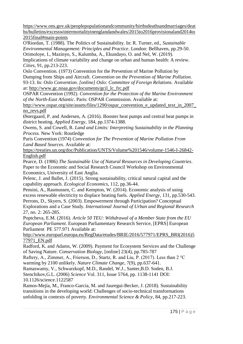[https://www.ons.gov.uk/peoplepopulationandcommunity/birthsdeathsandmarriages/deat](https://www.ons.gov.uk/peoplepopulationandcommunity/birthsdeathsandmarriages/deaths/bulletins/excesswintermortalityinenglandandwales/2015to2016provisionaland2014to2015final#main-points) [hs/bulletins/excesswintermortalityinenglandandwales/2015to2016provisionaland2014to](https://www.ons.gov.uk/peoplepopulationandcommunity/birthsdeathsandmarriages/deaths/bulletins/excesswintermortalityinenglandandwales/2015to2016provisionaland2014to2015final#main-points) [2015final#main-points](https://www.ons.gov.uk/peoplepopulationandcommunity/birthsdeathsandmarriages/deaths/bulletins/excesswintermortalityinenglandandwales/2015to2016provisionaland2014to2015final#main-points)

O'Riordan, T. (1988). The Politics of Sustainability. In: R. Turner, ed., *Sustainable Environmental Management: Principles and Practice*. London: Bellhaven, pp.29-50. Orimoloye, I., Mazinyo, S., Kalumba, A., Ekundayo, O. and Nel, W. (2019).

Implications of climate variability and change on urban and human health: A review. *Cities*, 91, pp.213-223.

Oslo Convention. (1973) Convention for the Prevention of Marine Pollution by Dumping from Ships and Aircraft. *Convention on the Prevention of Marine Pollution.*  93-13. In: *Oslo Convention. [online] Oslo: Committee of Foreign Relations.* Available at: [http://www.gc.noaa.gov/documents/gcil\\_lc\\_frc.pdf](http://www.gc.noaa.gov/documents/gcil_lc_frc.pdf)

OSPAR Convention (1992). *Convention for the Protection of the Marine Environment of the North-East Atlantic*. Paris: OSPAR Commission. Available at:

[http://www.ospar.org/site/assets/files/1290/ospar\\_convention\\_e\\_updated\\_text\\_in\\_2007\\_](http://www.ospar.org/site/assets/files/1290/ospar_convention_e_updated_text_in_2007_no_revs.pdf) [no\\_revs.pdf](http://www.ospar.org/site/assets/files/1290/ospar_convention_e_updated_text_in_2007_no_revs.pdf)

Østergaard, P. and Andersen, A. (2016). Booster heat pumps and central heat pumps in district heating. *Applied Energy*, 184, pp.1374-1388.

Owens, S. and Cowell, R. *Land and Limits: Interpreting Sustainability in the Planning Process.* New York: Routledge

Paris Convention (1974) *Convention for The Prevention of Marine Pollution From Land Based Sources*. Available at:

[https://treaties.un.org/doc/Publication/UNTS/Volume%201546/volume-1546-I-26842-](https://treaties.un.org/doc/Publication/UNTS/Volume%201546/volume-1546-I-26842-English.pdf) [English.pdf](https://treaties.un.org/doc/Publication/UNTS/Volume%201546/volume-1546-I-26842-English.pdf)

Pearce, D. (1986) *The Sustainable Use of Natural Resources in Developing Countries*. Paper to the Economic and Social Research Council Workshop on Environmental Economics, University of East Anglia.

Pelenc, J. and Ballet, J. (2015). Strong sustainability, critical natural capital and the capability approach. *Ecological Economics*, 112, pp.36-44.

Pensini, A., Rasmussen, C. and Kempton, W. (2014). Economic analysis of using excess renewable electricity to displace heating fuels. *Applied Energy*, 131, pp.530-543. Perrons, D., Skyers, S. (2003). Empowerment through Participation? Conceptual

Explorations and a Case Study. *International Journal of Urban and Regional Research* 27, no. 2: 265-285.

Poptcheva, E.M. (2016). *Article 50 TEU: Withdrawal of a Member State from the EU European Parliament.* European Parliamentary Research Service, [EPRS] European Parliament PE 577.971 Available at:

[http://www.europarl.europa.eu/RegData/etudes/BRIE/2016/577971/EPRS\\_BRI\(2016\)5](http://www.europarl.europa.eu/RegData/etudes/BRIE/2016/577971/EPRS_BRI(2016)577971_EN.pdf) [77971\\_EN.pdf](http://www.europarl.europa.eu/RegData/etudes/BRIE/2016/577971/EPRS_BRI(2016)577971_EN.pdf)

Radford, K. and Adams, W. (2009). Payment for Ecosystem Services and the Challenge of Saving Nature. *Conservation Biology*, [online] 23(4), pp.785-787

Raftery, A., Zimmer, A., Frierson, D., Startz, R. and Liu, P. (2017). Less than 2 °C

warming by 2100 unlikely. *Nature Climate Change*, 7(9), pp.637-641.

Ramaswamy, V., Schwarzkopf, M.D., Randel, W.J., Santer,B.D. Soden, B.J.

Stenchikov,G.L. (2006) *Science* Vol. 311, Issue 5764, pp. 1138-1141 DOI: 10.1126/science.1122587

Ramos-Mejía, M., Franco-Garcia, M. and Jauregui-Becker, J. (2018). Sustainability transitions in the developing world: Challenges of socio-technical transformations unfolding in contexts of poverty. *Environmental Science & Policy*, 84, pp.217-223.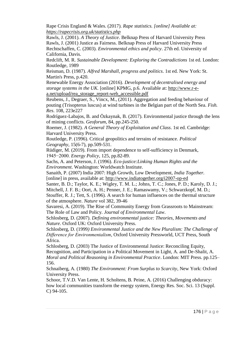Rape Crisis England & Wales. (2017). *Rape statistics. [online] Available at: <https://rapecrisis.org.uk/statistics.php>*

Rawls, J. (2001). *A Theory of Justice*. Belknap Press of Harvard University Press Rawls, J. (2001) Justice as Fairness. Belknap Press of Harvard University Press Rechtschaffen, C. (2003). *Environmental ethics and policy*. 27th ed. University of California, Davis.

Redclift, M. R. *Sustainable Development: Exploring the Contradictions* 1st ed. London: Routledge, 1989

Reisman, D. (1987). *Alfred Marshall, progress and politics*. 1st ed. New York: St. Martin's Press, p.420.

Renewable Energy Association (2016). *Development of decentralised energy and storage systems in the UK.* [online] KPMG, p.6. Available at: [http://www.r-e](http://www.r-e-a.net/upload/rea_storage_report-web_accessible.pdf)[a.net/upload/rea\\_storage\\_report-web\\_accessible.pdf](http://www.r-e-a.net/upload/rea_storage_report-web_accessible.pdf)

Reubens, J., Degraer, S., Vincx, M., (2011). Aggregation and feeding behaviour of pouting (Trisopterus luscus) at wind turbines in the Belgian part of the North Sea. *Fish. Res*. 108, 223e227

Rodríguez-Labajos, B. and Özkaynak, B. (2017). Environmental justice through the lens of mining conflicts. *Geoforum*, 84, pp.245-250.

Roemer, J. (1982). *A General Theory of Exploitation and Class*. 1st ed. Cambridge: Harvard University Press.

Routledge, P. (1996). Critical geopolitics and terrains of resistance. *Political Geography*, 15(6-7), pp.509-531.

Rüdiger, M. (2019). From import dependence to self-sufficiency in Denmark, 1945−2000. *Energy Policy*, 125, pp.82-89.

Sachs, A. and Peterson, J. (1996). *Eco-justice:Linking Human Rights and the Environment*. Washington: Worldwatch Institute.

Sanaith, P. (2007) India 2007: High Growth, Low Development, *India Together.*  [online] in press, available at:<http://www.indiatogether.org/i2007-op-ed>

Santer, B. D.; Taylor, K. E.; Wigley, T. M. L.; Johns, T. C.; Jones, P. D.; Karoly, D. J.; Mitchell, J. F. B.; Oort, A. H.; Penner, J. E.; Ramaswamy, V.; Schwarzkopf, M. D.; Stouffer, R. J.; Tett, S. (1996). A search for human influences on the thermal structure

of the atmosphere. *Nature* vol 382, 39-46

Savaresi, A. (2019). The Rise of Community Energy from Grassroots to Mainstream: The Role of Law and Policy. *Journal of Environmental Law*.

Schlosberg, D. (2007). *Defining environmental justice: Theories, Movements and Nature.* Oxford UK: Oxford University Press.

Schlosberg, D. (1999*) Environmental Justice and the New Pluralism: The Challenge of Difference for Environmentalism*, Oxford University Pressworld, UCT Press, South Africa.

Schlosberg, D. (2003) The Justice of Environmental Justice: Reconciling Equity, Recognition, and Participation in a Political Movement in Light, A. and De-Shalit, A. *Moral and Political Reasoning in Environmental Practice*. London: MIT Press. pp.125– 156.

Schnaiberg, A. (1980) *The Environment: From Surplus to Scarcity*, New York: Oxford University Press.

Schoor, T.V.D. Van Lente, H. Scholtens, B. Peine, A. (2016) Challenging obduracy: how local communities transform the energy system, Energy Res. Soc. Sci. 13 (Suppl. C) 94-105.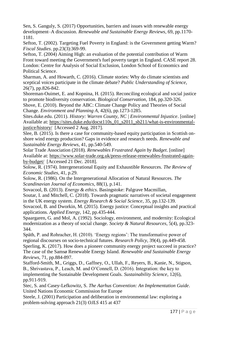Sen, S. Ganguly, S. (2017) Opportunities, barriers and issues with renewable energy development–A discussion. *Renewable and Sustainable Energy Reviews*, 69, pp.1170- 1181.

Sefton, T. (2002). Targeting Fuel Poverty in England: is the Government getting Warm? *Fiscal Studies*. pp.23(3):369-99.

Sefton, T. (2004) Aiming High: an evaluation of the potential contribution of Warm Front toward meeting the Government's fuel poverty target in England. CASE report 28. London: Centre for Analysis of Social Exclusion, London School of Economics and Political Science.

Sharman, A. and Howarth, C. (2016). Climate stories: Why do climate scientists and sceptical voices participate in the climate debate? *Public Understanding of Science*, 26(7), pp.826-842.

Shoreman-Ouimet, E. and Kopnina, H. (2015). Reconciling ecological and social justice to promote biodiversity conservation. *Biological Conservation*, 184, pp.320-326.

Shove, E. (2010). Beyond the ABC: Climate Change Policy and Theories of Social Change. *Environment and Planning A*, 42(6), pp.1273-1285.

Sites.duke.edu. (2011). *History: Warren County, NC | Environmental Injustice*. [online] Available at: [https://sites.duke.edu/docst110s\\_01\\_s2011\\_sb211/what-is-environmental](https://sites.duke.edu/docst110s_01_s2011_sb211/what-is-environmental-justice/history/)[justice/history/](https://sites.duke.edu/docst110s_01_s2011_sb211/what-is-environmental-justice/history/) [Accessed 2 Aug. 2017].

Slee, B. (2015). Is there a case for community-based equity participation in Scottish onshore wind energy production? Gaps in evidence and research needs*. Renewable and Sustainable Energy Reviews*, 41, pp.540-549.

Solar Trade Association (2018). *Renewables Frustrated Again by Budget*. [online] Available at: [https://www.solar-trade.org.uk/press-release-renewables-frustrated-again](https://www.solar-trade.org.uk/press-release-renewables-frustrated-again-by-budget/)[by-budget/](https://www.solar-trade.org.uk/press-release-renewables-frustrated-again-by-budget/) [Accessed 21 Dec. 2018].

Solow, R. (1974). Intergenerational Equity and Exhaustible Resources. *The Review of Economic Studies*, 41, p.29.

Solow, R. (1986). On the Intergenerational Allocation of Natural Resources. *The Scandinavian Journal of Economics*, 88(1), p.141.

Sovacool, B. (2013). *Energy & ethics*. Basingstoke: Palgrave Macmillan,

Soutar, I. and Mitchell, C. (2018). Towards pragmatic narratives of societal engagement in the UK energy system. *Energy Research & Social Science*, 35, pp.132-139.

Sovacool, B. and Dworkin, M. (2015). Energy justice: Conceptual insights and practical applications. *Applied Energy*, 142, pp.435-444.

Spaargaren, G. and Mol, A. (1992). Sociology, environment, and modernity: Ecological modernization as a theory of social change. *Society & Natural Resources*, 5(4), pp.323- 344.

Späth, P. and Rohracher, H. (2010). 'Energy regions': The transformative power of regional discourses on socio-technical futures. *Research Policy*, 39(4), pp.449-458.

Sperling, K. (2017). How does a pioneer community energy project succeed in practice? The case of the Samsø Renewable Energy Island. *Renewable and Sustainable Energy Reviews*, 71, pp.884-897.

Stafford-Smith, M., Griggs, D., Gaffney, O., Ullah, F., Reyers, B., Kanie, N., Stigson, B., Shrivastava, P., Leach, M. and O'Connell, D. (2016). Integration: the key to implementing the Sustainable Development Goals. *Sustainability Science*, 12(6), pp.911-919.

Stec, S. and Casey-Lefkowitz, S. *The Aarhus Convention: An Implementation Guide*. United Nations Economic Commission for Europe

Steele, J. (2001) Participation and deliberation in environmental law: exploring a problem-solving approach 21(3) *OJLS* 415 at 437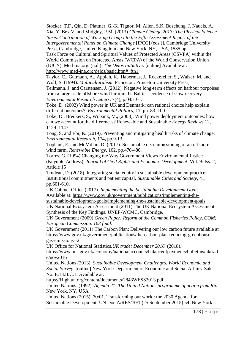Stocker, T.F., Qin, D. Plattner, G.-K. Tignor, M. Allen, S.K. Boschung, J. Nauels, A. Xia, Y. Bex V. and Midgley, P.M. (2013) *Climate Change 2013: The Physical Science Basis. Contribution of Working Group I to the Fifth Assessment Report of the Intergovernmental Panel on Climate Change* [IPCC] (eds.)]. Cambridge University Press, Cambridge, United Kingdom and New York, NY, USA, 1535 pp,

Task Force on Cultural and Spiritual Values of Protected Areas (CSVPA) within the World Commission on Protected Areas (WCPA) of the World Conservation Union (IUCN). Med-ina.org. (n.d.). *The Delos Initiative*. [online] Available at: [http://www.med-ina.org/delos/basic.htm#\\_ftn1](http://www.med-ina.org/delos/basic.htm#_ftn1)

Taylor, C., Gutmann, A., Appiah, K., Habermas, J., Rockefeller, S., Walzer, M. and Wolf, S. (1994). *Multiculturalism*. Princeton: Princeton University Press,

Teilmann, J. and Carstensen, J. (2012). Negative long-term effects on harbour porpoises from a large scale offshore wind farm in the Baltic—evidence of slow recovery. *Environmental Research Letters*, 7(4), p.045101.

Toke, D. (2002) Wind power in UK and Denmark: can rational choice help explain different outcomes?, *Environmental Politics*, 11, pp. 83–100

Toke, D., Breukers, S., Wolsink, M., (2008). Wind power deployment outcomes: how can we account for the differences? Renewable and Sustainable *Energy Reviews* 12, 1129–1147

Tong, S. and Ebi, K. (2019). Preventing and mitigating health risks of climate change. *Environmental Research*, 174, pp.9-13.

Topham, E. and McMillan, D. (2017). Sustainable decommissioning of an offshore wind farm. *Renewable Energy*, 102, pp.470-480.

Torres, G. (1994) Changing the Way Government Views Environmental Justice (Keynote Address), *Journal of Civil Rights and Economic Development*: Vol. 9: Iss. 2, Article 15

Trudeau, D. (2018). Integrating social equity in sustainable development practice: Institutional commitments and patient capital. *Sustainable Cities and Society*, 41, pp.601-610.

UK Cabinet Office (2017). *Implementing the Sustainable Development Goals*. Available at: [https://www.gov.uk/government/publications/implementing-the-](https://www.gov.uk/government/publications/implementing-the-sustainable-development-goals/implementing-the-sustainable-development-goals)

[sustainable-development-goals/implementing-the-sustainable-development-goals](https://www.gov.uk/government/publications/implementing-the-sustainable-development-goals/implementing-the-sustainable-development-goals)

UK National Ecosystem Assessment (2011) The UK National Ecosystem Assessment: Synthesis of the Key Findings. UNEP-WCMC, Cambridge.

UK Government (2009) *Green Paper: Reform of the Common Fisheries Policy, COM; European Commission. 163 final.*

UK Government (2011) The Carbon Plan: Delivering our low carbon future available at https://www.gov.uk/government/publications/the-carbon-plan-reducing-greenhousegas-emissions--2

UK Office for National Statistics.*UK trade: December 2016.* (2018).

[https://www.ons.gov.uk/economy/nationalaccounts/balanceofpayments/bulletins/uktrad](https://www.ons.gov.uk/economy/nationalaccounts/balanceofpayments/bulletins/uktrade/nov2016) [e/nov2016](https://www.ons.gov.uk/economy/nationalaccounts/balanceofpayments/bulletins/uktrade/nov2016)

United Nations (2013). *Sustainable Development Challenges. World Economic and Social Survey*. [online] New York: Department of Economic and Social Affairs. Sales No. E.13.II.C.1. Available at:

[https://High.un.org/content/documents/2843WESS2013.pdf](https://high.un.org/content/documents/2843WESS2013.pdf)

United Nations. (1992). *Agenda 21: The United Nations programme of action from Rio*. New York, NY, USA

United Nations (2015). 70/01. Transforming our world: the 2030 Agenda for Sustainable Development. UN Doc A/RES/70/1 (25 September 2015) 54. New York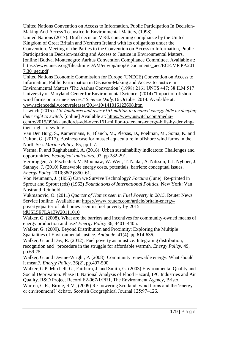United Nations Convention on Access to Information, Public Participation In Decision-Making And Access To Justice In Environmental Matters, (1998)

United Nations (2017). Draft decision VI/8k concerning compliance by the United Kingdom of Great Britain and Northern Ireland with its obligations under the

Convention. Meeting of the Parties to the Convention on Access to Information, Public Participation in Decision-making and Access to Justice in Environmental Matters.

[online] Budva, Montenegro: Aarhus Convention Compliance Committee. Available at: [https://www.unece.org/fileadmin/DAM/env/pp/mop6/Documents\\_aec/ECE.MP.PP.201](https://www.unece.org/fileadmin/DAM/env/pp/mop6/Documents_aec/ECE.MP.PP.2017.30_aec.pdf) [7.30\\_aec.pdf](https://www.unece.org/fileadmin/DAM/env/pp/mop6/Documents_aec/ECE.MP.PP.2017.30_aec.pdf)

United Nations Economic Commission for Europe (UNECE) Convention on Access to Information, Public Participation in Decision-Making and Access to Justice in

Environmental Matters 'The Aarhus Convention' (1998) 2161 UNTS 447; 38 ILM 517 University of Maryland Center for Environmental Science. (2014) "Impact of offshore wind farms on marine species." *Science Daily*.16 October 2014. Available at: [www.sciencedaily.com/releases/2014/10/141016123608.htm'](http://www.sciencedaily.com/releases/2014/10/141016123608.htm)

Uswitch (2015). *UK landlords add over £161 million to tenants' energy bills by denying their right to switch*. [online] Available at: [https://www.uswitch.com/media-](https://www.uswitch.com/media-centre/2015/09/uk-landlords-add-over-161-million-to-tenants-energy-bills-by-denying-their-right-to-switch/)

[centre/2015/09/uk-landlords-add-over-161-million-to-tenants-energy-bills-by-denying](https://www.uswitch.com/media-centre/2015/09/uk-landlords-add-over-161-million-to-tenants-energy-bills-by-denying-their-right-to-switch/)[their-right-to-switch/](https://www.uswitch.com/media-centre/2015/09/uk-landlords-add-over-161-million-to-tenants-energy-bills-by-denying-their-right-to-switch/)

Van Den Burg, S., Kamermans, P., Blanch, M., Pletsas, D., Poelman, M., Soma, K. and Dalton, G. (2017). Business case for mussel aquaculture in offshore wind farms in the North Sea. *Marine Policy*, 85, pp.1-7.

Verma, P. and Raghubanshi, A. (2018). Urban sustainability indicators: Challenges and opportunities. *Ecological Indicators*, 93, pp.282-291.

Verbruggen, A. Fischedick M. Moomaw, W. Weir, T. Nadai, A. Nilsson, L.J. Nyboer, J. Sathaye, J. (2010) Renewable energy costs, potentials, barriers: conceptual issues. *Energy Policy* 2010;38(2):850–61.

Von Neumann, J. (1955) Can we Survive Technology? *Fortune* (June). Re-printed in Sprout and Sprout (eds) (1962) *Foundations of International Politics.* New York: Van Nostrand Reinhold

Vukmanovic, O. (2011) *Quarter of Homes seen in Fuel Poverty in 2015*. Reuter News Service [online] Available at: [https://www.reuters.com/article/britain-energy-](https://www.reuters.com/article/britain-energy-poverty/quarter-of-uk-homes-seen-in-fuel-poverty-by-2015-idUSL5E7LA13W20111010)

[poverty/quarter-of-uk-homes-seen-in-fuel-poverty-by-2015-](https://www.reuters.com/article/britain-energy-poverty/quarter-of-uk-homes-seen-in-fuel-poverty-by-2015-idUSL5E7LA13W20111010)

[idUSL5E7LA13W20111010](https://www.reuters.com/article/britain-energy-poverty/quarter-of-uk-homes-seen-in-fuel-poverty-by-2015-idUSL5E7LA13W20111010)

Walker, G. (2008). What are the barriers and incentives for community-owned means of energy production and use? *Energy Policy* 36, 4401–4405.

Walker, G. (2009). Beyond Distribution and Proximity: Exploring the Multiple Spatialities of Environmental Justice. *Antipode*, 41(4), pp.614-636.

Walker, G. and Day, R. (2012). Fuel poverty as injustice: Integrating distribution, recognition and procedure in the struggle for affordable warmth. *Energy Policy*, 49, pp.69-75.

Walker, G. and Devine-Wright, P. (2008). Community renewable energy: What should it mean*?. Energy Policy,* 36(2), pp.497-500.

Walker, G.P, Mitchell, G., Fairburn, J. and Smith, G. (2003) Environmental Quality and Social Deprivation. Phase II: National Analysis of Flood Hazard, IPC Industries and Air Quality. R&D Project Record E2-067/1/PR1, The Environment Agency, Bristol

Warren, C.R., Birnie, R.V., (2009) Re-powering Scotland: wind farms and the 'energy or environment?' debate. Scottish Geographical Journal 125:97–126.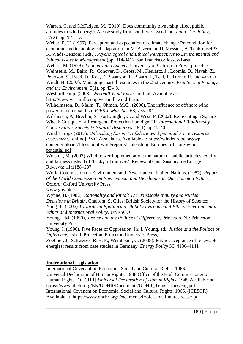Warren, C. and McFadyen, M. (2010). Does community ownership affect public attitudes to wind energy? A case study from south-west Scotland. *Land Use Policy*, 27(2), pp.204-213.

Weber, E. U. (1997). Perception and expectation of climate change: Precondition for economic and technological adaptation. In M. Bazerman, D. Messick, A. Tenbrunsel & K. Wade-Benzoni (Eds.), *Psychological and Ethical Perspectives to Environmental and Ethical Issues in Management* (pp. 314-341). San Francisco: Jossey-Bass

Weber , M. (1978). *Economy and Society*. University of California Press. pp. 24–5 Weinstein, M., Baird, R., Conover, D., Gross, M., Keulartz, J., Loomis, D., Naveh, Z., Peterson, S., Reed, D., Roe, E., Swanson, R., Swart, J., Teal, J., Turner, R. and van der Windt, H. (2007). Managing coastal resources in the 21st century. *Frontiers in Ecology and the Environment*, 5(1), pp.43-48.

Westmill.coop. (2008). *Westmill Wind Farm*. [online] Available at: <http://www.westmill.coop/westmill-wind-farm/>

Wilhelmsson, D., Malm, T., Ohman, M.C., (2006). The influence of offshore wind power on demersal fish. *ICES J. Mar. Sci*. 63, 775-784.

Wilshusen, P., Brechin, S., Fortwangler, C. and West, P. (2002). Reinventing a Square Wheel: Critique of a Resurgent "Protection Paradigm" in *International Biodiversity Conservation. Society & Natural Resources*, 15(1), pp.17-40.

Wind Europe (2017). *Unleashing Europe's offshore wind potential A new resource assessment*. [online] BVG Associates, Available at: [https://windeurope.org/wp](https://windeurope.org/wp-content/uploads/files/about-wind/reports/Unleashing-Europes-offshore-wind-potential.pdf)[content/uploads/files/about-wind/reports/Unleashing-Europes-offshore-wind](https://windeurope.org/wp-content/uploads/files/about-wind/reports/Unleashing-Europes-offshore-wind-potential.pdf)[potential.pdf](https://windeurope.org/wp-content/uploads/files/about-wind/reports/Unleashing-Europes-offshore-wind-potential.pdf)

Wolsink, M. (2007) Wind power implementation: the nature of public attitudes: equity and fairness instead of 'backyard motives'. Renewable and Sustainable Energy Reviews; 11:1188–207

World Commission on Environment and Development. United Nations. (1987). *Report of the World Commission on Environment and Development: Our Common Future.* Oxford: Oxford University Press

[www.gov.uk](http://www.gov.uk/)

Wynne, B. (1982). *Rationality and Ritual: The Windscale inquiry and Nuclear Decisions in Britain*. Chalfont, St Giles: British Society for the History of Science; Yang, T. (2006) *Towards an Egalitarian Global Environmental Ethics. Environmental Ethics and International Policy*. UNESCO

Young, I.M. (1990), *Justice and the Politics of Difference*, Princeton, NJ: Princeton University Press

Young, I. (1990). Five Faces of Oppression. In: I. Young, ed., *Justice and the Politics of Difference*, 1st ed. Princeton: Princeton University Press,

Zoellner, J., Schweizer-Ries, P., Wemheuer, C. (2008). Public acceptance of renewable energies: results from case studies in Germany. *Energy Policy* 36, 4136–4141

## **International Legislation**

International Covenant on Economic, Social and Cultural Rights. 1966.

Universal Declaration of Human Rights. 1948 Office of the High Commissioner on Human Rights [OHCHR] *Universal Declaration of Human Rights. 1948* Available at: [https://www.ohchr.org/EN/UDHR/Documents/UDHR\\_Translations/eng.pdf](https://www.ohchr.org/EN/UDHR/Documents/UDHR_Translations/eng.pdf) International Covenant on Economic, Social and Cultural Rights. 1966. (ICESCR) Available at:<https://www.ohchr.org/Documents/ProfessionalInterest/cescr.pdf>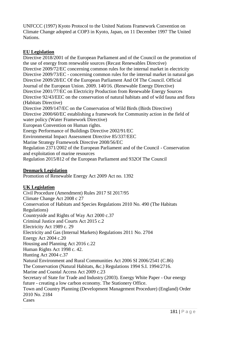UNFCCC (1997) Kyoto Protocol to the United Nations Framework Convention on Climate Change adopted at COP3 in Kyoto, Japan, on 11 December 1997 The United Nations.

## **EU Legislation**

Directive 2018/2001 of the European Parliament and of the Council on the promotion of the use of energy from renewable sources (Recast Renewables Directive) Directive 2009/72/EC concerning common rules for the internal market in electricity Directive 2009/73/EC - concerning common rules for the internal market in natural gas Directive 2009/28/EC Of the European Parliament And Of The Council. Official Journal of the European Union. 2009. 140/16. (Renewable Energy Directive) Directive 2001/77/EC on Electricity Production from Renewable Energy Sources Directive 92/43/EEC on the conservation of natural habitats and of wild fauna and flora (Habitats Directive) Directive 2009/147/EC on the Conservation of Wild Birds (Birds Directive) Directive 2000/60/EC establishing a framework for Community action in the field of water policy (Water Framework Directive) European Convention on Human rights. Energy Performance of Buildings Directive 2002/91/EC Environmental Impact Assessment Directive 85/337/EEC Marine Strategy Framework Directive 2008/56/EC Regulation 2371/2002 of the European Parliament and of the Council - Conservation and exploitation of marine resources Regulation 2015/812 of the European Parliament and 932Of The Council

## **Denmark Legislation**

Promotion of Renewable Energy Act 2009 Act no. 1392

## **UK Legislation**

Civil Procedure (Amendment) Rules 2017 SI 2017/95 Climate Change Act 2008 c 27 Conservation of Habitats and Species Regulations 2010 No. 490 (The Habitats Regulations) Countryside and Rights of Way Act 2000 c.37 Criminal Justice and Courts Act 2015 c.2 Electricity Act 1989 c. 29 Electricity and Gas (Internal Markets) Regulations 2011 No. 2704 Energy Act 2004 c.20 Housing and Planning Act 2016 c.22 Human Rights Act 1998 c. 42. Hunting Act 2004 c.37 Natural Environment and Rural Communities Act 2006 SI 2006/2541 (C.86) The Conservation (Natural Habitats, &c.) Regulations 1994 S.I. 1994/2716. Marine and Coastal Access Act 2009 c.23 Secretary of State for Trade and Industry (2003). Energy White Paper - Our energy future - creating a low carbon economy. The Stationery Office. Town and Country Planning (Development Management Procedure) (England) Order 2010 No. 2184 Cases